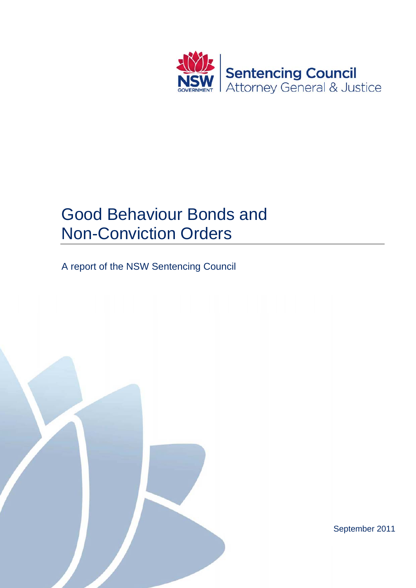

# Good Behaviour Bonds and Non-Conviction Orders

A report of the NSW Sentencing Council

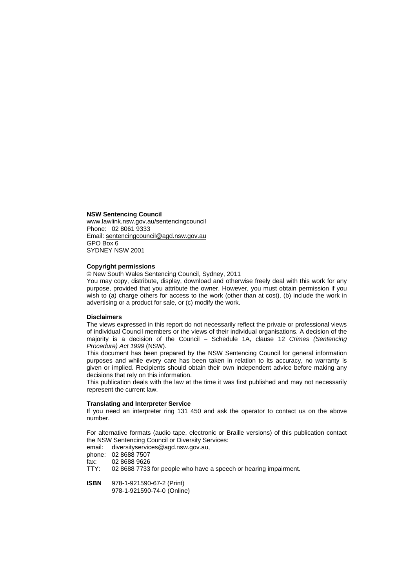#### **NSW Sentencing Council**

www.lawlink.nsw.gov.au/sentencingcouncil Phone: 02 8061 9333 Email: sentencingcouncil@agd.nsw.gov.au GPO Box 6 SYDNEY NSW 2001

#### **Copyright permissions**

© New South Wales Sentencing Council, Sydney, 2011

You may copy, distribute, display, download and otherwise freely deal with this work for any purpose, provided that you attribute the owner. However, you must obtain permission if you wish to (a) charge others for access to the work (other than at cost), (b) include the work in advertising or a product for sale, or (c) modify the work.

#### **Disclaimers**

The views expressed in this report do not necessarily reflect the private or professional views of individual Council members or the views of their individual organisations. A decision of the majority is a decision of the Council – Schedule 1A, clause 12 *Crimes (Sentencing Procedure) Act 1999* (NSW).

This document has been prepared by the NSW Sentencing Council for general information purposes and while every care has been taken in relation to its accuracy, no warranty is given or implied. Recipients should obtain their own independent advice before making any decisions that rely on this information.

This publication deals with the law at the time it was first published and may not necessarily represent the current law.

#### **Translating and Interpreter Service**

If you need an interpreter ring 131 450 and ask the operator to contact us on the above number.

For alternative formats (audio tape, electronic or Braille versions) of this publication contact the NSW Sentencing Council or Diversity Services:

email: diversityservices@agd.nsw.gov.au,

phone: 02 8688 7507

fax: 02 8688 9626

02 8688 7733 for people who have a speech or hearing impairment.

**ISBN** 978-1-921590-67-2 (Print)

978-1-921590-74-0 (Online)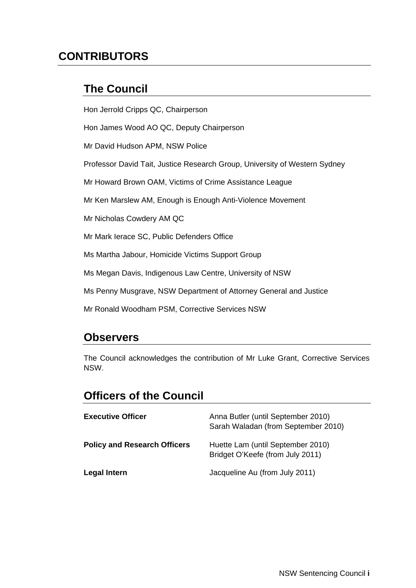## **CONTRIBUTORS**

### **The Council**

Hon Jerrold Cripps QC, Chairperson

Hon James Wood AO QC, Deputy Chairperson

Mr David Hudson APM, NSW Police

Professor David Tait, Justice Research Group, University of Western Sydney

Mr Howard Brown OAM, Victims of Crime Assistance League

Mr Ken Marslew AM, Enough is Enough Anti-Violence Movement

Mr Nicholas Cowdery AM QC

Mr Mark Ierace SC, Public Defenders Office

Ms Martha Jabour, Homicide Victims Support Group

Ms Megan Davis, Indigenous Law Centre, University of NSW

Ms Penny Musgrave, NSW Department of Attorney General and Justice

Mr Ronald Woodham PSM, Corrective Services NSW

#### **Observers**

The Council acknowledges the contribution of Mr Luke Grant, Corrective Services NSW.

### **Officers of the Council**

| <b>Executive Officer</b>            | Anna Butler (until September 2010)<br>Sarah Waladan (from September 2010) |
|-------------------------------------|---------------------------------------------------------------------------|
| <b>Policy and Research Officers</b> | Huette Lam (until September 2010)<br>Bridget O'Keefe (from July 2011)     |
| <b>Legal Intern</b>                 | Jacqueline Au (from July 2011)                                            |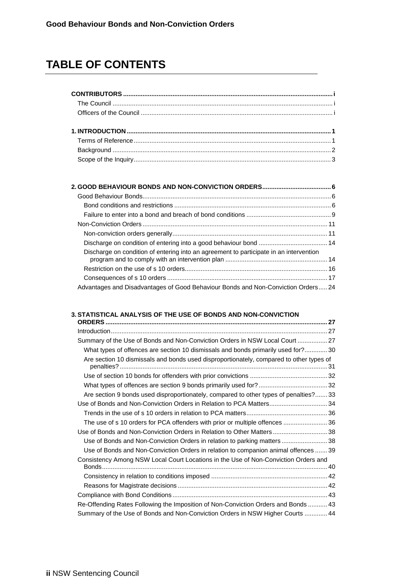## **TABLE OF CONTENTS**

| Discharge on condition of entering into an agreement to participate in an intervention |  |
|----------------------------------------------------------------------------------------|--|
|                                                                                        |  |
|                                                                                        |  |
| Advantages and Disadvantages of Good Behaviour Bonds and Non-Conviction Orders 24      |  |

#### **3. STATISTICAL ANALYSIS OF THE USE OF BONDS AND NON-CONVICTION**

| Summary of the Use of Bonds and Non-Conviction Orders in NSW Local Court  27            |  |
|-----------------------------------------------------------------------------------------|--|
| What types of offences are section 10 dismissals and bonds primarily used for? 30       |  |
| Are section 10 dismissals and bonds used disproportionately, compared to other types of |  |
|                                                                                         |  |
|                                                                                         |  |
| Are section 9 bonds used disproportionately, compared to other types of penalties? 33   |  |
| Use of Bonds and Non-Conviction Orders in Relation to PCA Matters 34                    |  |
|                                                                                         |  |
| The use of s 10 orders for PCA offenders with prior or multiple offences  36            |  |
| Use of Bonds and Non-Conviction Orders in Relation to Other Matters  38                 |  |
| Use of Bonds and Non-Conviction Orders in relation to parking matters  38               |  |
| Use of Bonds and Non-Conviction Orders in relation to companion animal offences  39     |  |
| Consistency Among NSW Local Court Locations in the Use of Non-Conviction Orders and     |  |
|                                                                                         |  |
|                                                                                         |  |
|                                                                                         |  |
| Re-Offending Rates Following the Imposition of Non-Conviction Orders and Bonds  43      |  |
| Summary of the Use of Bonds and Non-Conviction Orders in NSW Higher Courts  44          |  |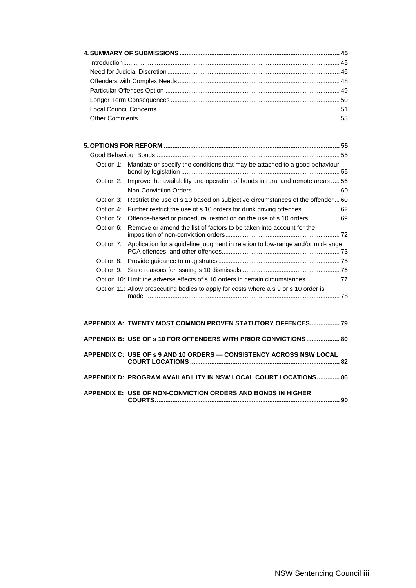|           | Option 1: Mandate or specify the conditions that may be attached to a good behaviour    |
|-----------|-----------------------------------------------------------------------------------------|
|           | Option 2: Improve the availability and operation of bonds in rural and remote areas  56 |
|           |                                                                                         |
| Option 3: | Restrict the use of s 10 based on subjective circumstances of the offender 60           |
| Option 4: |                                                                                         |
| Option 5: |                                                                                         |
| Option 6: | Remove or amend the list of factors to be taken into account for the                    |
| Option 7: | Application for a guideline judgment in relation to low-range and/or mid-range          |
| Option 8: |                                                                                         |
|           |                                                                                         |
|           | Option 10: Limit the adverse effects of s 10 orders in certain circumstances  77        |
|           | Option 11: Allow prosecuting bodies to apply for costs where a s 9 or s 10 order is     |

| APPENDIX A: TWENTY MOST COMMON PROVEN STATUTORY OFFENCES 79         |     |
|---------------------------------------------------------------------|-----|
| APPENDIX B: USE OF s 10 FOR OFFENDERS WITH PRIOR CONVICTIONS 80     |     |
| APPENDIX C: USE OF s 9 AND 10 ORDERS - CONSISTENCY ACROSS NSW LOCAL |     |
| APPENDIX D: PROGRAM AVAILABILITY IN NSW LOCAL COURT LOCATIONS 86    |     |
| APPENDIX E: USE OF NON-CONVICTION ORDERS AND BONDS IN HIGHER        | .90 |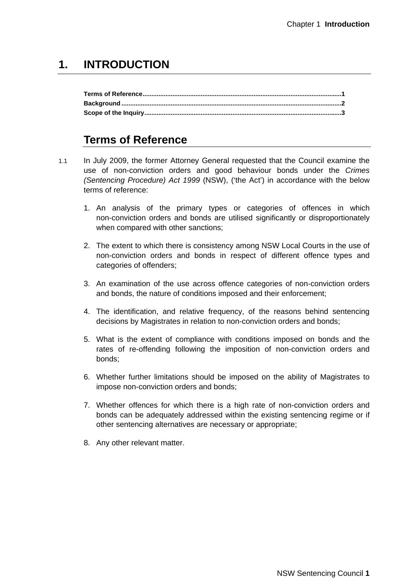### **1. INTRODUCTION**

### **Terms of Reference**

- 1.1 In July 2009, the former Attorney General requested that the Council examine the use of non-conviction orders and good behaviour bonds under the *Crimes (Sentencing Procedure) Act 1999* (NSW), ('the Act') in accordance with the below terms of reference:
	- 1. An analysis of the primary types or categories of offences in which non-conviction orders and bonds are utilised significantly or disproportionately when compared with other sanctions;
	- 2. The extent to which there is consistency among NSW Local Courts in the use of non-conviction orders and bonds in respect of different offence types and categories of offenders;
	- 3. An examination of the use across offence categories of non-conviction orders and bonds, the nature of conditions imposed and their enforcement;
	- 4. The identification, and relative frequency, of the reasons behind sentencing decisions by Magistrates in relation to non-conviction orders and bonds;
	- 5. What is the extent of compliance with conditions imposed on bonds and the rates of re-offending following the imposition of non-conviction orders and bonds;
	- 6. Whether further limitations should be imposed on the ability of Magistrates to impose non-conviction orders and bonds;
	- 7. Whether offences for which there is a high rate of non-conviction orders and bonds can be adequately addressed within the existing sentencing regime or if other sentencing alternatives are necessary or appropriate;
	- 8. Any other relevant matter.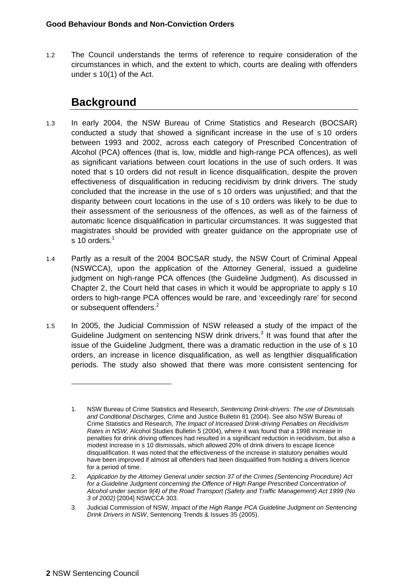1.2 The Council understands the terms of reference to require consideration of the circumstances in which, and the extent to which, courts are dealing with offenders under s 10(1) of the Act.

## **Background**

- 1.3 In early 2004, the NSW Bureau of Crime Statistics and Research (BOCSAR) conducted a study that showed a significant increase in the use of s 10 orders between 1993 and 2002, across each category of Prescribed Concentration of Alcohol (PCA) offences (that is, low, middle and high-range PCA offences), as well as significant variations between court locations in the use of such orders. It was noted that s 10 orders did not result in licence disqualification, despite the proven effectiveness of disqualification in reducing recidivism by drink drivers. The study concluded that the increase in the use of s 10 orders was unjustified; and that the disparity between court locations in the use of s 10 orders was likely to be due to their assessment of the seriousness of the offences, as well as of the fairness of automatic licence disqualification in particular circumstances. It was suggested that magistrates should be provided with greater guidance on the appropriate use of s 10 orders. $1$
- 1.4 Partly as a result of the 2004 BOCSAR study, the NSW Court of Criminal Appeal (NSWCCA), upon the application of the Attorney General, issued a guideline judgment on high-range PCA offences (the Guideline Judgment). As discussed in Chapter 2, the Court held that cases in which it would be appropriate to apply s 10 orders to high-range PCA offences would be rare, and 'exceedingly rare' for second or subsequent offenders.<sup>2</sup>
- 1.5 In 2005, the Judicial Commission of NSW released a study of the impact of the Guideline Judgment on sentencing NSW drink drivers. $3$  It was found that after the issue of the Guideline Judgment, there was a dramatic reduction in the use of s 10 orders, an increase in licence disqualification, as well as lengthier disqualification periods. The study also showed that there was more consistent sentencing for

<sup>1.</sup> NSW Bureau of Crime Statistics and Research, *Sentencing Drink-drivers: The use of Dismissals and Conditional Discharges,* Crime and Justice Bulletin 81 (2004). See also NSW Bureau of Crime Statistics and Research, *The Impact of Increased Drink-driving Penalties on Recidivism Rates in NSW,* Alcohol Studies Bulletin 5 (2004), where it was found that a 1998 increase in penalties for drink driving offences had resulted in a significant reduction in recidivism, but also a modest increase in s 10 dismissals, which allowed 20% of drink drivers to escape licence disqualification. It was noted that the effectiveness of the increase in statutory penalties would have been improved if almost all offenders had been disqualified from holding a drivers licence for a period of time.

<sup>2.</sup> *Application by the Attorney General under section 37 of the Crimes (Sentencing Procedure) Act*  for a Guideline Judgment concerning the Offence of High Range Prescribed Concentration of *Alcohol under section 9(4) of the Road Transport (Safety and Traffic Management) Act 1999 (No 3 of 2002)* [2004] NSWCCA 303.

<sup>3.</sup> Judicial Commission of NSW, *Impact of the High Range PCA Guideline Judgment on Sentencing Drink Drivers in NSW*, Sentencing Trends & Issues 35 (2005).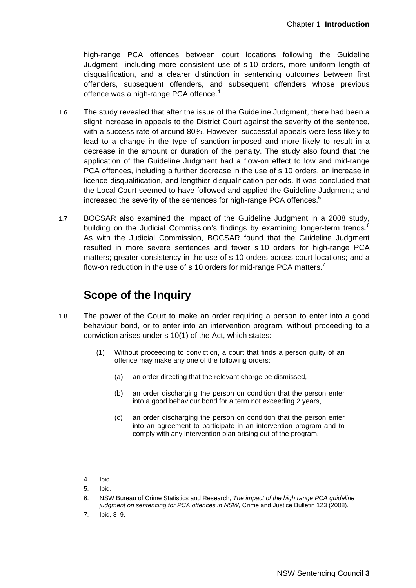high-range PCA offences between court locations following the Guideline Judgment—including more consistent use of s 10 orders, more uniform length of disqualification, and a clearer distinction in sentencing outcomes between first offenders, subsequent offenders, and subsequent offenders whose previous offence was a high-range PCA offence. $4$ 

- 1.6 The study revealed that after the issue of the Guideline Judgment, there had been a slight increase in appeals to the District Court against the severity of the sentence, with a success rate of around 80%. However, successful appeals were less likely to lead to a change in the type of sanction imposed and more likely to result in a decrease in the amount or duration of the penalty. The study also found that the application of the Guideline Judgment had a flow-on effect to low and mid-range PCA offences, including a further decrease in the use of s 10 orders, an increase in licence disqualification, and lengthier disqualification periods. It was concluded that the Local Court seemed to have followed and applied the Guideline Judgment; and increased the severity of the sentences for high-range PCA offences.<sup>5</sup>
- 1.7 BOCSAR also examined the impact of the Guideline Judgment in a 2008 study, building on the Judicial Commission's findings by examining longer-term trends. $6$ As with the Judicial Commission, BOCSAR found that the Guideline Judgment resulted in more severe sentences and fewer s 10 orders for high-range PCA matters; greater consistency in the use of s 10 orders across court locations; and a flow-on reduction in the use of s 10 orders for mid-range PCA matters.<sup>7</sup>

### **Scope of the Inquiry**

- 1.8 The power of the Court to make an order requiring a person to enter into a good behaviour bond, or to enter into an intervention program, without proceeding to a conviction arises under s 10(1) of the Act, which states:
	- (1) Without proceeding to conviction, a court that finds a person guilty of an offence may make any one of the following orders:
		- (a) an order directing that the relevant charge be dismissed,
		- (b) an order discharging the person on condition that the person enter into a good behaviour bond for a term not exceeding 2 years,
		- (c) an order discharging the person on condition that the person enter into an agreement to participate in an intervention program and to comply with any intervention plan arising out of the program.

5. Ibid.

<sup>4.</sup> Ibid.

<sup>6.</sup> NSW Bureau of Crime Statistics and Research, *The impact of the high range PCA guideline judgment on sentencing for PCA offences in NSW,* Crime and Justice Bulletin 123 (2008).

<sup>7.</sup> Ibid, 8–9.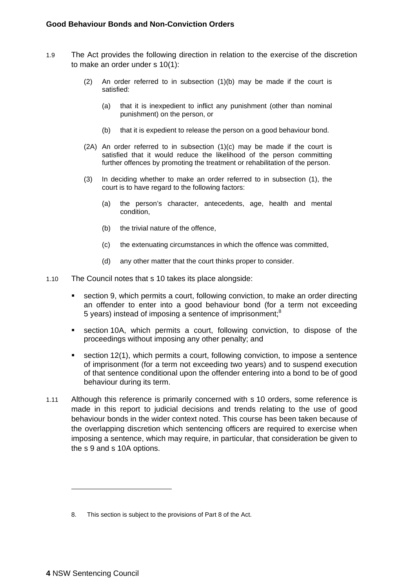- 1.9 The Act provides the following direction in relation to the exercise of the discretion to make an order under s 10(1):
	- (2) An order referred to in subsection (1)(b) may be made if the court is satisfied:
		- (a) that it is inexpedient to inflict any punishment (other than nominal punishment) on the person, or
		- (b) that it is expedient to release the person on a good behaviour bond.
	- $(2A)$  An order referred to in subsection  $(1)(c)$  may be made if the court is satisfied that it would reduce the likelihood of the person committing further offences by promoting the treatment or rehabilitation of the person.
	- (3) In deciding whether to make an order referred to in subsection (1), the court is to have regard to the following factors:
		- (a) the person's character, antecedents, age, health and mental condition,
		- (b) the trivial nature of the offence,
		- (c) the extenuating circumstances in which the offence was committed,
		- (d) any other matter that the court thinks proper to consider.
- 1.10 The Council notes that s 10 takes its place alongside:
	- section 9, which permits a court, following conviction, to make an order directing an offender to enter into a good behaviour bond (for a term not exceeding 5 years) instead of imposing a sentence of imprisonment;<sup>8</sup>
	- section 10A, which permits a court, following conviction, to dispose of the proceedings without imposing any other penalty; and
	- section 12(1), which permits a court, following conviction, to impose a sentence of imprisonment (for a term not exceeding two years) and to suspend execution of that sentence conditional upon the offender entering into a bond to be of good behaviour during its term.
- 1.11 Although this reference is primarily concerned with s 10 orders, some reference is made in this report to judicial decisions and trends relating to the use of good behaviour bonds in the wider context noted. This course has been taken because of the overlapping discretion which sentencing officers are required to exercise when imposing a sentence, which may require, in particular, that consideration be given to the s 9 and s 10A options.

<sup>8.</sup> This section is subject to the provisions of Part 8 of the Act.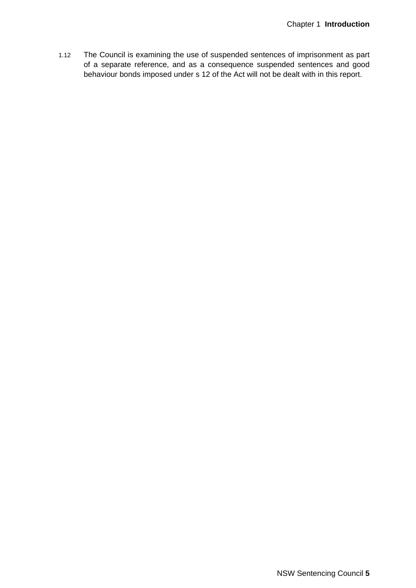1.12 The Council is examining the use of suspended sentences of imprisonment as part of a separate reference, and as a consequence suspended sentences and good behaviour bonds imposed under s 12 of the Act will not be dealt with in this report.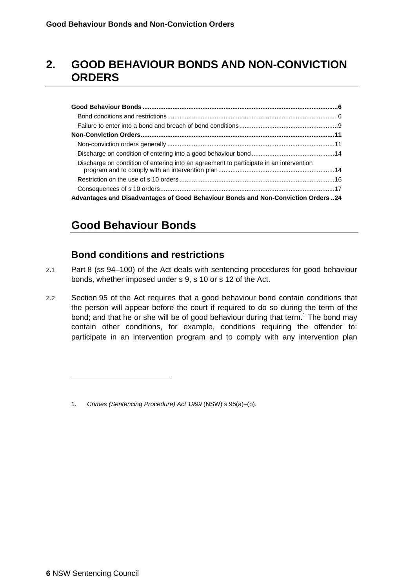## **2. GOOD BEHAVIOUR BONDS AND NON-CONVICTION ORDERS**

| Discharge on condition of entering into an agreement to participate in an intervention |  |
|----------------------------------------------------------------------------------------|--|
|                                                                                        |  |
|                                                                                        |  |
| Advantages and Disadvantages of Good Behaviour Bonds and Non-Conviction Orders 24      |  |

## **Good Behaviour Bonds**

#### **Bond conditions and restrictions**

- 2.1 Part 8 (ss 94–100) of the Act deals with sentencing procedures for good behaviour bonds, whether imposed under s 9, s 10 or s 12 of the Act.
- 2.2 Section 95 of the Act requires that a good behaviour bond contain conditions that the person will appear before the court if required to do so during the term of the bond; and that he or she will be of good behaviour during that term.<sup>1</sup> The bond may contain other conditions, for example, conditions requiring the offender to: participate in an intervention program and to comply with any intervention plan

<sup>1.</sup> *Crimes (Sentencing Procedure) Act 1999* (NSW) s 95(a)–(b).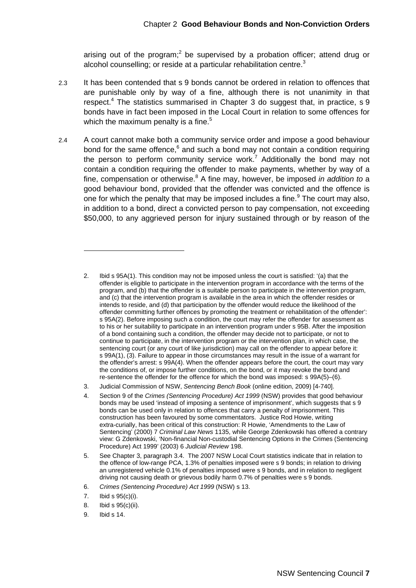arising out of the program;<sup>2</sup> be supervised by a probation officer; attend drug or alcohol counselling; or reside at a particular rehabilitation centre.<sup>3</sup>

- 2.3 It has been contended that s 9 bonds cannot be ordered in relation to offences that are punishable only by way of a fine, although there is not unanimity in that respect.<sup>4</sup> The statistics summarised in Chapter 3 do suggest that, in practice, s 9 bonds have in fact been imposed in the Local Court in relation to some offences for which the maximum penalty is a fine. $5$
- 2.4 A court cannot make both a community service order and impose a good behaviour bond for the same offence,<sup>6</sup> and such a bond may not contain a condition requiring the person to perform community service work.<sup>7</sup> Additionally the bond may not contain a condition requiring the offender to make payments, whether by way of a fine, compensation or otherwise.<sup>8</sup> A fine may, however, be imposed *in addition to* a good behaviour bond, provided that the offender was convicted and the offence is one for which the penalty that may be imposed includes a fine. $9$  The court may also, in addition to a bond, direct a convicted person to pay compensation, not exceeding \$50,000, to any aggrieved person for injury sustained through or by reason of the

<sup>2.</sup> Ibid s 95A(1). This condition may not be imposed unless the court is satisfied: '(a) that the offender is eligible to participate in the intervention program in accordance with the terms of the program, and (b) that the offender is a suitable person to participate in the intervention program, and (c) that the intervention program is available in the area in which the offender resides or intends to reside, and (d) that participation by the offender would reduce the likelihood of the offender committing further offences by promoting the treatment or rehabilitation of the offender': s 95A(2). Before imposing such a condition, the court may refer the offender for assessment as to his or her suitability to participate in an intervention program under s 95B. After the imposition of a bond containing such a condition, the offender may decide not to participate, or not to continue to participate, in the intervention program or the intervention plan, in which case, the sentencing court (or any court of like jurisdiction) may call on the offender to appear before it: s 99A(1), (3). Failure to appear in those circumstances may result in the issue of a warrant for the offender's arrest: s 99A(4). When the offender appears before the court, the court may vary the conditions of, or impose further conditions, on the bond, or it may revoke the bond and re-sentence the offender for the offence for which the bond was imposed: s 99A(5)–(6).

<sup>3.</sup> Judicial Commission of NSW, *Sentencing Bench Book* (online edition, 2009) [4-740].

<sup>4.</sup> Section 9 of the *Crimes (Sentencing Procedure) Act 1999* (NSW) provides that good behaviour bonds may be used 'instead of imposing a sentence of imprisonment', which suggests that s 9 bonds can be used only in relation to offences that carry a penalty of imprisonment. This construction has been favoured by some commentators. Justice Rod Howie, writing extra-curially, has been critical of this construction: R Howie, 'Amendments to the Law of Sentencing' (2000) 7 *Criminal Law News* 1135, while George Zdenkowski has offered a contrary view: G Zdenkowski, 'Non-financial Non-custodial Sentencing Options in the Crimes (Sentencing Procedure) Act 1999' (2003) 6 *Judicial Review* 198.

<sup>5.</sup> See Chapter 3, paragraph 3.4. The 2007 NSW Local Court statistics indicate that in relation to the offence of low-range PCA, 1.3% of penalties imposed were s 9 bonds; in relation to driving an unregistered vehicle 0.1% of penalties imposed were s 9 bonds, and in relation to negligent driving not causing death or grievous bodily harm 0.7% of penalties were s 9 bonds.

<sup>6.</sup> *Crimes (Sentencing Procedure) Act 1999* (NSW) s 13.

<sup>7.</sup> Ibid s 95(c)(i).

<sup>8.</sup> Ibid s 95(c)(ii).

<sup>9.</sup> Ibid s 14.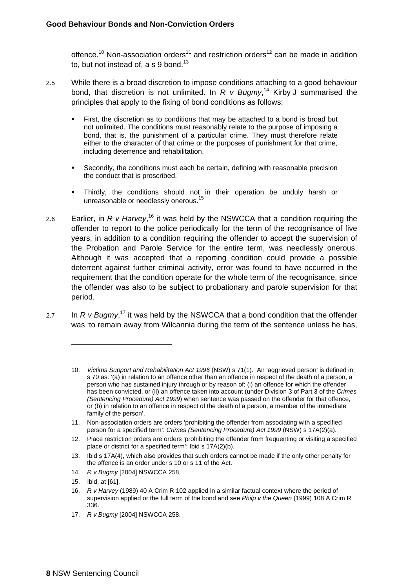offence.<sup>10</sup> Non-association orders<sup>11</sup> and restriction orders<sup>12</sup> can be made in addition to, but not instead of,  $a$  s 9 bond.<sup>13</sup>

- 2.5 While there is a broad discretion to impose conditions attaching to a good behaviour bond, that discretion is not unlimited. In  $R$   $v$  Bugmy,<sup>14</sup> Kirby J summarised the principles that apply to the fixing of bond conditions as follows:
	- First, the discretion as to conditions that may be attached to a bond is broad but not unlimited. The conditions must reasonably relate to the purpose of imposing a bond, that is, the punishment of a particular crime. They must therefore relate either to the character of that crime or the purposes of punishment for that crime, including deterrence and rehabilitation.
	- Secondly, the conditions must each be certain, defining with reasonable precision the conduct that is proscribed.
	- Thirdly, the conditions should not in their operation be unduly harsh or unreasonable or needlessly onerous.<sup>15</sup>
- 2.6 Earlier, in *R v Harvey*, 16 it was held by the NSWCCA that a condition requiring the offender to report to the police periodically for the term of the recognisance of five years, in addition to a condition requiring the offender to accept the supervision of the Probation and Parole Service for the entire term, was needlessly onerous. Although it was accepted that a reporting condition could provide a possible deterrent against further criminal activity, error was found to have occurred in the requirement that the condition operate for the whole term of the recognisance, since the offender was also to be subject to probationary and parole supervision for that period.
- 2.7 In  $R$  v Bugmy,<sup>17</sup> it was held by the NSWCCA that a bond condition that the offender was 'to remain away from Wilcannia during the term of the sentence unless he has,

- 14. *R v Bugmy* [2004] NSWCCA 258.
- 15. Ibid, at [61].

- 16. *R v Harvey* (1989) 40 A Crim R 102 applied in a similar factual context where the period of supervision applied or the full term of the bond and see *Philp v the Queen* (1999) 108 A Crim R 336.
- 17. *R v Bugmy* [2004] NSWCCA 258.

<sup>10.</sup> *Victims Support and Rehabilitation Act 1996* (NSW) s 71(1). An 'aggrieved person' is defined in s 70 as: '(a) in relation to an offence other than an offence in respect of the death of a person, a person who has sustained injury through or by reason of: (i) an offence for which the offender has been convicted, or (ii) an offence taken into account (under Division 3 of Part 3 of the *Crimes (Sentencing Procedure) Act 1999*) when sentence was passed on the offender for that offence, or (b) in relation to an offence in respect of the death of a person, a member of the immediate family of the person'.

<sup>11.</sup> Non-association orders are orders 'prohibiting the offender from associating with a specified person for a specified term': *Crimes (Sentencing Procedure) Act 1999* (NSW) s 17A(2)(a).

<sup>12.</sup> Place restriction orders are orders 'prohibiting the offender from frequenting or visiting a specified place or district for a specified term': Ibid s 17A(2)(b).

<sup>13.</sup> Ibid s 17A(4), which also provides that such orders cannot be made if the only other penalty for the offence is an order under s 10 or s 11 of the Act.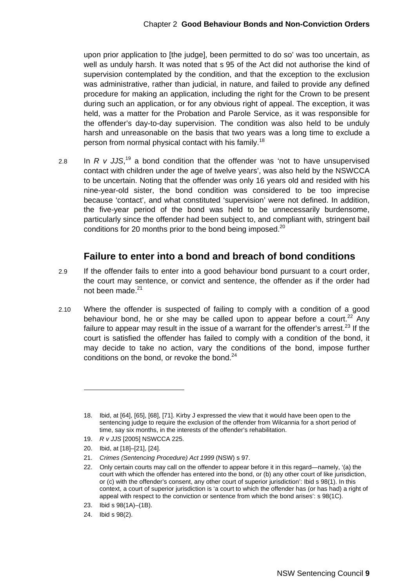upon prior application to [the judge], been permitted to do so' was too uncertain, as well as unduly harsh. It was noted that s 95 of the Act did not authorise the kind of supervision contemplated by the condition, and that the exception to the exclusion was administrative, rather than judicial, in nature, and failed to provide any defined procedure for making an application, including the right for the Crown to be present during such an application, or for any obvious right of appeal. The exception, it was held, was a matter for the Probation and Parole Service, as it was responsible for the offender's day-to-day supervision. The condition was also held to be unduly harsh and unreasonable on the basis that two years was a long time to exclude a person from normal physical contact with his family.<sup>18</sup>

2.8 In  $R$  v JJS,<sup>19</sup> a bond condition that the offender was 'not to have unsupervised contact with children under the age of twelve years', was also held by the NSWCCA to be uncertain. Noting that the offender was only 16 years old and resided with his nine-year-old sister, the bond condition was considered to be too imprecise because 'contact', and what constituted 'supervision' were not defined. In addition, the five-year period of the bond was held to be unnecessarily burdensome, particularly since the offender had been subject to, and compliant with, stringent bail conditions for 20 months prior to the bond being imposed.<sup>20</sup>

#### **Failure to enter into a bond and breach of bond conditions**

- 2.9 If the offender fails to enter into a good behaviour bond pursuant to a court order, the court may sentence, or convict and sentence, the offender as if the order had not been made.<sup>21</sup>
- 2.10 Where the offender is suspected of failing to comply with a condition of a good behaviour bond, he or she may be called upon to appear before a court.<sup>22</sup> Any failure to appear may result in the issue of a warrant for the offender's arrest.<sup>23</sup> If the court is satisfied the offender has failed to comply with a condition of the bond, it may decide to take no action, vary the conditions of the bond, impose further conditions on the bond, or revoke the bond.<sup>24</sup>

21. *Crimes (Sentencing Procedure) Act 1999* (NSW) s 97.

<sup>18.</sup> Ibid, at [64], [65], [68], [71]. Kirby J expressed the view that it would have been open to the sentencing judge to require the exclusion of the offender from Wilcannia for a short period of time, say six months, in the interests of the offender's rehabilitation.

<sup>19.</sup> *R v JJS* [2005] NSWCCA 225.

<sup>20.</sup> Ibid, at [18]–[21], [24].

<sup>22.</sup> Only certain courts may call on the offender to appear before it in this regard—namely, '(a) the court with which the offender has entered into the bond, or (b) any other court of like jurisdiction, or (c) with the offender's consent, any other court of superior jurisdiction': Ibid s 98(1). In this context, a court of superior jurisdiction is 'a court to which the offender has (or has had) a right of appeal with respect to the conviction or sentence from which the bond arises': s 98(1C).

<sup>23.</sup> Ibid s 98(1A)–(1B).

<sup>24.</sup> Ibid s 98(2).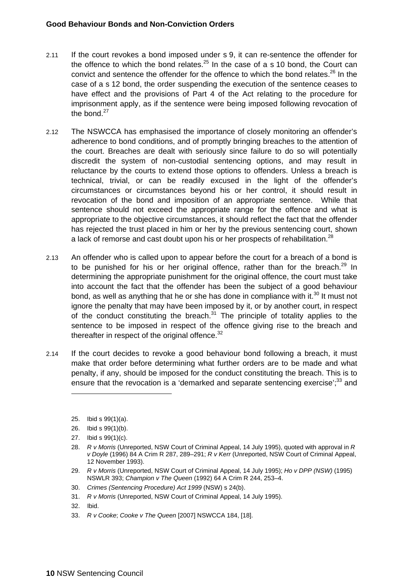- 2.11 If the court revokes a bond imposed under s 9, it can re-sentence the offender for the offence to which the bond relates.<sup>25</sup> In the case of a s 10 bond, the Court can convict and sentence the offender for the offence to which the bond relates.<sup>26</sup> In the case of a s 12 bond, the order suspending the execution of the sentence ceases to have effect and the provisions of Part 4 of the Act relating to the procedure for imprisonment apply, as if the sentence were being imposed following revocation of the bond.<sup>27</sup>
- 2.12 The NSWCCA has emphasised the importance of closely monitoring an offender's adherence to bond conditions, and of promptly bringing breaches to the attention of the court. Breaches are dealt with seriously since failure to do so will potentially discredit the system of non-custodial sentencing options, and may result in reluctance by the courts to extend those options to offenders. Unless a breach is technical, trivial, or can be readily excused in the light of the offender's circumstances or circumstances beyond his or her control, it should result in revocation of the bond and imposition of an appropriate sentence. While that sentence should not exceed the appropriate range for the offence and what is appropriate to the objective circumstances, it should reflect the fact that the offender has rejected the trust placed in him or her by the previous sentencing court, shown a lack of remorse and cast doubt upon his or her prospects of rehabilitation.<sup>28</sup>
- 2.13 An offender who is called upon to appear before the court for a breach of a bond is to be punished for his or her original offence, rather than for the breach.<sup>29</sup> In determining the appropriate punishment for the original offence, the court must take into account the fact that the offender has been the subject of a good behaviour bond, as well as anything that he or she has done in compliance with it.<sup>30</sup> It must not ignore the penalty that may have been imposed by it, or by another court, in respect of the conduct constituting the breach. $31$  The principle of totality applies to the sentence to be imposed in respect of the offence giving rise to the breach and thereafter in respect of the original offence. $32$
- 2.14 If the court decides to revoke a good behaviour bond following a breach, it must make that order before determining what further orders are to be made and what penalty, if any, should be imposed for the conduct constituting the breach. This is to ensure that the revocation is a 'demarked and separate sentencing exercise';<sup>33</sup> and
	- 25. Ibid s 99(1)(a).

 $\overline{a}$ 

26. Ibid s 99(1)(b).

- 30. *Crimes (Sentencing Procedure) Act 1999* (NSW) s 24(b).
- 31. *R v Morris* (Unreported, NSW Court of Criminal Appeal, 14 July 1995).
- 32. Ibid.
- 33. *R v Cooke*; *Cooke v The Queen* [2007] NSWCCA 184, [18].

<sup>27.</sup> Ibid s 99(1)(c).

<sup>28.</sup> *R v Morris* (Unreported, NSW Court of Criminal Appeal, 14 July 1995), quoted with approval in *R v Doyle* (1996) 84 A Crim R 287, 289–291; *R v Kerr* (Unreported, NSW Court of Criminal Appeal, 12 November 1993).

<sup>29.</sup> *R v Morris* (Unreported, NSW Court of Criminal Appeal, 14 July 1995); *Ho v DPP (NSW)* (1995) NSWLR 393; *Champion v The Queen* (1992) 64 A Crim R 244, 253–4.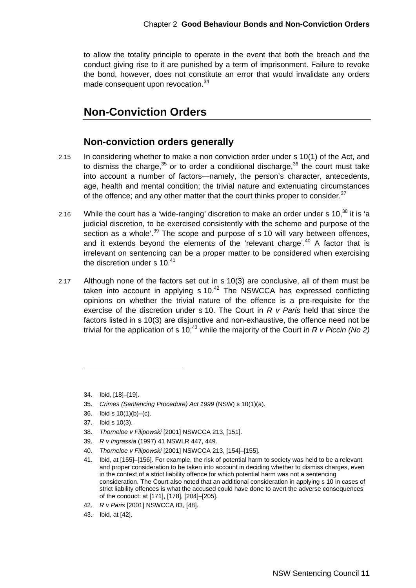to allow the totality principle to operate in the event that both the breach and the conduct giving rise to it are punished by a term of imprisonment. Failure to revoke the bond, however, does not constitute an error that would invalidate any orders made consequent upon revocation.<sup>34</sup>

#### **Non-Conviction Orders**

#### **Non-conviction orders generally**

- 2.15 In considering whether to make a non conviction order under s 10(1) of the Act, and to dismiss the charge, $35$  or to order a conditional discharge, $36$  the court must take into account a number of factors—namely, the person's character, antecedents, age, health and mental condition; the trivial nature and extenuating circumstances of the offence; and any other matter that the court thinks proper to consider.<sup>37</sup>
- 2.16 While the court has a 'wide-ranging' discretion to make an order under s  $10$ ,  $38$  it is 'a judicial discretion, to be exercised consistently with the scheme and purpose of the section as a whole<sup>'.39</sup> The scope and purpose of s 10 will vary between offences, and it extends beyond the elements of the 'relevant charge'.<sup>40</sup> A factor that is irrelevant on sentencing can be a proper matter to be considered when exercising the discretion under s  $10<sup>41</sup>$
- 2.17 Although none of the factors set out in s 10(3) are conclusive, all of them must be taken into account in applying  $s$  10.<sup>42</sup> The NSWCCA has expressed conflicting opinions on whether the trivial nature of the offence is a pre-requisite for the exercise of the discretion under s 10. The Court in *R v Paris* held that since the factors listed in s 10(3) are disjunctive and non-exhaustive, the offence need not be trivial for the application of s 10;<sup>43</sup> while the majority of the Court in  $R$  v Piccin (No 2)

38. *Thorneloe v Filipowski* [2001] NSWCCA 213, [151].

<sup>34.</sup> Ibid, [18]–[19].

<sup>35.</sup> *Crimes (Sentencing Procedure) Act 1999* (NSW) s 10(1)(a).

<sup>36.</sup> Ibid s  $10(1)(b)$ –(c).

<sup>37.</sup> Ibid s 10(3).

<sup>39.</sup> *R v Ingrassia* (1997) 41 NSWLR 447, 449.

<sup>40.</sup> *Thorneloe v Filipowski* [2001] NSWCCA 213, [154]–[155].

<sup>41.</sup> Ibid, at [155]–[156]. For example, the risk of potential harm to society was held to be a relevant and proper consideration to be taken into account in deciding whether to dismiss charges, even in the context of a strict liability offence for which potential harm was not a sentencing consideration. The Court also noted that an additional consideration in applying s 10 in cases of strict liability offences is what the accused could have done to avert the adverse consequences of the conduct: at [171], [178], [204]–[205].

<sup>42.</sup> *R v Paris* [2001] NSWCCA 83, [48].

<sup>43.</sup> Ibid, at [42].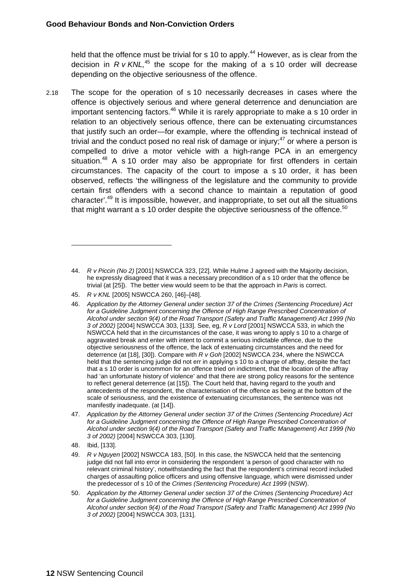held that the offence must be trivial for s 10 to apply.<sup>44</sup> However, as is clear from the decision in *R v KNL,*45 the scope for the making of a s 10 order will decrease depending on the objective seriousness of the offence.

2.18 The scope for the operation of s 10 necessarily decreases in cases where the offence is objectively serious and where general deterrence and denunciation are important sentencing factors.<sup>46</sup> While it is rarely appropriate to make a s 10 order in relation to an objectively serious offence, there can be extenuating circumstances that justify such an order—for example, where the offending is technical instead of trivial and the conduct posed no real risk of damage or injury; $47$  or where a person is compelled to drive a motor vehicle with a high-range PCA in an emergency situation.<sup>48</sup> A s 10 order may also be appropriate for first offenders in certain circumstances. The capacity of the court to impose a s 10 order, it has been observed, reflects 'the willingness of the legislature and the community to provide certain first offenders with a second chance to maintain a reputation of good character'.49 It is impossible, however, and inappropriate, to set out all the situations that might warrant a s 10 order despite the objective seriousness of the offence.<sup>50</sup>

45. *R v KNL* [2005] NSWCCA 260, [46]–[48].

- 47. *Application by the Attorney General under section 37 of the Crimes (Sentencing Procedure) Act*  for a Guideline Judgment concerning the Offence of High Range Prescribed Concentration of *Alcohol under section 9(4) of the Road Transport (Safety and Traffic Management) Act 1999 (No 3 of 2002)* [2004] NSWCCA 303, [130].
- 48. Ibid, [133].

- 49. *R v Nguyen* [2002] NSWCCA 183, [50]. In this case, the NSWCCA held that the sentencing judge did not fall into error in considering the respondent 'a person of good character with no relevant criminal history', notwithstanding the fact that the respondent's criminal record included charges of assaulting police officers and using offensive language, which were dismissed under the predecessor of s 10 of the *Crimes (Sentencing Procedure) Act 1999* (NSW).
- 50. *Application by the Attorney General under section 37 of the Crimes (Sentencing Procedure) Act*  for a Guideline Judgment concerning the Offence of High Range Prescribed Concentration of *Alcohol under section 9(4) of the Road Transport (Safety and Traffic Management) Act 1999 (No 3 of 2002)* [2004] NSWCCA 303, [131].

<sup>44.</sup> *R v Piccin (No 2)* [2001] NSWCCA 323, [22]. While Hulme J agreed with the Majority decision, he expressly disagreed that it was a necessary precondition of a s 10 order that the offence be trivial (at [25]). The better view would seem to be that the approach in *Paris* is correct.

<sup>46.</sup> *Application by the Attorney General under section 37 of the Crimes (Sentencing Procedure) Act*  for a Guideline Judgment concerning the Offence of High Range Prescribed Concentration of *Alcohol under section 9(4) of the Road Transport (Safety and Traffic Management) Act 1999 (No 3 of 2002)* [2004] NSWCCA 303, [133]. See, eg, *R v Lord* [2001] NSWCCA 533, in which the NSWCCA held that in the circumstances of the case, it was wrong to apply s 10 to a charge of aggravated break and enter with intent to commit a serious indictable offence, due to the objective seriousness of the offence, the lack of extenuating circumstances and the need for deterrence (at [18], [30]). Compare with *R v Goh* [2002] NSWCCA 234, where the NSWCCA held that the sentencing judge did not err in applying s 10 to a charge of affray, despite the fact that a s 10 order is uncommon for an offence tried on indictment, that the location of the affray had 'an unfortunate history of violence' and that there are strong policy reasons for the sentence to reflect general deterrence (at [15]). The Court held that, having regard to the youth and antecedents of the respondent, the characterisation of the offence as being at the bottom of the scale of seriousness, and the existence of extenuating circumstances, the sentence was not manifestly inadequate. (at [14]).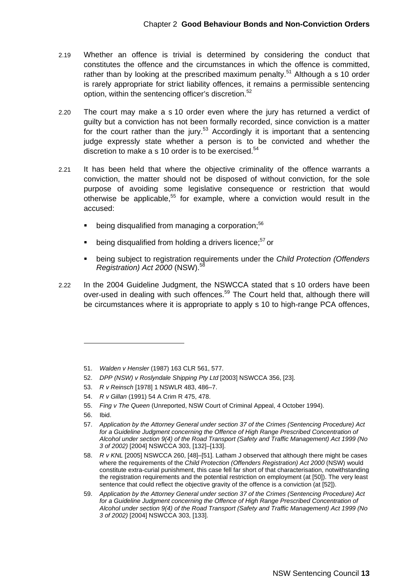- 2.19 Whether an offence is trivial is determined by considering the conduct that constitutes the offence and the circumstances in which the offence is committed, rather than by looking at the prescribed maximum penalty.<sup>51</sup> Although a s 10 order is rarely appropriate for strict liability offences, it remains a permissible sentencing option, within the sentencing officer's discretion.<sup>52</sup>
- 2.20 The court may make a s 10 order even where the jury has returned a verdict of guilty but a conviction has not been formally recorded, since conviction is a matter for the court rather than the jury.<sup>53</sup> Accordingly it is important that a sentencing judge expressly state whether a person is to be convicted and whether the discretion to make a s 10 order is to be exercised.<sup>54</sup>
- 2.21 It has been held that where the objective criminality of the offence warrants a conviction, the matter should not be disposed of without conviction, for the sole purpose of avoiding some legislative consequence or restriction that would otherwise be applicable.<sup>55</sup> for example, where a conviction would result in the accused:
	- being disqualified from managing a corporation:<sup>56</sup>
	- being disqualified from holding a drivers licence;<sup>57</sup> or
	- being subject to registration requirements under the *Child Protection (Offenders Registration) Act 2000 (NSW).*<sup>58</sup>
- 2.22 In the 2004 Guideline Judgment, the NSWCCA stated that s 10 orders have been over-used in dealing with such offences.<sup>59</sup> The Court held that, although there will be circumstances where it is appropriate to apply s 10 to high-range PCA offences,

- 52. *DPP (NSW) v Roslyndale Shipping Pty Ltd* [2003] NSWCCA 356, [23].
- 53. *R v Reinsch* [1978] 1 NSWLR 483, 486–7.
- 54. *R v Gillan* (1991) 54 A Crim R 475, 478.
- 55. *Fing v The Queen* (Unreported, NSW Court of Criminal Appeal, 4 October 1994).
- 56. Ibid.

<sup>51.</sup> *Walden v Hensler* (1987) 163 CLR 561, 577.

<sup>57.</sup> *Application by the Attorney General under section 37 of the Crimes (Sentencing Procedure) Act*  for a Guideline Judgment concerning the Offence of High Range Prescribed Concentration of *Alcohol under section 9(4) of the Road Transport (Safety and Traffic Management) Act 1999 (No 3 of 2002)* [2004] NSWCCA 303, [132]–[133].

<sup>58.</sup> *R v KNL* [2005] NSWCCA 260, [48]–[51]. Latham J observed that although there might be cases where the requirements of the *Child Protection (Offenders Registration) Act 2000* (NSW) would constitute extra-curial punishment, this case fell far short of that characterisation, notwithstanding the registration requirements and the potential restriction on employment (at [50]). The very least sentence that could reflect the objective gravity of the offence is a conviction (at [52]).

<sup>59.</sup> *Application by the Attorney General under section 37 of the Crimes (Sentencing Procedure) Act*  for a Guideline Judgment concerning the Offence of High Range Prescribed Concentration of *Alcohol under section 9(4) of the Road Transport (Safety and Traffic Management) Act 1999 (No 3 of 2002)* [2004] NSWCCA 303, [133].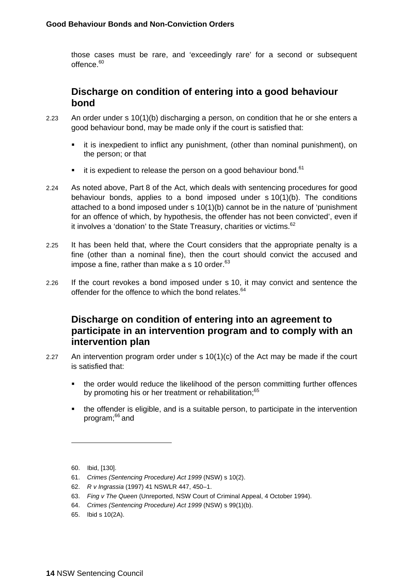those cases must be rare, and 'exceedingly rare' for a second or subsequent offence.<sup>60</sup>

#### **Discharge on condition of entering into a good behaviour bond**

- 2.23 An order under s 10(1)(b) discharging a person, on condition that he or she enters a good behaviour bond, may be made only if the court is satisfied that:
	- it is inexpedient to inflict any punishment, (other than nominal punishment), on the person; or that
	- it is expedient to release the person on a good behaviour bond. $61$
- 2.24 As noted above, Part 8 of the Act, which deals with sentencing procedures for good behaviour bonds, applies to a bond imposed under s 10(1)(b). The conditions attached to a bond imposed under s 10(1)(b) cannot be in the nature of 'punishment for an offence of which, by hypothesis, the offender has not been convicted', even if it involves a 'donation' to the State Treasury, charities or victims.<sup>62</sup>
- 2.25 It has been held that, where the Court considers that the appropriate penalty is a fine (other than a nominal fine), then the court should convict the accused and impose a fine, rather than make a s 10 order. $63$
- 2.26 If the court revokes a bond imposed under s 10, it may convict and sentence the offender for the offence to which the bond relates.<sup>64</sup>

#### **Discharge on condition of entering into an agreement to participate in an intervention program and to comply with an intervention plan**

- 2.27 An intervention program order under s 10(1)(c) of the Act may be made if the court is satisfied that:
	- the order would reduce the likelihood of the person committing further offences by promoting his or her treatment or rehabilitation;<sup>65</sup>
	- the offender is eligible, and is a suitable person, to participate in the intervention program;66 and

- 61. *Crimes (Sentencing Procedure) Act 1999* (NSW) s 10(2).
- 62. *R v Ingrassia* (1997) 41 NSWLR 447, 450–1.
- 63. *Fing v The Queen* (Unreported, NSW Court of Criminal Appeal, 4 October 1994).
- 64. *Crimes (Sentencing Procedure) Act 1999* (NSW) s 99(1)(b).
- 65. Ibid s 10(2A).

<sup>60.</sup> Ibid, [130].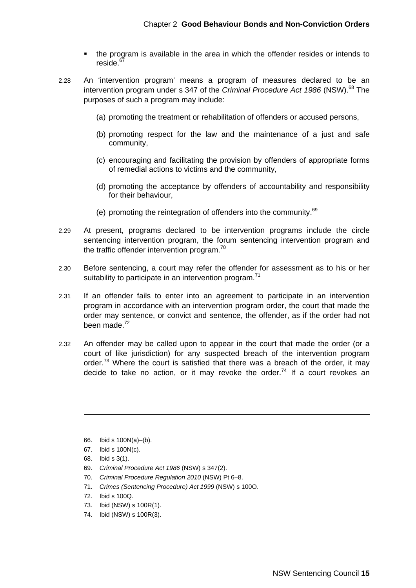- the program is available in the area in which the offender resides or intends to reside.<sup>6</sup>
- 2.28 An 'intervention program' means a program of measures declared to be an intervention program under s 347 of the *Criminal Procedure Act 1986* (NSW).<sup>68</sup> The purposes of such a program may include:
	- (a) promoting the treatment or rehabilitation of offenders or accused persons,
	- (b) promoting respect for the law and the maintenance of a just and safe community,
	- (c) encouraging and facilitating the provision by offenders of appropriate forms of remedial actions to victims and the community,
	- (d) promoting the acceptance by offenders of accountability and responsibility for their behaviour,
	- (e) promoting the reintegration of offenders into the community. $69$
- 2.29 At present, programs declared to be intervention programs include the circle sentencing intervention program, the forum sentencing intervention program and the traffic offender intervention program. $70$
- 2.30 Before sentencing, a court may refer the offender for assessment as to his or her suitability to participate in an intervention program.<sup>71</sup>
- 2.31 If an offender fails to enter into an agreement to participate in an intervention program in accordance with an intervention program order, the court that made the order may sentence, or convict and sentence, the offender, as if the order had not been made.<sup>72</sup>
- 2.32 An offender may be called upon to appear in the court that made the order (or a court of like jurisdiction) for any suspected breach of the intervention program order.<sup>73</sup> Where the court is satisfied that there was a breach of the order, it may decide to take no action, or it may revoke the order.<sup>74</sup> If a court revokes an

- 66. Ibid s 100N(a)–(b).
- 67. Ibid s 100N(c).
- 68. Ibid s 3(1).

- 69. *Criminal Procedure Act 1986* (NSW) s 347(2).
- 70. *Criminal Procedure Regulation 2010* (NSW) Pt 6–8.
- 71. *Crimes (Sentencing Procedure) Act 1999* (NSW) s 100O.
- 72. Ibid s 100Q.
- 73. Ibid (NSW) s 100R(1).
- 74. Ibid (NSW) s 100R(3).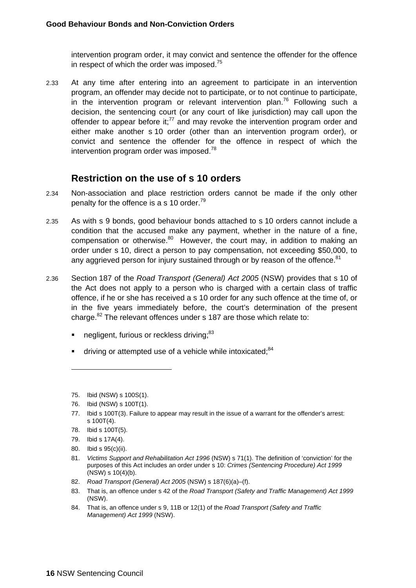intervention program order, it may convict and sentence the offender for the offence in respect of which the order was imposed. $75$ 

2.33 At any time after entering into an agreement to participate in an intervention program, an offender may decide not to participate, or to not continue to participate, in the intervention program or relevant intervention plan.<sup>76</sup> Following such a decision, the sentencing court (or any court of like jurisdiction) may call upon the offender to appear before it; $^{77}$  and may revoke the intervention program order and either make another s 10 order (other than an intervention program order), or convict and sentence the offender for the offence in respect of which the intervention program order was imposed.<sup>78</sup>

#### **Restriction on the use of s 10 orders**

- 2.34 Non-association and place restriction orders cannot be made if the only other penalty for the offence is a s 10 order.<sup>79</sup>
- 2.35 As with s 9 bonds, good behaviour bonds attached to s 10 orders cannot include a condition that the accused make any payment, whether in the nature of a fine, compensation or otherwise. $80$  However, the court may, in addition to making an order under s 10, direct a person to pay compensation, not exceeding \$50,000, to any aggrieved person for injury sustained through or by reason of the offence.<sup>81</sup>
- 2.36 Section 187 of the *Road Transport (General) Act 2005* (NSW) provides that s 10 of the Act does not apply to a person who is charged with a certain class of traffic offence, if he or she has received a s 10 order for any such offence at the time of, or in the five years immediately before, the court's determination of the present charge.<sup>82</sup> The relevant offences under s 187 are those which relate to:
	- negligent, furious or reckless driving;<sup>83</sup>
	- driving or attempted use of a vehicle while intoxicated;<sup>84</sup>

- 82. *Road Transport (General) Act 2005* (NSW) s 187(6)(a)–(f).
- 83. That is, an offence under s 42 of the *Road Transport (Safety and Traffic Management) Act 1999*  (NSW).
- 84. That is, an offence under s 9, 11B or 12(1) of the *Road Transport (Safety and Traffic Management) Act 1999* (NSW).

<sup>75.</sup> Ibid (NSW) s 100S(1).

<sup>76.</sup> Ibid (NSW) s 100T(1).

<sup>77.</sup> Ibid s 100T(3). Failure to appear may result in the issue of a warrant for the offender's arrest: s 100T(4).

<sup>78.</sup> Ibid s 100T(5).

<sup>79.</sup> Ibid s 17A(4).

<sup>80.</sup> Ibid s 95(c)(ii).

<sup>81.</sup> *Victims Support and Rehabilitation Act 1996* (NSW) s 71(1). The definition of 'conviction' for the purposes of this Act includes an order under s 10: *Crimes (Sentencing Procedure) Act 1999* (NSW) s 10(4)(b).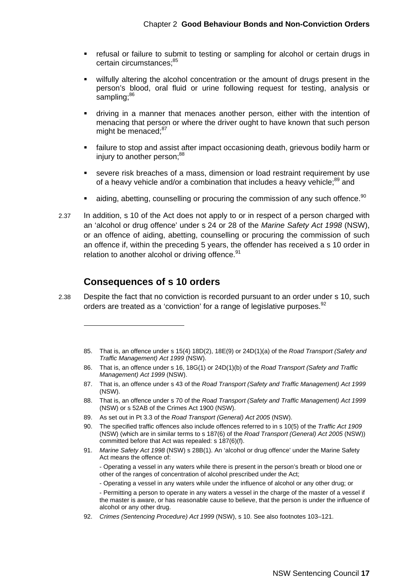- **F** refusal or failure to submit to testing or sampling for alcohol or certain drugs in certain circumstances: 85
- wilfully altering the alcohol concentration or the amount of drugs present in the person's blood, oral fluid or urine following request for testing, analysis or sampling;<sup>86</sup>
- driving in a manner that menaces another person, either with the intention of menacing that person or where the driver ought to have known that such person might be menaced:<sup>87</sup>
- failure to stop and assist after impact occasioning death, grievous bodily harm or injury to another person:<sup>88</sup>
- severe risk breaches of a mass, dimension or load restraint requirement by use of a heavy vehicle and/or a combination that includes a heavy vehicle;<sup>89</sup> and
- aiding, abetting, counselling or procuring the commission of any such offence.<sup>90</sup>
- 2.37 In addition, s 10 of the Act does not apply to or in respect of a person charged with an 'alcohol or drug offence' under s 24 or 28 of the *Marine Safety Act 1998* (NSW), or an offence of aiding, abetting, counselling or procuring the commission of such an offence if, within the preceding 5 years, the offender has received a s 10 order in relation to another alcohol or driving offence.<sup>91</sup>

#### **Consequences of s 10 orders**

- 2.38 Despite the fact that no conviction is recorded pursuant to an order under s 10, such orders are treated as a 'conviction' for a range of legislative purposes.<sup>92</sup>
	- 85. That is, an offence under s 15(4) 18D(2), 18E(9) or 24D(1)(a) of the *Road Transport (Safety and Traffic Management) Act 1999* (NSW).
	- 86. That is, an offence under s 16, 18G(1) or 24D(1)(b) of the *Road Transport (Safety and Traffic Management) Act 1999* (NSW).
	- 87. That is, an offence under s 43 of the *Road Transport (Safety and Traffic Management) Act 1999* (NSW).
	- 88. That is, an offence under s 70 of the *Road Transport (Safety and Traffic Management) Act 1999* (NSW) or s 52AB of the Crimes Act 1900 (NSW).
	- 89. As set out in Pt 3.3 of the *Road Transport (General) Act 2005* (NSW).
	- 90. The specified traffic offences also include offences referred to in s 10(5) of the *Traffic Act 1909* (NSW) (which are in similar terms to s 187(6) of the *Road Transport (General) Act 2005* (NSW)) committed before that Act was repealed: s 187(6)(f).
	- 91. *Marine Safety Act 1998* (NSW) s 28B(1). An 'alcohol or drug offence' under the Marine Safety Act means the offence of:

 - Operating a vessel in any waters while there is present in the person's breath or blood one or other of the ranges of concentration of alcohol prescribed under the Act;

- Operating a vessel in any waters while under the influence of alcohol or any other drug; or

- Permitting a person to operate in any waters a vessel in the charge of the master of a vessel if the master is aware, or has reasonable cause to believe, that the person is under the influence of alcohol or any other drug.

92. *Crimes (Sentencing Procedure) Act 1999* (NSW), s 10. See also footnotes 103–121.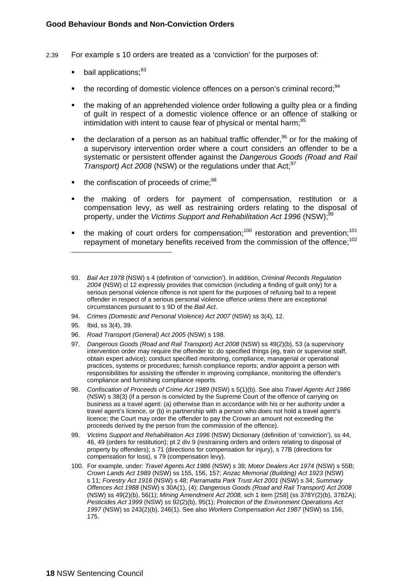- 2.39 For example s 10 orders are treated as a 'conviction' for the purposes of:
	- bail applications;<sup>93</sup>
	- the recording of domestic violence offences on a person's criminal record;<sup>94</sup>
	- the making of an apprehended violence order following a guilty plea or a finding of guilt in respect of a domestic violence offence or an offence of stalking or intimidation with intent to cause fear of physical or mental harm;<sup>95</sup>
	- the declaration of a person as an habitual traffic offender.<sup>96</sup> or for the making of a supervisory intervention order where a court considers an offender to be a systematic or persistent offender against the *Dangerous Goods (Road and Rail Transport) Act 2008* (NSW) or the regulations under that Act;<sup>97</sup>
	- the confiscation of proceeds of crime;<sup>98</sup>
	- the making of orders for payment of compensation, restitution or a compensation levy, as well as restraining orders relating to the disposal of property, under the *Victims Support and Rehabilitation Act 1996* (NSW);<sup>9</sup>
	- the making of court orders for compensation;<sup>100</sup> restoration and prevention;<sup>101</sup> repayment of monetary benefits received from the commission of the offence;<sup>102</sup>
	- 93. *Bail Act 1978* (NSW) s 4 (definition of 'conviction'). In addition, *Criminal Records Regulation 2004* (NSW) cl 12 expressly provides that conviction (including a finding of guilt only) for a serious personal violence offence is not spent for the purposes of refusing bail to a repeat offender in respect of a serious personal violence offence unless there are exceptional circumstances pursuant to s 9D of the *Bail Act*.
	- 94. *Crimes (Domestic and Personal Violence) Act 2007* (NSW) ss 3(4), 12.
	- 95. Ibid, ss 3(4), 39.

- 96. *Road Transport (General) Act 2005* (NSW) s 198.
- 97. *Dangerous Goods (Road and Rail Transport) Act 2008* (NSW) ss 49(2)(b), 53 (a supervisory intervention order may require the offender to: do specified things (eg, train or supervise staff, obtain expert advice); conduct specified monitoring, compliance, managerial or operational practices, systems or procedures; furnish compliance reports; and/or appoint a person with responsibilities for assisting the offender in improving compliance, monitoring the offender's compliance and furnishing compliance reports.
- 98. *Confiscation of Proceeds of Crime Act 1989* (NSW) s 5(1)(b). See also *Travel Agents Act 1986* (NSW) s 38(3) (if a person is convicted by the Supreme Court of the offence of carrying on business as a travel agent: (a) otherwise than in accordance with his or her authority under a travel agent's licence, or (b) in partnership with a person who does not hold a travel agent's licence; the Court may order the offender to pay the Crown an amount not exceeding the proceeds derived by the person from the commission of the offence).
- 99. *Victims Support and Rehabilitation Act 1996* (NSW) Dictionary (definition of 'conviction'), ss 44, 46, 49 (orders for restitution); pt 2 div 9 (restraining orders and orders relating to disposal of property by offenders); s 71 (directions for compensation for injury), s 77B (directions for compensation for loss), s 79 (compensation levy).
- 100. For example, under: *Travel Agents Act 1986* (NSW) s 38; *Motor Dealers Act 1974* (NSW) s 55B; *Crown Lands Act 1989* (NSW) ss 155, 156, 157; *Anzac Memorial (Building) Act 1923* (NSW) s 11; *Forestry Act 1916* (NSW) s 48; *Parramatta Park Trust Act 2001* (NSW) s 34; *Summary Offences Act 1988* (NSW) s 30A(1), (4); *Dangerous Goods (Road and Rail Transport) Act 2008* (NSW) ss 49(2)(b), 56(1); *Mining Amendment Act 2008,* sch 1 item [258] (ss 378Y(2)(b), 378ZA); *Pesticides Act 1999* (NSW) ss 92(2)(b), 95(1); *Protection of the Environment Operations Act 1997* (NSW) ss 243(2)(b), 246(1). See also *Workers Compensation Act 1987* (NSW) ss 156, 175.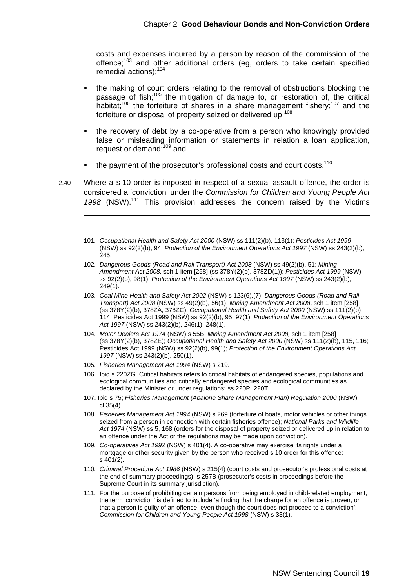costs and expenses incurred by a person by reason of the commission of the offence;103 and other additional orders (eg, orders to take certain specified remedial actions);<sup>104</sup>

- the making of court orders relating to the removal of obstructions blocking the passage of fish;<sup>105</sup> the mitigation of damage to, or restoration of, the critical habitat:<sup>106</sup> the forfeiture of shares in a share management fishery;<sup>107</sup> and the forfeiture or disposal of property seized or delivered up: 108
- the recovery of debt by a co-operative from a person who knowingly provided false or misleading information or statements in relation a loan application, request or demand;<sup>109</sup> and
- the payment of the prosecutor's professional costs and court costs.<sup>110</sup>

2.40 Where a s 10 order is imposed in respect of a sexual assault offence, the order is considered a 'conviction' under the *Commission for Children and Young People Act*  1998 (NSW).<sup>111</sup> This provision addresses the concern raised by the Victims

- 101. *Occupational Health and Safety Act 2000* (NSW) ss 111(2)(b), 113(1); *Pesticides Act 1999* (NSW) ss 92(2)(b), 94; *Protection of the Environment Operations Act 1997* (NSW) ss 243(2)(b), 245.
- 102. *Dangerous Goods (Road and Rail Transport) Act 2008* (NSW) ss 49(2)(b), 51; *Mining Amendment Act 2008,* sch 1 item [258] (ss 378Y(2)(b), 378ZD(1)); *Pesticides Act 1999* (NSW) ss 92(2)(b), 98(1); *Protection of the Environment Operations Act 1997* (NSW) ss 243(2)(b), 249(1).
- 103. *Coal Mine Health and Safety Act 2002* (NSW) s 123(6),(7); *Dangerous Goods (Road and Rail Transport) Act 2008* (NSW) ss 49(2)(b), 56(1); *Mining Amendment Act 2008*, sch 1 item [258] (ss 378Y(2)(b), 378ZA, 378ZC); *Occupational Health and Safety Act 2000* (NSW) ss 111(2)(b), 114; Pesticides Act 1999 (NSW) ss 92(2)(b), 95, 97(1); *Protection of the Environment Operations Act 1997* (NSW) ss 243(2)(b), 246(1), 248(1).
- 104. *Motor Dealers Act 1974* (NSW) s 55B; *Mining Amendment Act 2008,* sch 1 item [258] (ss 378Y(2)(b), 378ZE); *Occupational Health and Safety Act 2000* (NSW) ss 111(2)(b), 115, 116; Pesticides Act 1999 (NSW) ss 92(2)(b), 99(1); *Protection of the Environment Operations Act 1997* (NSW) ss 243(2)(b), 250(1).
- 105. *Fisheries Management Act 1994* (NSW) s 219.

- 106. Ibid s 220ZG. Critical habitats refers to critical habitats of endangered species, populations and ecological communities and critically endangered species and ecological communities as declared by the Minister or under regulations: ss 220P, 220T;
- 107. Ibid s 75; *Fisheries Management (Abalone Share Management Plan) Regulation 2000* (NSW) cl 35(4).
- 108. *Fisheries Management Act 1994* (NSW) s 269 (forfeiture of boats, motor vehicles or other things seized from a person in connection with certain fisheries offence); *National Parks and Wildlife Act 1974* (NSW) ss 5, 168 (orders for the disposal of property seized or delivered up in relation to an offence under the Act or the regulations may be made upon conviction).
- 109. *Co-operatives Act 1992* (NSW) s 401(4). A co-operative may exercise its rights under a mortgage or other security given by the person who received s 10 order for this offence: s 401(2).
- 110. *Criminal Procedure Act 1986* (NSW) s 215(4) (court costs and prosecutor's professional costs at the end of summary proceedings); s 257B (prosecutor's costs in proceedings before the Supreme Court in its summary jurisdiction).
- 111. For the purpose of prohibiting certain persons from being employed in child-related employment, the term 'conviction' is defined to include 'a finding that the charge for an offence is proven, or that a person is guilty of an offence, even though the court does not proceed to a conviction': *Commission for Children and Young People Act 1998* (NSW) s 33(1).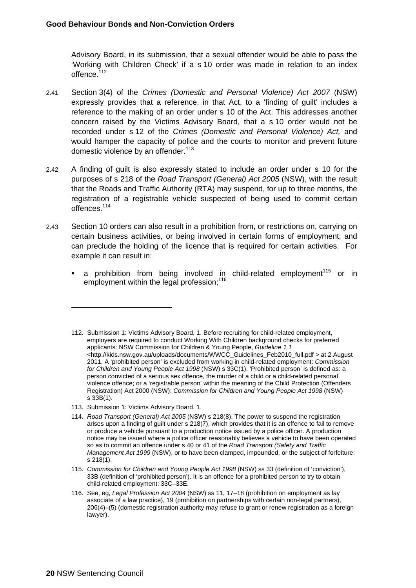Advisory Board, in its submission, that a sexual offender would be able to pass the 'Working with Children Check' if a s 10 order was made in relation to an index offence.<sup>112</sup>

- 2.41 Section 3(4) of the *Crimes (Domestic and Personal Violence) Act 2007* (NSW) expressly provides that a reference, in that Act, to a 'finding of guilt' includes a reference to the making of an order under s 10 of the Act. This addresses another concern raised by the Victims Advisory Board, that a s 10 order would not be recorded under s 12 of the *Crimes (Domestic and Personal Violence) Act,* and would hamper the capacity of police and the courts to monitor and prevent future domestic violence by an offender.<sup>113</sup>
- 2.42 A finding of guilt is also expressly stated to include an order under s 10 for the purposes of s 218 of the *Road Transport (General) Act 2005* (NSW), with the result that the Roads and Traffic Authority (RTA) may suspend, for up to three months, the registration of a registrable vehicle suspected of being used to commit certain offences.114
- 2.43 Section 10 orders can also result in a prohibition from, or restrictions on, carrying on certain business activities, or being involved in certain forms of employment; and can preclude the holding of the licence that is required for certain activities. For example it can result in:
	- a prohibition from being involved in child-related employment<sup>115</sup> or in employment within the legal profession:<sup>116</sup>

113. Submission 1: Victims Advisory Board, 1.

<sup>112.</sup> Submission 1: Victims Advisory Board, 1. Before recruiting for child-related employment, employers are required to conduct Working With Children background checks for preferred applicants: NSW Commission for Children & Young People, *Guideline 1.1* <http://kids.nsw.gov.au/uploads/documents/WWCC\_Guidelines\_Feb2010\_full.pdf > at 2 August 2011. A 'prohibited person' is excluded from working in child-related employment: *Commission for Children and Young People Act 1998* (NSW) s 33C(1). 'Prohibited person' is defined as: a person convicted of a serious sex offence, the murder of a child or a child-related personal violence offence; or a 'registrable person' within the meaning of the Child Protection (Offenders Registration) Act 2000 (NSW): *Commission for Children and Young People Act 1998* (NSW) s 33B(1).

<sup>114.</sup> *Road Transport (General) Act 2005* (NSW) s 218(8). The power to suspend the registration arises upon a finding of guilt under s 218(7), which provides that it is an offence to fail to remove or produce a vehicle pursuant to a production notice issued by a police officer. A production notice may be issued where a police officer reasonably believes a vehicle to have been operated so as to commit an offence under s 40 or 41 of the *Road Transport (Safety and Traffic Management Act 1999* (NSW), or to have been clamped, impounded, or the subject of forfeiture: s 218(1).

<sup>115.</sup> *Commission for Children and Young People Act 1998* (NSW) ss 33 (definition of 'conviction'), 33B (definition of 'prohibited person'). It is an offence for a prohibited person to try to obtain child-related employment: 33C–33E.

<sup>116.</sup> See, eg, *Legal Profession Act 2004* (NSW) ss 11, 17–18 (prohibition on employment as lay associate of a law practice), 19 (prohibition on partnerships with certain non-legal partners), 206(4)–(5) (domestic registration authority may refuse to grant or renew registration as a foreign lawyer).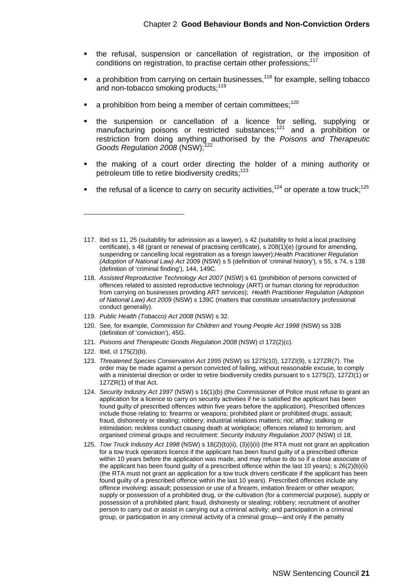- the refusal, suspension or cancellation of registration, or the imposition of conditions on registration, to practise certain other professions;<sup>117</sup>
- a prohibition from carrying on certain businesses, $118$  for example, selling tobacco and non-tobacco smoking products;<sup>119</sup>
- a prohibition from being a member of certain committees; $120$
- the suspension or cancellation of a licence for selling, supplying or manufacturing poisons or restricted substances;<sup>121</sup> and a prohibition or restriction from doing anything authorised by the *Poisons and Therapeutic Goods Regulation 2008* (NSW);<sup>122</sup>
- the making of a court order directing the holder of a mining authority or petroleum title to retire biodiversity credits;<sup>123</sup>
- the refusal of a licence to carry on security activities.<sup>124</sup> or operate a tow truck:<sup>125</sup>

- 119. *Public Health (Tobacco) Act 2008* (NSW) s 32.
- 120. See, for example, *Commission for Children and Young People Act 1998* (NSW) ss 33B (definition of 'conviction'), 45G.
- 121. *Poisons and Therapeutic Goods Regulation 2008* (NSW) cl 172(2)(c).
- 122. Ibid, cl 175(2)(b).

- 123. *Threatened Species Conservation Act 1995* (NSW) ss 127S(10), 127ZI(9), s 127ZR(7). The order may be made against a person convicted of failing, without reasonable excuse, to comply with a ministerial direction or order to retire biodiversity credits pursuant to s 127S(2), 127ZI(1) or 127ZR(1) of that Act.
- 124. *Security Industry Act 1997* (NSW) s 16(1)(b) (the Commissioner of Police must refuse to grant an application for a licence to carry on security activities if he is satisfied the applicant has been found guilty of prescribed offences within five years before the application). Prescribed offences include those relating to: firearms or weapons; prohibited plant or prohibited drugs; assault; fraud, dishonesty or stealing; robbery; industrial relations matters; riot; affray; stalking or intimidation; reckless conduct causing death at workplace; offences related to terrorism, and organised criminal groups and recruitment: *Security Industry Regulation 2007* (NSW) cl 18.
- 125. *Tow Truck Industry Act 1998* (NSW) s 18(2)(b)(ii), (3)(i)(ii) (the RTA must not grant an application for a tow truck operators licence if the applicant has been found guilty of a prescribed offence within 10 years before the application was made, and may refuse to do so if a close associate of the applicant has been found guilty of a prescribed offence within the last 10 years); s 26(2)(b)(ii) (the RTA must not grant an application for a tow truck drivers certificate if the applicant has been found guilty of a prescribed offence within the last 10 years). Prescribed offences include any offence involving: assault; possession or use of a firearm, imitation firearm or other weapon; supply or possession of a prohibited drug, or the cultivation (for a commercial purpose), supply or possession of a prohibited plant; fraud, dishonesty or stealing; robbery; recruitment of another person to carry out or assist in carrying out a criminal activity; and participation in a criminal group, or participation in any criminal activity of a criminal group—and only if the penalty

<sup>117.</sup> Ibid ss 11, 25 (suitability for admission as a lawyer), s 42 (suitability to hold a local practising certificate), s 48 (grant or renewal of practising certificate), s 208(1)(e) (ground for amending, suspending or cancelling local registration as a foreign lawyer);*Health Practitioner Regulation (Adoption of National Law) Act* 2009 (NSW) s 5 (definition of 'criminal history'), s 55, s 74, s 138 (definition of 'criminal finding'), 144, 149C.

<sup>118.</sup> *Assisted Reproductive Technology Act 2007* (NSW) s 61 (prohibition of persons convicted of offences related to assisted reproductive technology (ART) or human cloning for reproduction from carrying on businesses providing ART services); *Health Practitioner Regulation (Adoption of National Law) Act 2009* (NSW) s 139C (matters that constitute unsatisfactory professional conduct generally).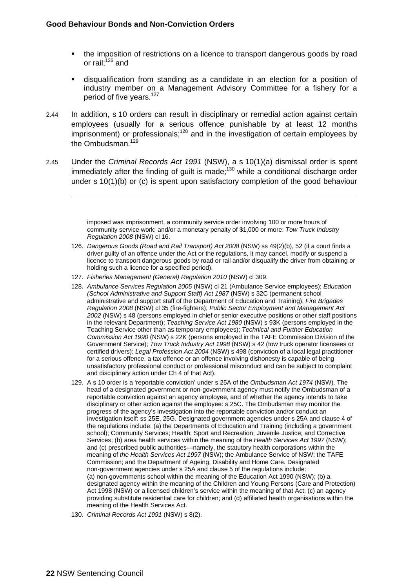- the imposition of restrictions on a licence to transport dangerous goods by road or rail: $126$  and
- disqualification from standing as a candidate in an election for a position of industry member on a Management Advisory Committee for a fishery for a period of five years.<sup>127</sup>
- 2.44 In addition, s 10 orders can result in disciplinary or remedial action against certain employees (usually for a serious offence punishable by at least 12 months imprisonment) or professionals;<sup>128</sup> and in the investigation of certain employees by the Ombudsman<sup>129</sup>
- 2.45 Under the *Criminal Records Act 1991* (NSW), a s 10(1)(a) dismissal order is spent immediately after the finding of guilt is made; $130$  while a conditional discharge order under s 10(1)(b) or (c) is spent upon satisfactory completion of the good behaviour

imposed was imprisonment, a community service order involving 100 or more hours of community service work; and/or a monetary penalty of \$1,000 or more: *Tow Truck Industry Regulation 2008* (NSW) cl 16.

- 126. *Dangerous Goods (Road and Rail Transport) Act 2008* (NSW) ss 49(2)(b), 52 (if a court finds a driver guilty of an offence under the Act or the regulations, it may cancel, modify or suspend a licence to transport dangerous goods by road or rail and/or disqualify the driver from obtaining or holding such a licence for a specified period).
- 127. *Fisheries Management (General) Regulation 2010* (NSW) cl 309.
- 128. *Ambulance Services Regulation 2005* (NSW) cl 21 (Ambulance Service employees); *Education (School Administrative and Support Staff) Act 1987* (NSW) s 32C (permanent school administrative and support staff of the Department of Education and Training); *Fire Brigades Regulation 2008* (NSW) cl 35 (fire-fighters); *Public Sector Employment and Management Act 2002* (NSW) s 48 (persons employed in chief or senior executive positions or other staff positions in the relevant Department); *Teaching Service Act 1980* (NSW) s 93K (persons employed in the Teaching Service other than as temporary employees); *Technical and Further Education Commission Act 1990* (NSW) s 22K (persons employed in the TAFE Commission Division of the Government Service); *Tow Truck Industry Act 1998* (NSW) s 42 (tow truck operator licensees or certified drivers); *Legal Profession Act 2004* (NSW) s 498 (conviction of a local legal practitioner for a serious offence, a tax offence or an offence involving dishonesty is capable of being unsatisfactory professional conduct or professional misconduct and can be subject to complaint and disciplinary action under Ch 4 of that Act).
- 129. A s 10 order is a 'reportable conviction' under s 25A of the *Ombudsman Act 1974* (NSW). The head of a designated government or non-government agency must notify the Ombudsman of a reportable conviction against an agency employee, and of whether the agency intends to take disciplinary or other action against the employee: s 25C. The Ombudsman may monitor the progress of the agency's investigation into the reportable conviction and/or conduct an investigation itself: ss 25E, 25G. Designated government agencies under s 25A and clause 4 of the regulations include: (a) the Departments of Education and Training (including a government school); Community Services; Health; Sport and Recreation; Juvenile Justice; and Corrective Services; (b) area health services within the meaning of the *Health Services Act 1997* (NSW); and (c) prescribed public authorities—namely, the statutory health corporations within the meaning of *the Health Services Act 1997* (NSW); the Ambulance Service of NSW; the TAFE Commission; and the Department of Ageing, Disability and Home Care. Designated non-government agencies under s 25A and clause 5 of the regulations include: (a) non-governments school within the meaning of the Education Act 1990 (NSW); (b) a designated agency within the meaning of the Children and Young Persons (Care and Protection) Act 1998 (NSW) or a licensed children's service within the meaning of that Act; (c) an agency providing substitute residential care for children; and (d) affiliated health organisations within the meaning of the Health Services Act.
- 130. *Criminal Records Act 1991* (NSW) s 8(2).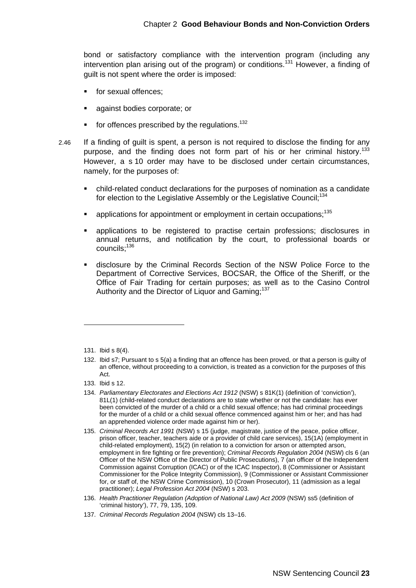bond or satisfactory compliance with the intervention program (including any intervention plan arising out of the program) or conditions.<sup>131</sup> However, a finding of guilt is not spent where the order is imposed:

- **for sexual offences:**
- **against bodies corporate; or**
- $\blacksquare$  for offences prescribed by the regulations.<sup>132</sup>
- 2.46 If a finding of guilt is spent, a person is not required to disclose the finding for any purpose, and the finding does not form part of his or her criminal history.<sup>133</sup> However, a s 10 order may have to be disclosed under certain circumstances, namely, for the purposes of:
	- child-related conduct declarations for the purposes of nomination as a candidate for election to the Legislative Assembly or the Legislative Council;<sup>134</sup>
	- applications for appointment or employment in certain occupations;135
	- applications to be registered to practise certain professions; disclosures in annual returns, and notification by the court, to professional boards or councils;136
	- disclosure by the Criminal Records Section of the NSW Police Force to the Department of Corrective Services, BOCSAR, the Office of the Sheriff, or the Office of Fair Trading for certain purposes; as well as to the Casino Control Authority and the Director of Liquor and Gaming;<sup>137</sup>

 $\overline{a}$ 

137. *Criminal Records Regulation 2004* (NSW) cls 13–16.

<sup>131.</sup> Ibid s 8(4).

<sup>132.</sup> Ibid s7; Pursuant to s 5(a) a finding that an offence has been proved, or that a person is guilty of an offence, without proceeding to a conviction, is treated as a conviction for the purposes of this Act.

<sup>133.</sup> Ibid s 12.

<sup>134.</sup> *Parliamentary Electorates and Elections Act 1912* (NSW) s 81K(1) (definition of 'conviction'), 81L(1) (child-related conduct declarations are to state whether or not the candidate: has ever been convicted of the murder of a child or a child sexual offence; has had criminal proceedings for the murder of a child or a child sexual offence commenced against him or her; and has had an apprehended violence order made against him or her).

<sup>135.</sup> *Criminal Records Act 1991* (NSW) s 15 (judge, magistrate, justice of the peace, police officer, prison officer, teacher, teachers aide or a provider of child care services), 15(1A) (employment in child-related employment), 15(2) (in relation to a conviction for arson or attempted arson, employment in fire fighting or fire prevention); *Criminal Records Regulation 2004* (NSW) cls 6 (an Officer of the NSW Office of the Director of Public Prosecutions), 7 (an officer of the Independent Commission against Corruption (ICAC) or of the ICAC Inspector), 8 (Commissioner or Assistant Commissioner for the Police Integrity Commission), 9 (Commissioner or Assistant Commissioner for, or staff of, the NSW Crime Commission), 10 (Crown Prosecutor), 11 (admission as a legal practitioner); *Legal Profession Act 2004* (NSW) s 203.

<sup>136.</sup> *Health Practitioner Regulation (Adoption of National Law) Act 2009* (NSW) ss5 (definition of 'criminal history'), 77, 79, 135, 109.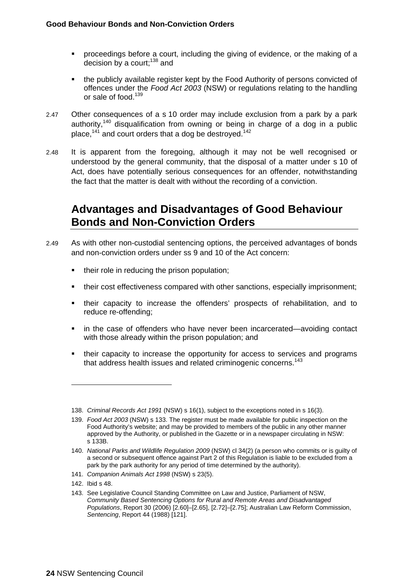- **•** proceedings before a court, including the giving of evidence, or the making of a decision by a court; $138$  and
- the publicly available register kept by the Food Authority of persons convicted of offences under the *Food Act 2003* (NSW) or regulations relating to the handling or sale of food.<sup>139</sup>
- 2.47 Other consequences of a s 10 order may include exclusion from a park by a park authority,<sup>140</sup> disqualification from owning or being in charge of a dog in a public place,<sup>141</sup> and court orders that a dog be destroyed.<sup>142</sup>
- 2.48 It is apparent from the foregoing, although it may not be well recognised or understood by the general community, that the disposal of a matter under s 10 of Act, does have potentially serious consequences for an offender, notwithstanding the fact that the matter is dealt with without the recording of a conviction.

## **Advantages and Disadvantages of Good Behaviour Bonds and Non-Conviction Orders**

- 2.49 As with other non-custodial sentencing options, the perceived advantages of bonds and non-conviction orders under ss 9 and 10 of the Act concern:
	- their role in reducing the prison population;
	- their cost effectiveness compared with other sanctions, especially imprisonment;
	- their capacity to increase the offenders' prospects of rehabilitation, and to reduce re-offending;
	- in the case of offenders who have never been incarcerated—avoiding contact with those already within the prison population; and
	- their capacity to increase the opportunity for access to services and programs that address health issues and related criminogenic concerns.<sup>143</sup>

<sup>138.</sup> *Criminal Records Act 1991* (NSW) s 16(1), subject to the exceptions noted in s 16(3).

<sup>139.</sup> *Food Act 2003* (NSW) s 133. The register must be made available for public inspection on the Food Authority's website; and may be provided to members of the public in any other manner approved by the Authority, or published in the Gazette or in a newspaper circulating in NSW: s 133B.

<sup>140.</sup> *National Parks and Wildlife Regulation 2009* (NSW) cl 34(2) (a person who commits or is guilty of a second or subsequent offence against Part 2 of this Regulation is liable to be excluded from a park by the park authority for any period of time determined by the authority).

<sup>141.</sup> *Companion Animals Act 1998* (NSW) s 23(5).

<sup>142.</sup> Ibid s 48.

<sup>143.</sup> See Legislative Council Standing Committee on Law and Justice, Parliament of NSW, *Community Based Sentencing Options for Rural and Remote Areas and Disadvantaged Populations*, Report 30 (2006) [2.60]–[2.65], [2.72]–[2.75]; Australian Law Reform Commission, *Sentencing*, Report 44 (1988) [121].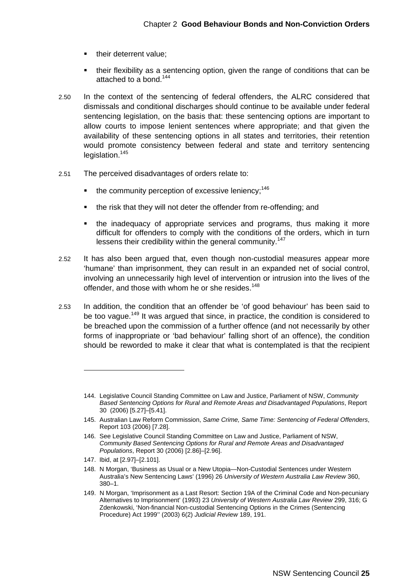- their deterrent value;
- their flexibility as a sentencing option, given the range of conditions that can be attached to a bond.<sup>144</sup>
- 2.50 In the context of the sentencing of federal offenders, the ALRC considered that dismissals and conditional discharges should continue to be available under federal sentencing legislation, on the basis that: these sentencing options are important to allow courts to impose lenient sentences where appropriate; and that given the availability of these sentencing options in all states and territories, their retention would promote consistency between federal and state and territory sentencing legislation.<sup>145</sup>
- 2.51 The perceived disadvantages of orders relate to:
	- $\bullet$  the community perception of excessive leniency;<sup>146</sup>
	- the risk that they will not deter the offender from re-offending; and
	- the inadequacy of appropriate services and programs, thus making it more difficult for offenders to comply with the conditions of the orders, which in turn lessens their credibility within the general community.<sup>147</sup>
- 2.52 It has also been argued that, even though non-custodial measures appear more 'humane' than imprisonment, they can result in an expanded net of social control, involving an unnecessarily high level of intervention or intrusion into the lives of the offender, and those with whom he or she resides.<sup>148</sup>
- 2.53 In addition, the condition that an offender be 'of good behaviour' has been said to be too vague.<sup>149</sup> It was argued that since, in practice, the condition is considered to be breached upon the commission of a further offence (and not necessarily by other forms of inappropriate or 'bad behaviour' falling short of an offence), the condition should be reworded to make it clear that what is contemplated is that the recipient

147. Ibid, at [2.97]–[2.101].

<sup>144.</sup> Legislative Council Standing Committee on Law and Justice, Parliament of NSW, *Community Based Sentencing Options for Rural and Remote Areas and Disadvantaged Populations*, Report 30 (2006) [5.27]–[5.41].

<sup>145.</sup> Australian Law Reform Commission, *Same Crime, Same Time: Sentencing of Federal Offenders*, Report 103 (2006) [7.28].

<sup>146.</sup> See Legislative Council Standing Committee on Law and Justice, Parliament of NSW, *Community Based Sentencing Options for Rural and Remote Areas and Disadvantaged Populations*, Report 30 (2006) [2.86]–[2.96].

<sup>148.</sup> N Morgan, 'Business as Usual or a New Utopia—Non-Custodial Sentences under Western Australia's New Sentencing Laws' (1996) 26 *University of Western Australia Law Review* 360, 380–1.

<sup>149.</sup> N Morgan, 'Imprisonment as a Last Resort: Section 19A of the Criminal Code and Non-pecuniary Alternatives to Imprisonment' (1993) 23 *University of Western Australia Law Review* 299, 316; G Zdenkowski, 'Non-financial Non-custodial Sentencing Options in the Crimes (Sentencing Procedure) Act 1999'' (2003) 6(2) *Judicial Review* 189, 191.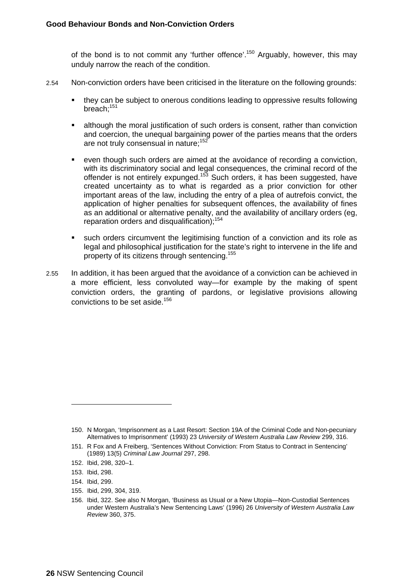of the bond is to not commit any 'further offence'.<sup>150</sup> Arguably, however, this may unduly narrow the reach of the condition.

- 2.54 Non-conviction orders have been criticised in the literature on the following grounds:
	- they can be subject to onerous conditions leading to oppressive results following breach;151
	- although the moral justification of such orders is consent, rather than conviction and coercion, the unequal bargaining power of the parties means that the orders are not truly consensual in nature;<sup>152</sup>
	- even though such orders are aimed at the avoidance of recording a conviction, with its discriminatory social and legal consequences, the criminal record of the offender is not entirely expunged.<sup>153</sup> Such orders, it has been suggested, have created uncertainty as to what is regarded as a prior conviction for other important areas of the law, including the entry of a plea of autrefois convict, the application of higher penalties for subsequent offences, the availability of fines as an additional or alternative penalty, and the availability of ancillary orders (eg, reparation orders and disqualification);<sup>154</sup>
	- such orders circumvent the legitimising function of a conviction and its role as legal and philosophical justification for the state's right to intervene in the life and property of its citizens through sentencing.155
- 2.55 In addition, it has been argued that the avoidance of a conviction can be achieved in a more efficient, less convoluted way—for example by the making of spent conviction orders, the granting of pardons, or legislative provisions allowing convictions to be set aside.<sup>156</sup>

- 154. Ibid, 299.
- 155. Ibid, 299, 304, 319.

<sup>150.</sup> N Morgan, 'Imprisonment as a Last Resort: Section 19A of the Criminal Code and Non-pecuniary Alternatives to Imprisonment' (1993) 23 *University of Western Australia Law Review* 299, 316.

<sup>151.</sup> R Fox and A Freiberg, 'Sentences Without Conviction: From Status to Contract in Sentencing' (1989) 13(5) *Criminal Law Journal* 297, 298.

<sup>152.</sup> Ibid, 298, 320–1.

<sup>153.</sup> Ibid, 298.

<sup>156.</sup> Ibid, 322. See also N Morgan, 'Business as Usual or a New Utopia—Non-Custodial Sentences under Western Australia's New Sentencing Laws' (1996) 26 *University of Western Australia Law Review* 360, 375.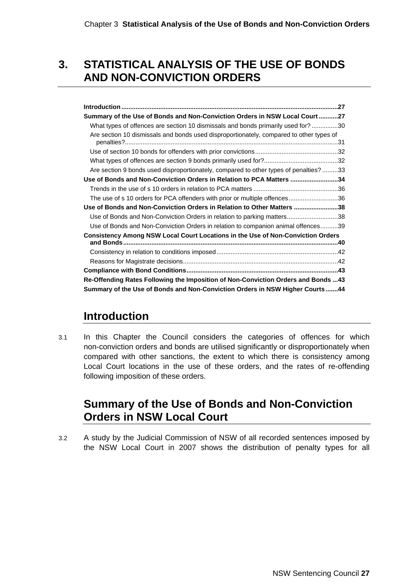## **3. STATISTICAL ANALYSIS OF THE USE OF BONDS AND NON-CONVICTION ORDERS**

| Summary of the Use of Bonds and Non-Conviction Orders in NSW Local Court27              |
|-----------------------------------------------------------------------------------------|
| What types of offences are section 10 dismissals and bonds primarily used for? 30       |
| Are section 10 dismissals and bonds used disproportionately, compared to other types of |
|                                                                                         |
|                                                                                         |
|                                                                                         |
| Are section 9 bonds used disproportionately, compared to other types of penalties?33    |
| Use of Bonds and Non-Conviction Orders in Relation to PCA Matters 34                    |
|                                                                                         |
| The use of s 10 orders for PCA offenders with prior or multiple offences36              |
| Use of Bonds and Non-Conviction Orders in Relation to Other Matters 38                  |
| Use of Bonds and Non-Conviction Orders in relation to parking matters38                 |
| Use of Bonds and Non-Conviction Orders in relation to companion animal offences39       |
| Consistency Among NSW Local Court Locations in the Use of Non-Conviction Orders         |
|                                                                                         |
|                                                                                         |
|                                                                                         |
|                                                                                         |
| Re-Offending Rates Following the Imposition of Non-Conviction Orders and Bonds 43       |
| Summary of the Use of Bonds and Non-Conviction Orders in NSW Higher Courts44            |

## **Introduction**

3.1 In this Chapter the Council considers the categories of offences for which non-conviction orders and bonds are utilised significantly or disproportionately when compared with other sanctions, the extent to which there is consistency among Local Court locations in the use of these orders, and the rates of re-offending following imposition of these orders.

## **Summary of the Use of Bonds and Non-Conviction Orders in NSW Local Court**

3.2 A study by the Judicial Commission of NSW of all recorded sentences imposed by the NSW Local Court in 2007 shows the distribution of penalty types for all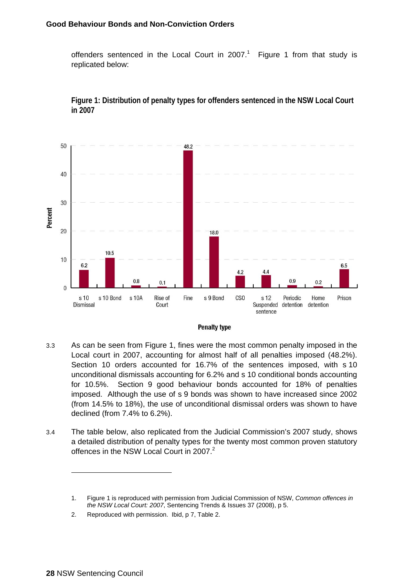offenders sentenced in the Local Court in 2007.<sup>1</sup> Figure 1 from that study is replicated below:



**Figure 1: Distribution of penalty types for offenders sentenced in the NSW Local Court in 2007** 



- 3.3 As can be seen from Figure 1, fines were the most common penalty imposed in the Local court in 2007, accounting for almost half of all penalties imposed (48.2%). Section 10 orders accounted for 16.7% of the sentences imposed, with s 10 unconditional dismissals accounting for 6.2% and s 10 conditional bonds accounting for 10.5%. Section 9 good behaviour bonds accounted for 18% of penalties imposed. Although the use of s 9 bonds was shown to have increased since 2002 (from 14.5% to 18%), the use of unconditional dismissal orders was shown to have declined (from 7.4% to 6.2%).
- 3.4 The table below, also replicated from the Judicial Commission's 2007 study, shows a detailed distribution of penalty types for the twenty most common proven statutory offences in the NSW Local Court in 2007.<sup>2</sup>

<sup>1.</sup> Figure 1 is reproduced with permission from Judicial Commission of NSW, *Common offences in the NSW Local Court: 2007*, Sentencing Trends & Issues 37 (2008), p 5.

<sup>2.</sup> Reproduced with permission. Ibid, p 7, Table 2.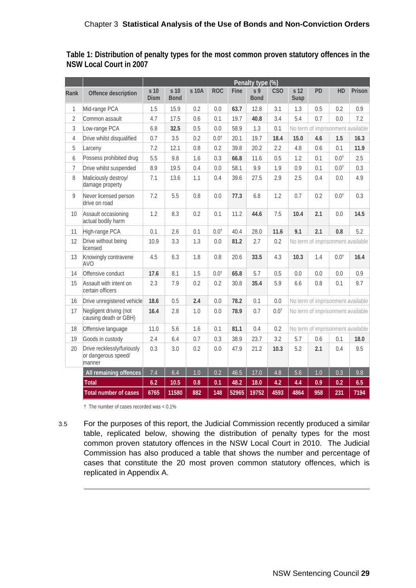|                |                                                             | Penalty type (%)    |                     |       |                  |       |                               |                 |                                   |                                   |                 |        |
|----------------|-------------------------------------------------------------|---------------------|---------------------|-------|------------------|-------|-------------------------------|-----------------|-----------------------------------|-----------------------------------|-----------------|--------|
| Rank           | Offence description                                         | s 10<br><b>Dism</b> | s 10<br><b>Bond</b> | s 10A | <b>ROC</b>       | Fine  | s <sub>9</sub><br><b>Bond</b> | C <sub>SO</sub> | s 12<br>Susp                      | PD                                | <b>HD</b>       | Prison |
| 1              | Mid-range PCA                                               | 1.5                 | 15.9                | 0.2   | 0.0              | 63.7  | 12.8                          | 3.1             | 1.3                               | 0.5                               | 0.2             | 0.9    |
| $\overline{2}$ | Common assault                                              | 4.7                 | 17.5                | 0.6   | 0.1              | 19.7  | 40.8                          | 3.4             | 5.4                               | 0.7                               | 0.0             | 7.2    |
| 3              | Low-range PCA                                               | 6.8                 | 32.5                | 0.5   | 0.0              | 58.9  | 1.3                           | 0.1             |                                   | No term of imprisonment available |                 |        |
| $\overline{4}$ | Drive whilst disqualified                                   | 0.7                 | 3.5                 | 0.2   | $0.0^{\dagger}$  | 20.1  | 19.7                          | 18.4            | 15.0                              | 4.6                               | 1.5             | 16.3   |
| 5              | Larceny                                                     | 7.2                 | 12.1                | 0.8   | 0.2              | 39.8  | 20.2                          | 2.2             | 4.8                               | 0.6                               | 0.1             | 11.9   |
| 6              | Possess prohibited drug                                     | 5.5                 | 9.8                 | 1.6   | 0.3              | 66.8  | 11.6                          | 0.5             | 1.2                               | 0.1                               | $0.0^{\dagger}$ | 2.5    |
| $\overline{7}$ | Drive whilst suspended                                      | 8.9                 | 19.5                | 0.4   | 0.0              | 58.1  | 9.9                           | 1.9             | 0.9                               | 0.1                               | $0.0^{\dagger}$ | 0.3    |
| 8              | Maliciously destroy/<br>damage property                     | 7.1                 | 13.6                | 1.1   | 0.4              | 39.6  | 27.5                          | 2.9             | 2.5                               | 0.4                               | 0.0             | 4.9    |
| 9              | Never licensed person<br>drive on road                      | 7.2                 | 5.5                 | 0.8   | 0.0              | 77.3  | 6.8                           | 1.2             | 0.7                               | 0.2                               | $0.0^{\dagger}$ | 0.3    |
| 10             | Assault occasioning<br>actual bodily harm                   | 1.2                 | 8.3                 | 0.2   | 0.1              | 11.2  | 44.6                          | 7.5             | 10.4                              | 2.1                               | 0.0             | 14.5   |
| 11             | High-range PCA                                              | 0.1                 | 2.6                 | 0.1   | 0.0 <sup>†</sup> | 40.4  | 28.0                          | 11.6            | 9.1                               | 2.1                               | 0.8             | 5.2    |
| 12             | Drive without being<br>licensed                             | 10.9                | 3.3                 | 1.3   | 0.0              | 81.2  | 2.7                           | 0.2             | No term of imprisonment available |                                   |                 |        |
| 13             | Knowingly contravene<br><b>AVO</b>                          | 4.5                 | 6.3                 | 1.8   | 0.8              | 20.6  | 33.5                          | 4.3             | 10.3                              | 1.4                               | $0.0^{\dagger}$ | 16.4   |
| 14             | Offensive conduct                                           | 17.6                | 8.1                 | 1.5   | $0.0^{\dagger}$  | 65.8  | 5.7                           | 0.5             | 0.0                               | 0.0                               | 0.0             | 0.9    |
| 15             | Assault with intent on<br>certain officers                  | 2.3                 | 7.9                 | 0.2   | 0.2              | 30.8  | 35.4                          | 5.9             | 6.6                               | 0.8                               | 0.1             | 9.7    |
| 16             | Drive unregistered vehicle                                  | 18.6                | 0.5                 | 2.4   | 0.0              | 78.2  | 0.1                           | 0.0             |                                   | No term of imprisonment available |                 |        |
| 17             | Negligent driving (not<br>causing death or GBH)             | 16.4                | 2.8                 | 1.0   | 0.0              | 78.9  | 0.7                           | $0.0^{\dagger}$ | No term of imprisonment available |                                   |                 |        |
| 18             | Offensive language                                          | 11.0                | 5.6                 | 1.6   | 0.1              | 81.1  | 0.4                           | 0.2             | No term of imprisonment available |                                   |                 |        |
| 19             | Goods in custody                                            | 2.4                 | 6.4                 | 0.7   | 0.3              | 38.9  | 23.7                          | 3.2             | 5.7                               | 0.6                               | 0.1             | 18.0   |
| 20             | Drive recklessly/furiously<br>or dangerous speed/<br>manner | 0.3                 | 3.0                 | 0.2   | 0.0              | 47.9  | 21.2                          | 10.3            | 5.2                               | 2.1                               | 0.4             | 9.5    |
|                | All remaining offences                                      | 7.4                 | 6.4                 | 1.0   | 0.2              | 46.5  | 17.0                          | 4.8             | 5.6                               | 1.0                               | 0.3             | 9.8    |
|                | <b>Total</b>                                                | 6.2                 | 10.5                | 0.8   | 0.1              | 48.2  | 18.0                          | 4.2             | 4.4                               | 0.9                               | 0.2             | 6.5    |
|                | <b>Total number of cases</b>                                | 6765                | 11580               | 882   | 148              | 52965 | 19752                         | 4593            | 4864                              | 958                               | 231             | 7194   |

**Table 1: Distribution of penalty types for the most common proven statutory offences in the NSW Local Court in 2007** 

† The number of cases recorded was < 0.1%

3.5 For the purposes of this report, the Judicial Commission recently produced a similar table, replicated below, showing the distribution of penalty types for the most common proven statutory offences in the NSW Local Court in 2010. The Judicial Commission has also produced a table that shows the number and percentage of cases that constitute the 20 most proven common statutory offences, which is replicated in Appendix A.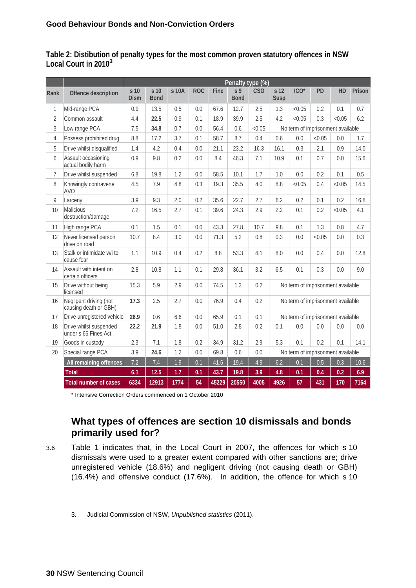**Table 2: Distibution of penalty types for the most common proven statutory offences in NSW Local Court in 2010<sup>3</sup>**

|                |                                                 | Penalty type (%)               |                     |       |            |       |                               |            |                                   |                                   |           |        |        |
|----------------|-------------------------------------------------|--------------------------------|---------------------|-------|------------|-------|-------------------------------|------------|-----------------------------------|-----------------------------------|-----------|--------|--------|
| Rank           | Offence description                             | s <sub>10</sub><br><b>Dism</b> | s 10<br><b>Bond</b> | s 10A | <b>ROC</b> | Fine  | S <sub>9</sub><br><b>Bond</b> | <b>CSO</b> | s <sub>12</sub><br>Susp           | ICO <sup>*</sup>                  | <b>PD</b> | HD     | Prison |
| $\mathbf{1}$   | Mid-range PCA                                   | 0.9                            | 13.5                | 0.5   | 0.0        | 67.6  | 12.7                          | 2.5        | 1.3                               | < 0.05                            | 0.2       | 0.1    | 0.7    |
| $\overline{2}$ | Common assault                                  | 4.4                            | 22.5                | 0.9   | 0.1        | 18.9  | 39.9                          | 2.5        | 4.2                               | < 0.05                            | 0.3       | < 0.05 | 6.2    |
| 3              | Low range PCA                                   | 7.5                            | 34.8                | 0.7   | 0.0        | 56.4  | 0.6                           | < 0.05     |                                   | No term of imprisonment available |           |        |        |
| $\overline{4}$ | Possess prohibited drug                         | 8.8                            | 17.2                | 3.7   | 0.1        | 58.7  | 8.7                           | 0.4        | 0.6                               | 0.0                               | < 0.05    | 0.0    | 1.7    |
| 5              | Drive whilst disqualified                       | 1.4                            | 4.2                 | 0.4   | 0.0        | 21.1  | 23.2                          | 16.3       | 16.1                              | 0.3                               | 2.1       | 0.9    | 14.0   |
| 6              | Assault occasioning<br>actual bodily harm       | 0.9                            | 9.8                 | 0.2   | 0.0        | 8.4   | 46.3                          | 7.1        | 10.9                              | 0.1                               | 0.7       | 0.0    | 15.6   |
| 7              | Drive whilst suspended                          | 6.8                            | 19.8                | 1.2   | 0.0        | 58.5  | 10.1                          | 1.7        | 1.0                               | 0.0                               | 0.2       | 0.1    | 0.5    |
| 8              | Knowingly contravene<br>AVO                     | 4.5                            | 7.9                 | 4.8   | 0.3        | 19.3  | 35.5                          | 4.0        | 8.8                               | < 0.05                            | 0.4       | < 0.05 | 14.5   |
| 9              | Larceny                                         | 3.9                            | 9.3                 | 2.0   | 0.2        | 35.6  | 22.7                          | 2.7        | 6.2                               | 0.2                               | 0.1       | 0.2    | 16.8   |
| 10             | Malicious<br>destruction/damage                 | 7.2                            | 16.5                | 2.7   | 0.1        | 39.6  | 24.3                          | 2.9        | 2.2                               | 0.1                               | 0.2       | < 0.05 | 4.1    |
| 11             | High range PCA                                  | 0.1                            | 1.5                 | 0.1   | 0.0        | 43.3  | 27.8                          | 10.7       | 9.8                               | 0.1                               | 1.3       | 0.8    | 4.7    |
| 12             | Never licensed person<br>drive on road          | 10.7                           | 8.4                 | 3.0   | 0.0        | 71.3  | 5.2                           | 0.8        | 0.3                               | 0.0                               | < 0.05    | 0.0    | 0.3    |
| 13             | Stalk or intimidate w/i to<br>cause fear        | 1.1                            | 10.9                | 0.4   | 0.2        | 8.8   | 53.3                          | 4.1        | 8.0                               | 0.0                               | 0.4       | 0.0    | 12.8   |
| 14             | Assault with intent on<br>certain officers      | 2.8                            | 10.8                | 1.1   | 0.1        | 29.8  | 36.1                          | 3.2        | 6.5                               | 0.1                               | 0.3       | 0.0    | 9.0    |
| 15             | Drive without being<br>licensed                 | 15.3                           | 5.9                 | 2.9   | 0.0        | 74.5  | 1.3                           | 0.2        |                                   | No term of imprisonment available |           |        |        |
| 16             | Negligent driving (not<br>causing death or GBH) | 17.3                           | 2.5                 | 2.7   | 0.0        | 76.9  | 0.4                           | 0.2        |                                   | No term of imprisonment available |           |        |        |
| 17             | Drive unregistered vehicle                      | 26.9                           | 0.6                 | 6.6   | 0.0        | 65.9  | 0.1                           | 0.1        |                                   | No term of imprisonment available |           |        |        |
| 18             | Drive whilst suspended<br>under s 66 Fines Act  | 22.2                           | 21.9                | 1.8   | 0.0        | 51.0  | 2.8                           | 0.2        | 0.1                               | 0.0                               | 0.0       | 0.0    | 0.0    |
| 19             | Goods in custody                                | 2.3                            | 7.1                 | 1.8   | 0.2        | 34.9  | 31.2                          | 2.9        | 5.3                               | 0.1                               | 0.2       | 0.1    | 14.1   |
| 20             | Special range PCA                               | 3.9                            | 24.6                | 1.2   | 0.0        | 69.8  | 0.6                           | 0.0        | No term of imprisonment available |                                   |           |        |        |
|                | All remaining offences                          | 7.2                            | 7.4                 | 1.9   | 0.1        | 41.6  | 19.4                          | 4.9        | 6.2                               | 0.1                               | 0.5       | 0.3    | 10.6   |
|                | <b>Total</b>                                    | 6.1                            | 12.5                | 1.7   | 0.1        | 43.7  | 19.8                          | 3.9        | 4.8                               | 0.1                               | 0.4       | 0.2    | 6.9    |
|                | <b>Total number of cases</b>                    | 6334                           | 12913               | 1774  | 54         | 45229 | 20550                         | 4005       | 4926                              | 57                                | 431       | 170    | 7164   |

\* Intensive Correction Orders commenced on 1 October 2010

#### **What types of offences are section 10 dismissals and bonds primarily used for?**

3.6 Table 1 indicates that, in the Local Court in 2007, the offences for which s 10 dismissals were used to a greater extent compared with other sanctions are; drive unregistered vehicle (18.6%) and negligent driving (not causing death or GBH) (16.4%) and offensive conduct (17.6%). In addition, the offence for which s 10

<sup>3.</sup> Judicial Commission of NSW, *Unpublished statistics* (2011).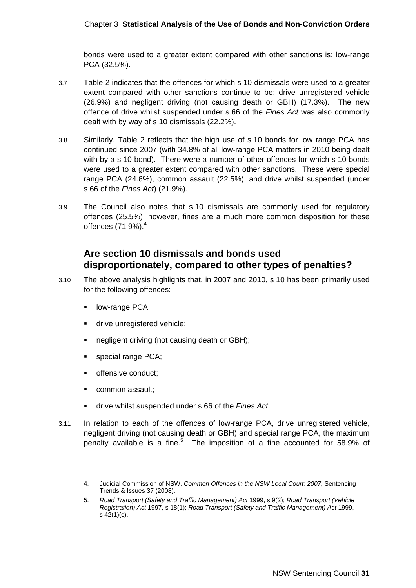#### Chapter 3 **Statistical Analysis of the Use of Bonds and Non-Conviction Orders**

bonds were used to a greater extent compared with other sanctions is: low-range PCA (32.5%).

- 3.7 Table 2 indicates that the offences for which s 10 dismissals were used to a greater extent compared with other sanctions continue to be: drive unregistered vehicle (26.9%) and negligent driving (not causing death or GBH) (17.3%). The new offence of drive whilst suspended under s 66 of the *Fines Act* was also commonly dealt with by way of s 10 dismissals (22.2%).
- 3.8 Similarly, Table 2 reflects that the high use of s 10 bonds for low range PCA has continued since 2007 (with 34.8% of all low-range PCA matters in 2010 being dealt with by a s 10 bond). There were a number of other offences for which s 10 bonds were used to a greater extent compared with other sanctions. These were special range PCA (24.6%), common assault (22.5%), and drive whilst suspended (under s 66 of the *Fines Act*) (21.9%).
- 3.9 The Council also notes that s 10 dismissals are commonly used for regulatory offences (25.5%), however, fines are a much more common disposition for these offences (71.9%).<sup>4</sup>

### **Are section 10 dismissals and bonds used disproportionately, compared to other types of penalties?**

- 3.10 The above analysis highlights that, in 2007 and 2010, s 10 has been primarily used for the following offences:
	- **-** low-range PCA;
	- drive unregistered vehicle;
	- negligent driving (not causing death or GBH);
	- special range PCA;
	- **•** offensive conduct;
	- **•** common assault;

- drive whilst suspended under s 66 of the *Fines Act*.
- 3.11 In relation to each of the offences of low-range PCA, drive unregistered vehicle, negligent driving (not causing death or GBH) and special range PCA, the maximum penalty available is a fine.<sup>5</sup> The imposition of a fine accounted for 58.9% of

<sup>4.</sup> Judicial Commission of NSW, *Common Offences in the NSW Local Court: 2007,* Sentencing Trends & Issues 37 (2008).

<sup>5.</sup> *Road Transport (Safety and Traffic Management) Act* 1999, s 9(2); *Road Transport (Vehicle Registration) Act* 1997, s 18(1); *Road Transport (Safety and Traffic Management) Act* 1999, s 42(1)(c).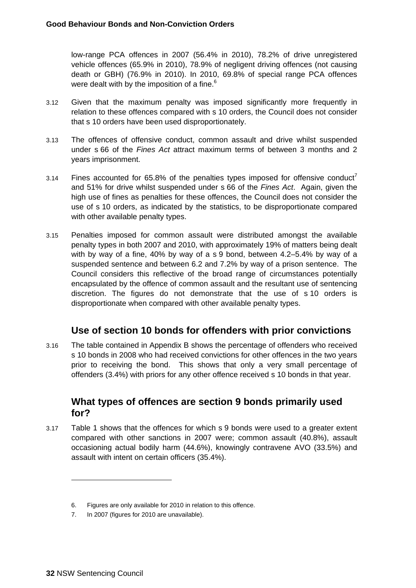low-range PCA offences in 2007 (56.4% in 2010), 78.2% of drive unregistered vehicle offences (65.9% in 2010), 78.9% of negligent driving offences (not causing death or GBH) (76.9% in 2010). In 2010, 69.8% of special range PCA offences were dealt with by the imposition of a fine.<sup>6</sup>

- 3.12 Given that the maximum penalty was imposed significantly more frequently in relation to these offences compared with s 10 orders, the Council does not consider that s 10 orders have been used disproportionately.
- 3.13 The offences of offensive conduct, common assault and drive whilst suspended under s 66 of the *Fines Act* attract maximum terms of between 3 months and 2 years imprisonment.
- 3.14 Fines accounted for 65.8% of the penalties types imposed for offensive conduct<sup>7</sup> and 51% for drive whilst suspended under s 66 of the *Fines Act*. Again, given the high use of fines as penalties for these offences, the Council does not consider the use of s 10 orders, as indicated by the statistics, to be disproportionate compared with other available penalty types.
- 3.15 Penalties imposed for common assault were distributed amongst the available penalty types in both 2007 and 2010, with approximately 19% of matters being dealt with by way of a fine, 40% by way of a s 9 bond, between 4.2–5.4% by way of a suspended sentence and between 6.2 and 7.2% by way of a prison sentence. The Council considers this reflective of the broad range of circumstances potentially encapsulated by the offence of common assault and the resultant use of sentencing discretion. The figures do not demonstrate that the use of s 10 orders is disproportionate when compared with other available penalty types.

### **Use of section 10 bonds for offenders with prior convictions**

3.16 The table contained in Appendix B shows the percentage of offenders who received s 10 bonds in 2008 who had received convictions for other offences in the two years prior to receiving the bond. This shows that only a very small percentage of offenders (3.4%) with priors for any other offence received s 10 bonds in that year.

#### **What types of offences are section 9 bonds primarily used for?**

3.17 Table 1 shows that the offences for which s 9 bonds were used to a greater extent compared with other sanctions in 2007 were; common assault (40.8%), assault occasioning actual bodily harm (44.6%), knowingly contravene AVO (33.5%) and assault with intent on certain officers (35.4%).

<sup>6.</sup> Figures are only available for 2010 in relation to this offence.

<sup>7.</sup> In 2007 (figures for 2010 are unavailable).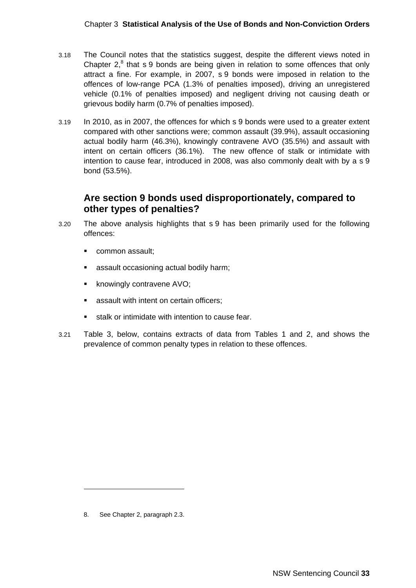- 3.18 The Council notes that the statistics suggest, despite the different views noted in Chapter  $2$ ,<sup>8</sup> that s 9 bonds are being given in relation to some offences that only attract a fine. For example, in 2007, s 9 bonds were imposed in relation to the offences of low-range PCA (1.3% of penalties imposed), driving an unregistered vehicle (0.1% of penalties imposed) and negligent driving not causing death or grievous bodily harm (0.7% of penalties imposed).
- 3.19 In 2010, as in 2007, the offences for which s 9 bonds were used to a greater extent compared with other sanctions were; common assault (39.9%), assault occasioning actual bodily harm (46.3%), knowingly contravene AVO (35.5%) and assault with intent on certain officers (36.1%). The new offence of stalk or intimidate with intention to cause fear, introduced in 2008, was also commonly dealt with by a s 9 bond (53.5%).

### **Are section 9 bonds used disproportionately, compared to other types of penalties?**

- 3.20 The above analysis highlights that s 9 has been primarily used for the following offences:
	- **•** common assault;
	- assault occasioning actual bodily harm;
	- **K** knowingly contravene AVO;
	- **assault with intent on certain officers;**
	- stalk or intimidate with intention to cause fear.
- 3.21 Table 3, below, contains extracts of data from Tables 1 and 2, and shows the prevalence of common penalty types in relation to these offences.

<sup>8.</sup> See Chapter 2, paragraph 2.3.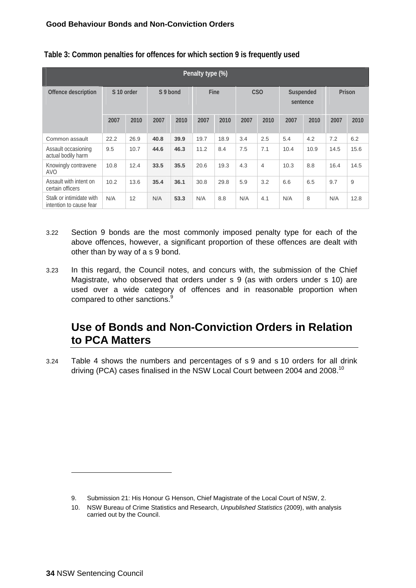| Penalty type (%)                                    |            |      |          |      |      |      |                 |                |                       |      |        |      |
|-----------------------------------------------------|------------|------|----------|------|------|------|-----------------|----------------|-----------------------|------|--------|------|
| Offence description                                 | S 10 order |      | S 9 bond |      | Fine |      | C <sub>SO</sub> |                | Suspended<br>sentence |      | Prison |      |
|                                                     | 2007       | 2010 | 2007     | 2010 | 2007 | 2010 | 2007            | 2010           | 2007                  | 2010 | 2007   | 2010 |
| Common assault                                      | 22.2       | 26.9 | 40.8     | 39.9 | 19.7 | 18.9 | 3.4             | 2.5            | 5.4                   | 4.2  | 7.2    | 6.2  |
| Assault occasioning<br>actual bodily harm           | 9.5        | 10.7 | 44.6     | 46.3 | 11.2 | 8.4  | 7.5             | 7.1            | 10.4                  | 10.9 | 14.5   | 15.6 |
| Knowingly contravene<br>AVO                         | 10.8       | 12.4 | 33.5     | 35.5 | 20.6 | 19.3 | 4.3             | $\overline{4}$ | 10.3                  | 8.8  | 16.4   | 14.5 |
| Assault with intent on<br>certain officers          | 10.2       | 13.6 | 35.4     | 36.1 | 30.8 | 29.8 | 5.9             | 3.2            | 6.6                   | 6.5  | 9.7    | 9    |
| Stalk or intimidate with<br>intention to cause fear | N/A        | 12   | N/A      | 53.3 | N/A  | 8.8  | N/A             | 4.1            | N/A                   | 8    | N/A    | 12.8 |

#### **Table 3: Common penalties for offences for which section 9 is frequently used**

- 3.22 Section 9 bonds are the most commonly imposed penalty type for each of the above offences, however, a significant proportion of these offences are dealt with other than by way of a s 9 bond.
- 3.23 In this regard, the Council notes, and concurs with, the submission of the Chief Magistrate, who observed that orders under s 9 (as with orders under s 10) are used over a wide category of offences and in reasonable proportion when compared to other sanctions.<sup>9</sup>

# **Use of Bonds and Non-Conviction Orders in Relation to PCA Matters**

3.24 Table 4 shows the numbers and percentages of s 9 and s 10 orders for all drink driving (PCA) cases finalised in the NSW Local Court between 2004 and 2008.<sup>10</sup>

<sup>9.</sup> Submission 21: His Honour G Henson, Chief Magistrate of the Local Court of NSW, 2.

<sup>10.</sup> NSW Bureau of Crime Statistics and Research, *Unpublished Statistics* (2009), with analysis carried out by the Council.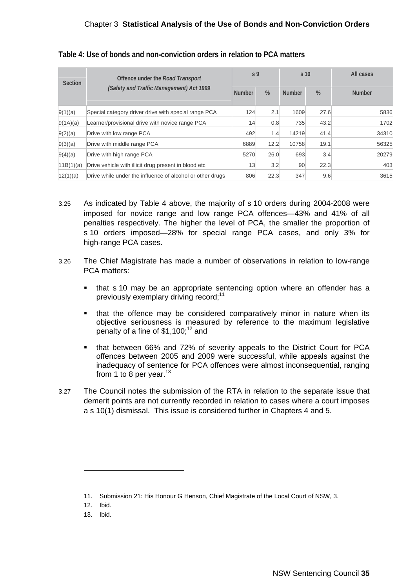#### Chapter 3 **Statistical Analysis of the Use of Bonds and Non-Conviction Orders**

| <b>Section</b> | Offence under the <i>Road Transport</i><br>(Safety and Traffic Management) Act 1999<br><b>Number</b> |      | S <sub>9</sub> | s <sub>10</sub> |      | All cases     |  |
|----------------|------------------------------------------------------------------------------------------------------|------|----------------|-----------------|------|---------------|--|
|                |                                                                                                      |      | $\%$           | <b>Number</b>   | $\%$ | <b>Number</b> |  |
| 9(1)(a)        | Special category driver drive with special range PCA                                                 | 124  | 2.1            | 1609            | 27.6 | 5836          |  |
| 9(1A)(a)       | Learner/provisional drive with novice range PCA                                                      | 14   | 0.8            | 735             | 43.2 | 1702          |  |
| 9(2)(a)        | Drive with low range PCA                                                                             |      | 1.4            | 14219           | 41.4 | 34310         |  |
| 9(3)(a)        | Drive with middle range PCA                                                                          | 6889 | 12.2           | 10758           | 19.1 | 56325         |  |
| 9(4)(a)        | Drive with high range PCA                                                                            | 5270 | 26.0           | 693             | 3.4  | 20279         |  |
| 11B(1)(a)      | Drive vehicle with illicit drug present in blood etc                                                 | 13   | 3.2            | 90              | 22.3 | 403           |  |
| 12(1)(a)       | Drive while under the influence of alcohol or other drugs                                            |      | 22.3           | 347             | 9.6  | 3615          |  |

#### **Table 4: Use of bonds and non-conviction orders in relation to PCA matters**

- 3.25 As indicated by Table 4 above, the majority of s 10 orders during 2004-2008 were imposed for novice range and low range PCA offences—43% and 41% of all penalties respectively. The higher the level of PCA, the smaller the proportion of s 10 orders imposed—28% for special range PCA cases, and only 3% for high-range PCA cases.
- 3.26 The Chief Magistrate has made a number of observations in relation to low-range PCA matters:
	- that s 10 may be an appropriate sentencing option where an offender has a previously exemplary driving record;<sup>11</sup>
	- **\*** that the offence may be considered comparatively minor in nature when its objective seriousness is measured by reference to the maximum legislative penalty of a fine of  $$1,100$ ;<sup>12</sup> and
	- that between 66% and 72% of severity appeals to the District Court for PCA offences between 2005 and 2009 were successful, while appeals against the inadequacy of sentence for PCA offences were almost inconsequential, ranging from 1 to 8 per year. $13$
- 3.27 The Council notes the submission of the RTA in relation to the separate issue that demerit points are not currently recorded in relation to cases where a court imposes a s 10(1) dismissal. This issue is considered further in Chapters 4 and 5.

13. Ibid.

<sup>11.</sup> Submission 21: His Honour G Henson, Chief Magistrate of the Local Court of NSW, 3.

<sup>12.</sup> Ibid.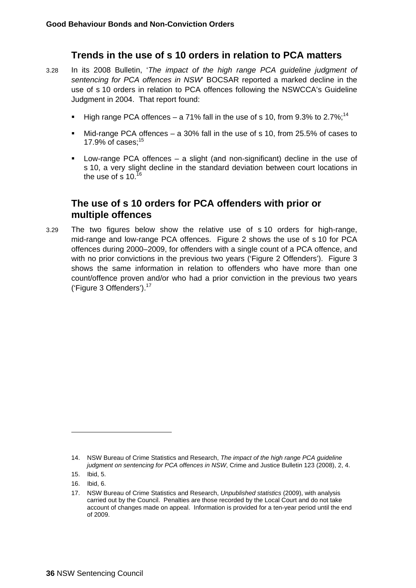### **Trends in the use of s 10 orders in relation to PCA matters**

- 3.28 In its 2008 Bulletin, '*The impact of the high range PCA guideline judgment of sentencing for PCA offences in NSW*' BOCSAR reported a marked decline in the use of s 10 orders in relation to PCA offences following the NSWCCA's Guideline Judgment in 2004. That report found:
	- High range PCA offences a 71% fall in the use of s 10, from  $9.3\%$  to 2.7%:<sup>14</sup>
	- Mid-range PCA offences a 30% fall in the use of s 10, from 25.5% of cases to 17.9% of cases: $15$
	- Low-range PCA offences a slight (and non-significant) decline in the use of s 10, a very slight decline in the standard deviation between court locations in the use of s  $10^{16}$

### **The use of s 10 orders for PCA offenders with prior or multiple offences**

3.29 The two figures below show the relative use of s 10 orders for high-range, mid-range and low-range PCA offences. Figure 2 shows the use of s 10 for PCA offences during 2000–2009, for offenders with a single count of a PCA offence, and with no prior convictions in the previous two years ('Figure 2 Offenders'). Figure 3 shows the same information in relation to offenders who have more than one count/offence proven and/or who had a prior conviction in the previous two years ('Figure 3 Offenders').<sup>17</sup>

<sup>14.</sup> NSW Bureau of Crime Statistics and Research, *The impact of the high range PCA guideline judgment on sentencing for PCA offences in NSW*, Crime and Justice Bulletin 123 (2008), 2, 4.

<sup>15.</sup> Ibid, 5.

<sup>16.</sup> Ibid, 6.

<sup>17.</sup> NSW Bureau of Crime Statistics and Research, *Unpublished statistics* (2009), with analysis carried out by the Council. Penalties are those recorded by the Local Court and do not take account of changes made on appeal. Information is provided for a ten-year period until the end of 2009.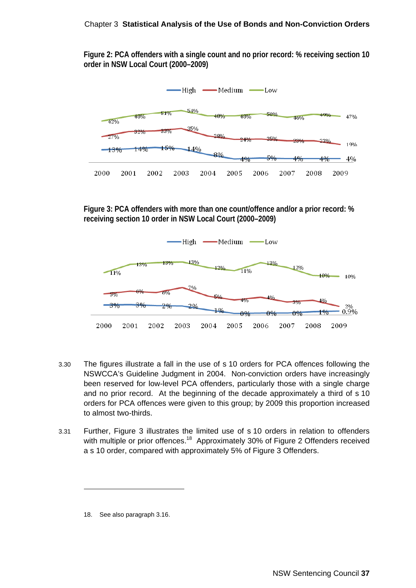#### Chapter 3 **Statistical Analysis of the Use of Bonds and Non-Conviction Orders**

**Figure 2: PCA offenders with a single count and no prior record: % receiving section 10 order in NSW Local Court (2000–2009)** 



**Figure 3: PCA offenders with more than one count/offence and/or a prior record: % receiving section 10 order in NSW Local Court (2000–2009)** 



- 3.30 The figures illustrate a fall in the use of s 10 orders for PCA offences following the NSWCCA's Guideline Judgment in 2004. Non-conviction orders have increasingly been reserved for low-level PCA offenders, particularly those with a single charge and no prior record. At the beginning of the decade approximately a third of s 10 orders for PCA offences were given to this group; by 2009 this proportion increased to almost two-thirds.
- 3.31 Further, Figure 3 illustrates the limited use of s 10 orders in relation to offenders with multiple or prior offences.<sup>18</sup> Approximately 30% of Figure 2 Offenders received a s 10 order, compared with approximately 5% of Figure 3 Offenders.

<sup>18.</sup> See also paragraph 3.16.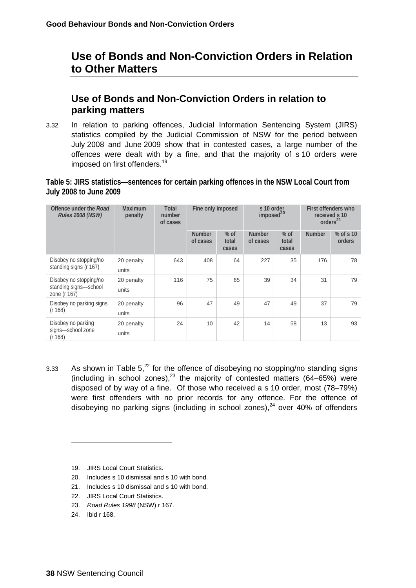## **Use of Bonds and Non-Conviction Orders in Relation to Other Matters**

## **Use of Bonds and Non-Conviction Orders in relation to parking matters**

3.32 In relation to parking offences, Judicial Information Sentencing System (JIRS) statistics compiled by the Judicial Commission of NSW for the period between July 2008 and June 2009 show that in contested cases, a large number of the offences were dealt with by a fine, and that the majority of s 10 orders were imposed on first offenders.<sup>19</sup>

#### **Table 5: JIRS statistics—sentences for certain parking offences in the NSW Local Court from July 2008 to June 2009**

| Offence under the Road<br><b>Rules 2008 (NSW)</b>               | Maximum<br>penalty  | Total<br>number<br>of cases | Fine only imposed         |                          | s 10 order<br>imposed <sup>20</sup> |                          | First offenders who<br>received s 10<br>orders <sup>21</sup> |                       |
|-----------------------------------------------------------------|---------------------|-----------------------------|---------------------------|--------------------------|-------------------------------------|--------------------------|--------------------------------------------------------------|-----------------------|
|                                                                 |                     |                             | <b>Number</b><br>of cases | $%$ of<br>total<br>cases | <b>Number</b><br>of cases           | $%$ of<br>total<br>cases | <b>Number</b>                                                | $%$ of s 10<br>orders |
| Disobey no stopping/no<br>standing signs (r 167)                | 20 penalty<br>units | 643                         | 408                       | 64                       | 227                                 | 35                       | 176                                                          | 78                    |
| Disobey no stopping/no<br>standing signs-school<br>zone (r 167) | 20 penalty<br>units | 116                         | 75                        | 65                       | 39                                  | 34                       | 31                                                           | 79                    |
| Disobey no parking signs<br>(r 168)                             | 20 penalty<br>units | 96                          | 47                        | 49                       | 47                                  | 49                       | 37                                                           | 79                    |
| Disobey no parking<br>signs-school zone<br>(r 168)              | 20 penalty<br>units | 24                          | 10                        | 42                       | 14                                  | 58                       | 13                                                           | 93                    |

- 3.33 As shown in Table  $5^{22}$  for the offence of disobeying no stopping/no standing signs (including in school zones), $^{23}$  the majority of contested matters (64–65%) were disposed of by way of a fine. Of those who received a s 10 order, most (78–79%) were first offenders with no prior records for any offence. For the offence of disobeying no parking signs (including in school zones),  $24$  over 40% of offenders
	- 19. JIRS Local Court Statistics.
	- 20. Includes s 10 dismissal and s 10 with bond.
	- 21. Includes s 10 dismissal and s 10 with bond.
	- 22. JIRS Local Court Statistics.
	- 23. *Road Rules 1998* (NSW) r 167.
	- 24. Ibid r 168.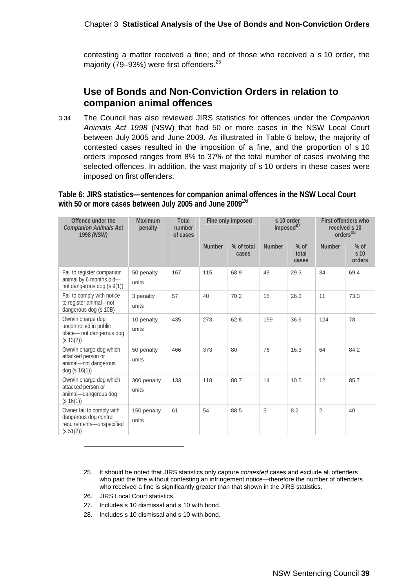contesting a matter received a fine; and of those who received a s 10 order, the majority (79–93%) were first offenders.<sup>25</sup>

### **Use of Bonds and Non-Conviction Orders in relation to companion animal offences**

3.34 The Council has also reviewed JIRS statistics for offences under the *Companion Animals Act 1998* (NSW) that had 50 or more cases in the NSW Local Court between July 2005 and June 2009. As illustrated in Table 6 below, the majority of contested cases resulted in the imposition of a fine, and the proportion of s 10 orders imposed ranges from 8% to 37% of the total number of cases involving the selected offences. In addition, the vast majority of s 10 orders in these cases were imposed on first offenders.

**Table 6: JIRS statistics—sentences for companion animal offences in the NSW Local Court with 50 or more cases between July 2005 and June 2009**<sup>26</sup>

| Offence under the<br><b>Companion Animals Act</b><br>1998 (NSW)                             | Maximum<br>penalty   | Total<br>number<br>of cases |               | Fine only imposed   | s 10 order<br>imposed <sup>27</sup> |                          | First offenders who<br>received s 10<br>orders <sup>28</sup> |                                     |
|---------------------------------------------------------------------------------------------|----------------------|-----------------------------|---------------|---------------------|-------------------------------------|--------------------------|--------------------------------------------------------------|-------------------------------------|
|                                                                                             |                      |                             | <b>Number</b> | % of total<br>cases | <b>Number</b>                       | $%$ of<br>total<br>cases | <b>Number</b>                                                | $%$ of<br>s <sub>10</sub><br>orders |
| Fail to register companion<br>animal by 6 months old-<br>not dangerous dog (s 9(1))         | 50 penalty<br>units  | 167                         | 115           | 68.9                | 49                                  | 29.3                     | 34                                                           | 69.4                                |
| Fail to comply with notice<br>to register animal-not<br>dangerous dog (s 10B)               | 3 penalty<br>units   | 57                          | 40            | 70.2                | 15                                  | 26.3                     | 11                                                           | 73.3                                |
| Own/in charge dog<br>uncontrolled in public<br>place- not dangerous dog<br>(s 13(2))        | 10 penalty<br>units  | 435                         | 273           | 62.8                | 159                                 | 36.6                     | 124                                                          | 78                                  |
| Own/in charge dog which<br>attacked person or<br>animal-not dangerous<br>dog (s 16(1))      | 50 penalty<br>units  | 466                         | 373           | 80                  | 76                                  | 16.3                     | 64                                                           | 84.2                                |
| Own/in charge dog which<br>attacked person or<br>animal-dangerous dog<br>(s 16(1))          | 300 penalty<br>units | 133                         | 118           | 88.7                | 14                                  | 10.5                     | 12                                                           | 85.7                                |
| Owner fail to comply with<br>dangerous dog control<br>requirements-unspecified<br>(s 51(2)) | 150 penalty<br>units | 61                          | 54            | 88.5                | 5                                   | 8.2                      | $\overline{2}$                                               | 40                                  |

- 25. It should be noted that JIRS statistics only capture *contested* cases and exclude all offenders who paid the fine without contesting an infringement notice—therefore the number of offenders who received a fine is significantly greater than that shown in the JIRS statistics.
- 26. JIRS Local Court statistics.

- 27. Includes s 10 dismissal and s 10 with bond.
- 28. Includes s 10 dismissal and s 10 with bond.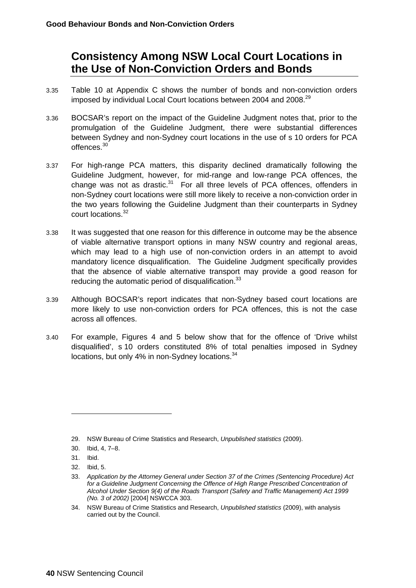## **Consistency Among NSW Local Court Locations in the Use of Non-Conviction Orders and Bonds**

- 3.35 Table 10 at Appendix C shows the number of bonds and non-conviction orders imposed by individual Local Court locations between 2004 and 2008.<sup>29</sup>
- 3.36 BOCSAR's report on the impact of the Guideline Judgment notes that, prior to the promulgation of the Guideline Judgment, there were substantial differences between Sydney and non-Sydney court locations in the use of s 10 orders for PCA offences.30
- 3.37 For high-range PCA matters, this disparity declined dramatically following the Guideline Judgment, however, for mid-range and low-range PCA offences, the change was not as drastic. $31$  For all three levels of PCA offences, offenders in non-Sydney court locations were still more likely to receive a non-conviction order in the two years following the Guideline Judgment than their counterparts in Sydney court locations.32
- 3.38 It was suggested that one reason for this difference in outcome may be the absence of viable alternative transport options in many NSW country and regional areas, which may lead to a high use of non-conviction orders in an attempt to avoid mandatory licence disqualification. The Guideline Judgment specifically provides that the absence of viable alternative transport may provide a good reason for reducing the automatic period of disqualification.<sup>33</sup>
- 3.39 Although BOCSAR's report indicates that non-Sydney based court locations are more likely to use non-conviction orders for PCA offences, this is not the case across all offences.
- 3.40 For example, Figures 4 and 5 below show that for the offence of 'Drive whilst disqualified', s 10 orders constituted 8% of total penalties imposed in Sydney locations, but only 4% in non-Sydney locations.<sup>34</sup>

<sup>29.</sup> NSW Bureau of Crime Statistics and Research, *Unpublished statistics* (2009).

<sup>30.</sup> Ibid, 4, 7–8.

<sup>31.</sup> Ibid.

<sup>32.</sup> Ibid, 5.

<sup>33.</sup> *Application by the Attorney General under Section 37 of the Crimes (Sentencing Procedure) Act*  for a Guideline Judgment Concerning the Offence of High Range Prescribed Concentration of *Alcohol Under Section 9(4) of the Roads Transport (Safety and Traffic Management) Act 1999 (No. 3 of 2002)* [2004] NSWCCA 303.

<sup>34.</sup> NSW Bureau of Crime Statistics and Research, *Unpublished statistics* (2009), with analysis carried out by the Council.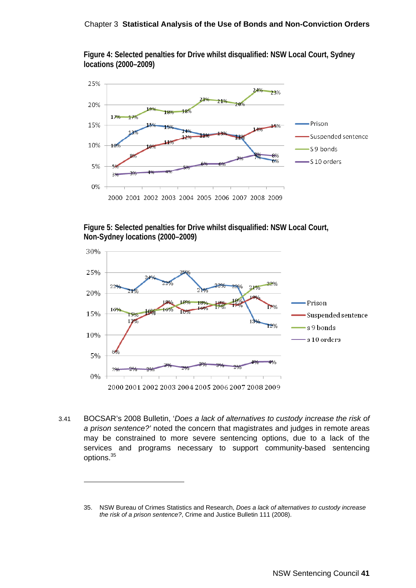#### Chapter 3 **Statistical Analysis of the Use of Bonds and Non-Conviction Orders**

**Figure 4: Selected penalties for Drive whilst disqualified: NSW Local Court, Sydney locations (2000–2009)** 



**Figure 5: Selected penalties for Drive whilst disqualified: NSW Local Court, Non-Sydney locations (2000–2009)** 



3.41 BOCSAR's 2008 Bulletin, '*Does a lack of alternatives to custody increase the risk of a prison sentence?'* noted the concern that magistrates and judges in remote areas may be constrained to more severe sentencing options, due to a lack of the services and programs necessary to support community-based sentencing options.<sup>35</sup>

<sup>35.</sup> NSW Bureau of Crimes Statistics and Research, *Does a lack of alternatives to custody increase the risk of a prison sentence?*, Crime and Justice Bulletin 111 (2008).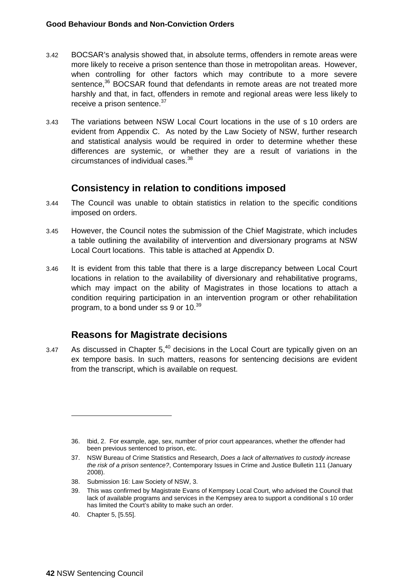- 3.42 BOCSAR's analysis showed that, in absolute terms, offenders in remote areas were more likely to receive a prison sentence than those in metropolitan areas. However, when controlling for other factors which may contribute to a more severe sentence,<sup>36</sup> BOCSAR found that defendants in remote areas are not treated more harshly and that, in fact, offenders in remote and regional areas were less likely to receive a prison sentence.<sup>37</sup>
- 3.43 The variations between NSW Local Court locations in the use of s 10 orders are evident from Appendix C. As noted by the Law Society of NSW, further research and statistical analysis would be required in order to determine whether these differences are systemic, or whether they are a result of variations in the circumstances of individual cases.38

### **Consistency in relation to conditions imposed**

- 3.44 The Council was unable to obtain statistics in relation to the specific conditions imposed on orders.
- 3.45 However, the Council notes the submission of the Chief Magistrate, which includes a table outlining the availability of intervention and diversionary programs at NSW Local Court locations. This table is attached at Appendix D.
- 3.46 It is evident from this table that there is a large discrepancy between Local Court locations in relation to the availability of diversionary and rehabilitative programs, which may impact on the ability of Magistrates in those locations to attach a condition requiring participation in an intervention program or other rehabilitation program, to a bond under ss 9 or 10.<sup>39</sup>

### **Reasons for Magistrate decisions**

3.47 As discussed in Chapter  $5<sup>40</sup>$  decisions in the Local Court are typically given on an ex tempore basis. In such matters, reasons for sentencing decisions are evident from the transcript, which is available on request.

- 38. Submission 16: Law Society of NSW, 3.
- 39. This was confirmed by Magistrate Evans of Kempsey Local Court, who advised the Council that lack of available programs and services in the Kempsey area to support a conditional s 10 order has limited the Court's ability to make such an order.
- 40. Chapter 5, [5.55].

<sup>36.</sup> Ibid, 2. For example, age, sex, number of prior court appearances, whether the offender had been previous sentenced to prison, etc.

<sup>37.</sup> NSW Bureau of Crime Statistics and Research, *Does a lack of alternatives to custody increase the risk of a prison sentence?*, Contemporary Issues in Crime and Justice Bulletin 111 (January 2008).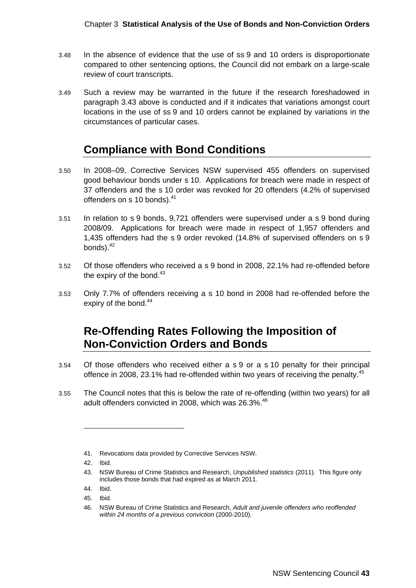#### Chapter 3 **Statistical Analysis of the Use of Bonds and Non-Conviction Orders**

- 3.48 In the absence of evidence that the use of ss 9 and 10 orders is disproportionate compared to other sentencing options, the Council did not embark on a large-scale review of court transcripts.
- 3.49 Such a review may be warranted in the future if the research foreshadowed in paragraph 3.43 above is conducted and if it indicates that variations amongst court locations in the use of ss 9 and 10 orders cannot be explained by variations in the circumstances of particular cases.

# **Compliance with Bond Conditions**

- 3.50 In 2008–09, Corrective Services NSW supervised 455 offenders on supervised good behaviour bonds under s 10. Applications for breach were made in respect of 37 offenders and the s 10 order was revoked for 20 offenders (4.2% of supervised offenders on s 10 bonds).<sup>41</sup>
- 3.51 In relation to s 9 bonds, 9,721 offenders were supervised under a s 9 bond during 2008/09. Applications for breach were made in respect of 1,957 offenders and 1,435 offenders had the s 9 order revoked (14.8% of supervised offenders on s 9 bonds). $42$
- 3.52 Of those offenders who received a s 9 bond in 2008, 22.1% had re-offended before the expiry of the bond. $43$
- 3.53 Only 7.7% of offenders receiving a s 10 bond in 2008 had re-offended before the expiry of the bond.<sup>44</sup>

# **Re-Offending Rates Following the Imposition of Non-Conviction Orders and Bonds**

- 3.54 Of those offenders who received either a s 9 or a s 10 penalty for their principal offence in 2008, 23.1% had re-offended within two years of receiving the penalty.<sup>45</sup>
- 3.55 The Council notes that this is below the rate of re-offending (within two years) for all adult offenders convicted in 2008, which was 26.3%.<sup>46</sup>

<sup>41.</sup> Revocations data provided by Corrective Services NSW.

<sup>42.</sup> Ibid.

<sup>43.</sup> NSW Bureau of Crime Statistics and Research, *Unpublished statistics* (2011). This figure only includes those bonds that had expired as at March 2011.

<sup>44.</sup> Ibid.

<sup>45.</sup> Ibid.

<sup>46.</sup> NSW Bureau of Crime Statistics and Research, *Adult and juvenile offenders who reoffended within 24 months of a previous conviction* (2000-2010)*.*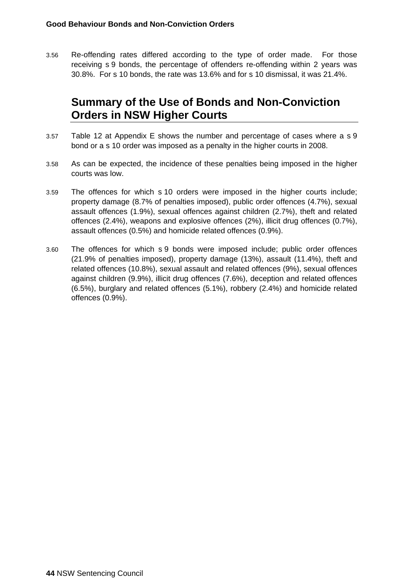3.56 Re-offending rates differed according to the type of order made. For those receiving s 9 bonds, the percentage of offenders re-offending within 2 years was 30.8%. For s 10 bonds, the rate was 13.6% and for s 10 dismissal, it was 21.4%.

# **Summary of the Use of Bonds and Non-Conviction Orders in NSW Higher Courts**

- 3.57 Table 12 at Appendix E shows the number and percentage of cases where a s 9 bond or a s 10 order was imposed as a penalty in the higher courts in 2008.
- 3.58 As can be expected, the incidence of these penalties being imposed in the higher courts was low.
- 3.59 The offences for which s 10 orders were imposed in the higher courts include; property damage (8.7% of penalties imposed), public order offences (4.7%), sexual assault offences (1.9%), sexual offences against children (2.7%), theft and related offences (2.4%), weapons and explosive offences (2%), illicit drug offences (0.7%), assault offences (0.5%) and homicide related offences (0.9%).
- 3.60 The offences for which s 9 bonds were imposed include; public order offences (21.9% of penalties imposed), property damage (13%), assault (11.4%), theft and related offences (10.8%), sexual assault and related offences (9%), sexual offences against children (9.9%), illicit drug offences (7.6%), deception and related offences (6.5%), burglary and related offences (5.1%), robbery (2.4%) and homicide related offences (0.9%).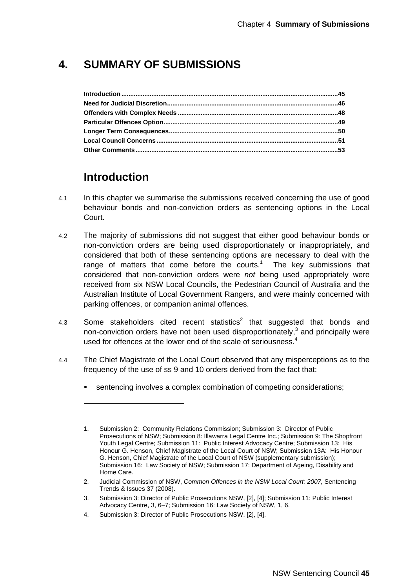# **4. SUMMARY OF SUBMISSIONS**

# **Introduction**

- 4.1 In this chapter we summarise the submissions received concerning the use of good behaviour bonds and non-conviction orders as sentencing options in the Local Court.
- 4.2 The majority of submissions did not suggest that either good behaviour bonds or non-conviction orders are being used disproportionately or inappropriately, and considered that both of these sentencing options are necessary to deal with the range of matters that come before the courts.<sup>1</sup> The key submissions that considered that non-conviction orders were *not* being used appropriately were received from six NSW Local Councils, the Pedestrian Council of Australia and the Australian Institute of Local Government Rangers, and were mainly concerned with parking offences, or companion animal offences.
- 4.3 Some stakeholders cited recent statistics<sup>2</sup> that suggested that bonds and non-conviction orders have not been used disproportionately,<sup>3</sup> and principally were used for offences at the lower end of the scale of seriousness. $4$
- 4.4 The Chief Magistrate of the Local Court observed that any misperceptions as to the frequency of the use of ss 9 and 10 orders derived from the fact that:
	- sentencing involves a complex combination of competing considerations;

<sup>1.</sup> Submission 2: Community Relations Commission; Submission 3: Director of Public Prosecutions of NSW; Submission 8: Illawarra Legal Centre Inc.; Submission 9: The Shopfront Youth Legal Centre; Submission 11: Public Interest Advocacy Centre; Submission 13: His Honour G. Henson, Chief Magistrate of the Local Court of NSW; Submission 13A: His Honour G. Henson, Chief Magistrate of the Local Court of NSW (supplementary submission); Submission 16: Law Society of NSW; Submission 17: Department of Ageing, Disability and Home Care.

<sup>2.</sup> Judicial Commission of NSW, *Common Offences in the NSW Local Court: 2007,* Sentencing Trends & Issues 37 (2008).

<sup>3.</sup> Submission 3: Director of Public Prosecutions NSW, [2], [4]; Submission 11: Public Interest Advocacy Centre, 3, 6–7; Submission 16: Law Society of NSW, 1, 6.

<sup>4.</sup> Submission 3: Director of Public Prosecutions NSW, [2], [4].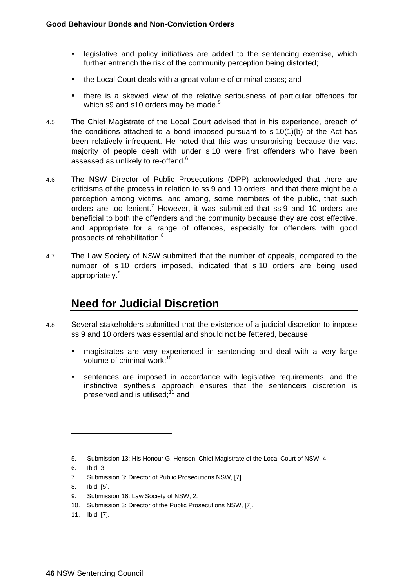- **EXEDENT EXEDENT I** legislative and policy initiatives are added to the sentencing exercise, which further entrench the risk of the community perception being distorted;
- the Local Court deals with a great volume of criminal cases; and
- there is a skewed view of the relative seriousness of particular offences for which s9 and s10 orders may be made.<sup>5</sup>
- 4.5 The Chief Magistrate of the Local Court advised that in his experience, breach of the conditions attached to a bond imposed pursuant to  $s$  10(1)(b) of the Act has been relatively infrequent. He noted that this was unsurprising because the vast majority of people dealt with under s 10 were first offenders who have been assessed as unlikely to re-offend.<sup>6</sup>
- 4.6 The NSW Director of Public Prosecutions (DPP) acknowledged that there are criticisms of the process in relation to ss 9 and 10 orders, and that there might be a perception among victims, and among, some members of the public, that such orders are too lenient.<sup>7</sup> However, it was submitted that ss 9 and 10 orders are beneficial to both the offenders and the community because they are cost effective, and appropriate for a range of offences, especially for offenders with good prospects of rehabilitation.<sup>8</sup>
- 4.7 The Law Society of NSW submitted that the number of appeals, compared to the number of s 10 orders imposed, indicated that s 10 orders are being used appropriately.<sup>9</sup>

# **Need for Judicial Discretion**

- 4.8 Several stakeholders submitted that the existence of a judicial discretion to impose ss 9 and 10 orders was essential and should not be fettered, because:
	- magistrates are very experienced in sentencing and deal with a very large volume of criminal work: $1$ <sup>\*</sup>
	- sentences are imposed in accordance with legislative requirements, and the instinctive synthesis approach ensures that the sentencers discretion is preserved and is utilised: $11$  and

6. Ibid, 3.

- 7. Submission 3: Director of Public Prosecutions NSW, [7].
- 8. Ibid, [5].
- 9. Submission 16: Law Society of NSW, 2.
- 10. Submission 3: Director of the Public Prosecutions NSW, [7].
- 11. Ibid, [7].

<sup>5.</sup> Submission 13: His Honour G. Henson, Chief Magistrate of the Local Court of NSW, 4.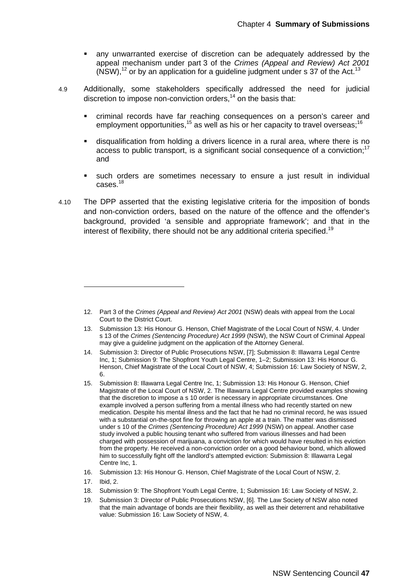- any unwarranted exercise of discretion can be adequately addressed by the appeal mechanism under part 3 of the *Crimes (Appeal and Review) Act 2001*   $(NSW)^{12}$  or by an application for a guideline judgment under s 37 of the Act.<sup>13</sup>
- 4.9 Additionally, some stakeholders specifically addressed the need for judicial discretion to impose non-conviction orders, $14$  on the basis that:
	- criminal records have far reaching consequences on a person's career and employment opportunities,  $15$  as well as his or her capacity to travel overseas;  $16$
	- disqualification from holding a drivers licence in a rural area, where there is no access to public transport, is a significant social consequence of a conviction;<sup>17</sup> and
	- such orders are sometimes necessary to ensure a just result in individual cases.18
- 4.10 The DPP asserted that the existing legislative criteria for the imposition of bonds and non-conviction orders, based on the nature of the offence and the offender's background, provided 'a sensible and appropriate framework'; and that in the interest of flexibility, there should not be any additional criteria specified.<sup>19</sup>

- 18. Submission 9: The Shopfront Youth Legal Centre, 1; Submission 16: Law Society of NSW, 2.
- 19. Submission 3: Director of Public Prosecutions NSW, [6]. The Law Society of NSW also noted that the main advantage of bonds are their flexibility, as well as their deterrent and rehabilitative value: Submission 16: Law Society of NSW, 4.

<sup>12.</sup> Part 3 of the *Crimes (Appeal and Review) Act 2001* (NSW) deals with appeal from the Local Court to the District Court.

<sup>13.</sup> Submission 13: His Honour G. Henson, Chief Magistrate of the Local Court of NSW, 4. Under s 13 of the *Crimes (Sentencing Procedure) Act 1999* (NSW), the NSW Court of Criminal Appeal may give a guideline judgment on the application of the Attorney General.

<sup>14.</sup> Submission 3: Director of Public Prosecutions NSW, [7]; Submission 8: Illawarra Legal Centre Inc, 1; Submission 9: The Shopfront Youth Legal Centre, 1-2; Submission 13: His Honour G. Henson, Chief Magistrate of the Local Court of NSW, 4; Submission 16: Law Society of NSW, 2, 6.

<sup>15.</sup> Submission 8: Illawarra Legal Centre Inc, 1; Submission 13: His Honour G. Henson, Chief Magistrate of the Local Court of NSW, 2. The Illawarra Legal Centre provided examples showing that the discretion to impose a s 10 order is necessary in appropriate circumstances. One example involved a person suffering from a mental illness who had recently started on new medication. Despite his mental illness and the fact that he had no criminal record, he was issued with a substantial on-the-spot fine for throwing an apple at a train. The matter was dismissed under s 10 of the *Crimes (Sentencing Procedure) Act 1999* (NSW) on appeal. Another case study involved a public housing tenant who suffered from various illnesses and had been charged with possession of marijuana, a conviction for which would have resulted in his eviction from the property. He received a non-conviction order on a good behaviour bond, which allowed him to successfully fight off the landlord's attempted eviction: Submission 8: Illawarra Legal Centre Inc, 1.

<sup>16.</sup> Submission 13: His Honour G. Henson, Chief Magistrate of the Local Court of NSW, 2.

<sup>17.</sup> Ibid, 2.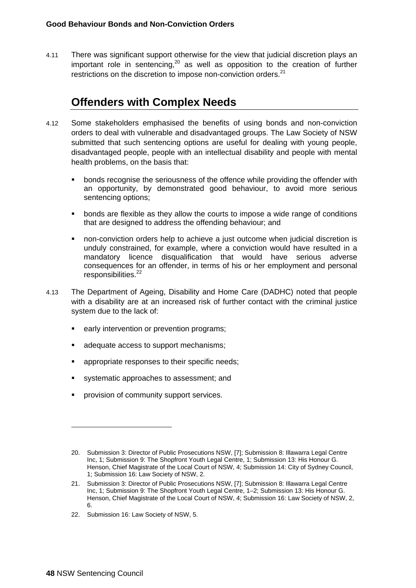4.11 There was significant support otherwise for the view that judicial discretion plays an important role in sentencing, $20$  as well as opposition to the creation of further restrictions on the discretion to impose non-conviction orders.<sup>21</sup>

# **Offenders with Complex Needs**

- 4.12 Some stakeholders emphasised the benefits of using bonds and non-conviction orders to deal with vulnerable and disadvantaged groups. The Law Society of NSW submitted that such sentencing options are useful for dealing with young people, disadvantaged people, people with an intellectual disability and people with mental health problems, on the basis that:
	- bonds recognise the seriousness of the offence while providing the offender with an opportunity, by demonstrated good behaviour, to avoid more serious sentencing options;
	- bonds are flexible as they allow the courts to impose a wide range of conditions that are designed to address the offending behaviour; and
	- non-conviction orders help to achieve a just outcome when judicial discretion is unduly constrained, for example, where a conviction would have resulted in a mandatory licence disqualification that would have serious adverse consequences for an offender, in terms of his or her employment and personal responsibilities.<sup>22</sup>
- 4.13 The Department of Ageing, Disability and Home Care (DADHC) noted that people with a disability are at an increased risk of further contact with the criminal justice system due to the lack of:
	- early intervention or prevention programs;
	- adequate access to support mechanisms;
	- appropriate responses to their specific needs;
	- systematic approaches to assessment; and
	- provision of community support services.

22. Submission 16: Law Society of NSW, 5.

<sup>20.</sup> Submission 3: Director of Public Prosecutions NSW, [7]; Submission 8: Illawarra Legal Centre Inc, 1; Submission 9: The Shopfront Youth Legal Centre, 1; Submission 13: His Honour G. Henson, Chief Magistrate of the Local Court of NSW, 4; Submission 14: City of Sydney Council, 1; Submission 16: Law Society of NSW, 2.

<sup>21.</sup> Submission 3: Director of Public Prosecutions NSW, [7]; Submission 8: Illawarra Legal Centre Inc, 1; Submission 9: The Shopfront Youth Legal Centre, 1-2; Submission 13: His Honour G. Henson, Chief Magistrate of the Local Court of NSW, 4; Submission 16: Law Society of NSW, 2, 6.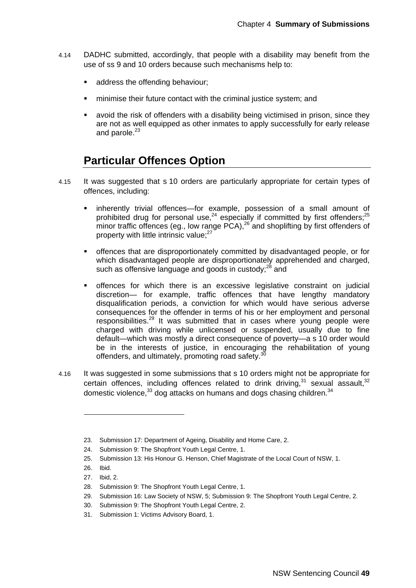- 4.14 DADHC submitted, accordingly, that people with a disability may benefit from the use of ss 9 and 10 orders because such mechanisms help to:
	- address the offending behaviour;
	- minimise their future contact with the criminal justice system; and
	- avoid the risk of offenders with a disability being victimised in prison, since they are not as well equipped as other inmates to apply successfully for early release and parole.<sup>23</sup>

### **Particular Offences Option**

- 4.15 It was suggested that s 10 orders are particularly appropriate for certain types of offences, including:
	- inherently trivial offences—for example, possession of a small amount of prohibited drug for personal use, $24$  especially if committed by first offenders; $25$ minor traffic offences (eg., low range  $PCA$ ),  $^{26}$  and shoplifting by first offenders of property with little intrinsic value:<sup>27</sup>
	- offences that are disproportionately committed by disadvantaged people, or for which disadvantaged people are disproportionately apprehended and charged, such as offensive language and goods in custody; $^{28}$  and
	- offences for which there is an excessive legislative constraint on judicial discretion— for example, traffic offences that have lengthy mandatory disqualification periods, a conviction for which would have serious adverse consequences for the offender in terms of his or her employment and personal responsibilities.29 It was submitted that in cases where young people were charged with driving while unlicensed or suspended, usually due to fine default—which was mostly a direct consequence of poverty—a s 10 order would be in the interests of justice, in encouraging the rehabilitation of young offenders, and ultimately, promoting road safety. $\overline{3}$
- 4.16 It was suggested in some submissions that s 10 orders might not be appropriate for certain offences, including offences related to drink driving, $31$  sexual assault,  $32$ domestic violence,  $33$  dog attacks on humans and dogs chasing children.  $34$

<sup>23.</sup> Submission 17: Department of Ageing, Disability and Home Care, 2.

<sup>24.</sup> Submission 9: The Shopfront Youth Legal Centre, 1.

<sup>25.</sup> Submission 13: His Honour G. Henson, Chief Magistrate of the Local Court of NSW, 1.

<sup>26.</sup> Ibid.

<sup>27.</sup> Ibid, 2.

<sup>28.</sup> Submission 9: The Shopfront Youth Legal Centre, 1.

<sup>29.</sup> Submission 16: Law Society of NSW, 5; Submission 9: The Shopfront Youth Legal Centre, 2.

<sup>30.</sup> Submission 9: The Shopfront Youth Legal Centre, 2.

<sup>31.</sup> Submission 1: Victims Advisory Board, 1.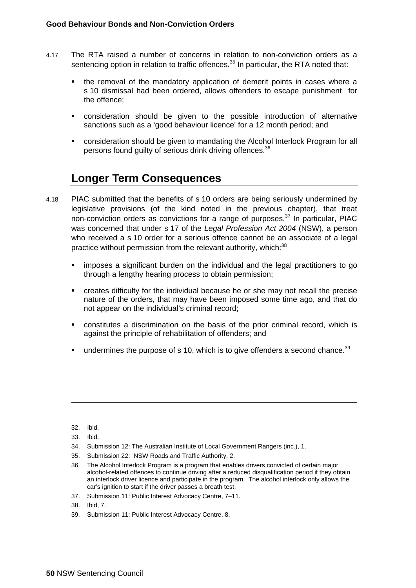- 4.17 The RTA raised a number of concerns in relation to non-conviction orders as a sentencing option in relation to traffic offences.<sup>35</sup> In particular, the RTA noted that:
	- the removal of the mandatory application of demerit points in cases where a s 10 dismissal had been ordered, allows offenders to escape punishment for the offence;
	- consideration should be given to the possible introduction of alternative sanctions such as a 'good behaviour licence' for a 12 month period; and
	- consideration should be given to mandating the Alcohol Interlock Program for all persons found quilty of serious drink driving offences.<sup>36</sup>

# **Longer Term Consequences**

- 4.18 PIAC submitted that the benefits of s 10 orders are being seriously undermined by legislative provisions (of the kind noted in the previous chapter), that treat non-conviction orders as convictions for a range of purposes. $37$  In particular, PIAC was concerned that under s 17 of the *Legal Profession Act 2004* (NSW), a person who received a s 10 order for a serious offence cannot be an associate of a legal practice without permission from the relevant authority, which:<sup>38</sup>
	- imposes a significant burden on the individual and the legal practitioners to go through a lengthy hearing process to obtain permission;
	- creates difficulty for the individual because he or she may not recall the precise nature of the orders, that may have been imposed some time ago, and that do not appear on the individual's criminal record;
	- constitutes a discrimination on the basis of the prior criminal record, which is against the principle of rehabilitation of offenders; and
	- undermines the purpose of  $s$  10, which is to give offenders a second chance.<sup>39</sup>

- 34. Submission 12: The Australian Institute of Local Government Rangers (inc.), 1.
- 35. Submission 22: NSW Roads and Traffic Authority, 2.
- 36. The Alcohol Interlock Program is a program that enables drivers convicted of certain major alcohol-related offences to continue driving after a reduced disqualification period if they obtain an interlock driver licence and participate in the program. The alcohol interlock only allows the car's ignition to start if the driver passes a breath test.
- 37. Submission 11: Public Interest Advocacy Centre, 7–11.
- 38. Ibid, 7.
- 39. Submission 11: Public Interest Advocacy Centre, 8.

<sup>32.</sup> Ibid.

<sup>33.</sup> Ibid.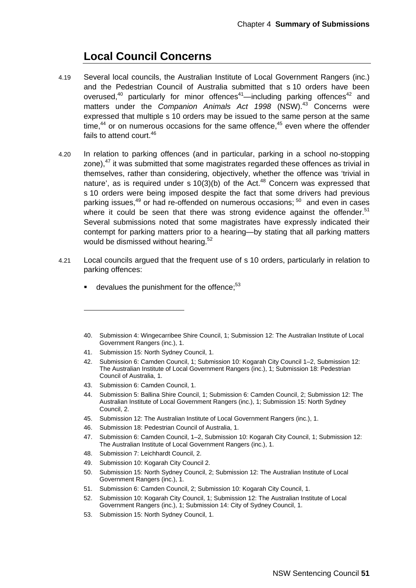## **Local Council Concerns**

- 4.19 Several local councils, the Australian Institute of Local Government Rangers (inc.) and the Pedestrian Council of Australia submitted that s 10 orders have been overused,<sup>40</sup> particularly for minor offences<sup>41</sup>—including parking offences<sup>42</sup> and matters under the *Companion Animals Act 1998* (NSW).43 Concerns were expressed that multiple s 10 orders may be issued to the same person at the same time, $44$  or on numerous occasions for the same offence, $45$  even where the offender fails to attend court.<sup>46</sup>
- 4.20 In relation to parking offences (and in particular, parking in a school no-stopping zone).<sup>47</sup> it was submitted that some magistrates regarded these offences as trivial in themselves, rather than considering, objectively, whether the offence was 'trivial in nature', as is required under s  $10(3)(b)$  of the Act.<sup>48</sup> Concern was expressed that s 10 orders were being imposed despite the fact that some drivers had previous parking issues.<sup>49</sup> or had re-offended on numerous occasions:  $50$  and even in cases where it could be seen that there was strong evidence against the offender.<sup>51</sup> Several submissions noted that some magistrates have expressly indicated their contempt for parking matters prior to a hearing—by stating that all parking matters would be dismissed without hearing.<sup>52</sup>
- 4.21 Local councils argued that the frequent use of s 10 orders, particularly in relation to parking offences:
	- devalues the punishment for the offence;<sup>53</sup>

41. Submission 15: North Sydney Council, 1.

43. Submission 6: Camden Council, 1.

- 44. Submission 5: Ballina Shire Council, 1; Submission 6: Camden Council, 2; Submission 12: The Australian Institute of Local Government Rangers (inc.), 1; Submission 15: North Sydney Council, 2.
- 45. Submission 12: The Australian Institute of Local Government Rangers (inc.), 1.
- 46. Submission 18: Pedestrian Council of Australia, 1.
- 47. Submission 6: Camden Council, 1–2, Submission 10: Kogarah City Council, 1; Submission 12: The Australian Institute of Local Government Rangers (inc.), 1.
- 48. Submission 7: Leichhardt Council, 2.
- 49. Submission 10: Kogarah City Council 2.
- 50. Submission 15: North Sydney Council, 2; Submission 12: The Australian Institute of Local Government Rangers (inc.), 1.
- 51. Submission 6: Camden Council, 2; Submission 10: Kogarah City Council, 1.
- 52. Submission 10: Kogarah City Council, 1; Submission 12: The Australian Institute of Local Government Rangers (inc.), 1; Submission 14: City of Sydney Council, 1.
- 53. Submission 15: North Sydney Council, 1.

<sup>40.</sup> Submission 4: Wingecarribee Shire Council, 1; Submission 12: The Australian Institute of Local Government Rangers (inc.), 1.

<sup>42.</sup> Submission 6: Camden Council, 1; Submission 10: Kogarah City Council 1–2, Submission 12: The Australian Institute of Local Government Rangers (inc.), 1; Submission 18: Pedestrian Council of Australia, 1.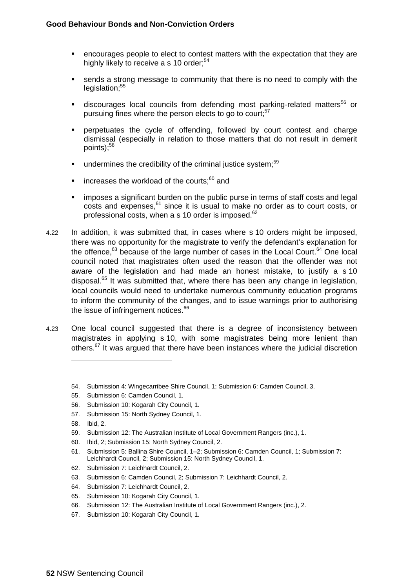- encourages people to elect to contest matters with the expectation that they are highly likely to receive a s 10 order:<sup>54</sup>
- sends a strong message to community that there is no need to comply with the  $legislation; <sup>55</sup>$
- discourages local councils from defending most parking-related matters<sup>56</sup> or pursuing fines where the person elects to go to court;<sup>57</sup>
- perpetuates the cycle of offending, followed by court contest and charge dismissal (especially in relation to those matters that do not result in demerit points); $58$
- undermines the credibility of the criminal justice system; $59$
- increases the workload of the courts: $60$  and
- imposes a significant burden on the public purse in terms of staff costs and legal costs and expenses,<sup>61</sup> since it is usual to make no order as to court costs, or professional costs, when a s 10 order is imposed.<sup>62</sup>
- 4.22 In addition, it was submitted that, in cases where s 10 orders might be imposed, there was no opportunity for the magistrate to verify the defendant's explanation for the offence, $63$  because of the large number of cases in the Local Court. $64$  One local council noted that magistrates often used the reason that the offender was not aware of the legislation and had made an honest mistake, to justify a s 10 disposal.<sup>65</sup> It was submitted that, where there has been any change in legislation, local councils would need to undertake numerous community education programs to inform the community of the changes, and to issue warnings prior to authorising the issue of infringement notices.<sup>66</sup>
- 4.23 One local council suggested that there is a degree of inconsistency between magistrates in applying s 10, with some magistrates being more lenient than others.<sup>67</sup> It was argued that there have been instances where the judicial discretion
	- 54. Submission 4: Wingecarribee Shire Council, 1; Submission 6: Camden Council, 3.
	- 55. Submission 6: Camden Council, 1.
	- 56. Submission 10: Kogarah City Council, 1.
	- 57. Submission 15: North Sydney Council, 1.
	- 58. Ibid, 2.

- 59. Submission 12: The Australian Institute of Local Government Rangers (inc.), 1.
- 60. Ibid, 2; Submission 15: North Sydney Council, 2.
- 61. Submission 5: Ballina Shire Council, 1–2; Submission 6: Camden Council, 1; Submission 7: Leichhardt Council, 2; Submission 15: North Sydney Council, 1.
- 62. Submission 7: Leichhardt Council, 2.
- 63. Submission 6: Camden Council, 2; Submission 7: Leichhardt Council, 2.
- 64. Submission 7: Leichhardt Council, 2.
- 65. Submission 10: Kogarah City Council, 1.
- 66. Submission 12: The Australian Institute of Local Government Rangers (inc.), 2.
- 67. Submission 10: Kogarah City Council, 1.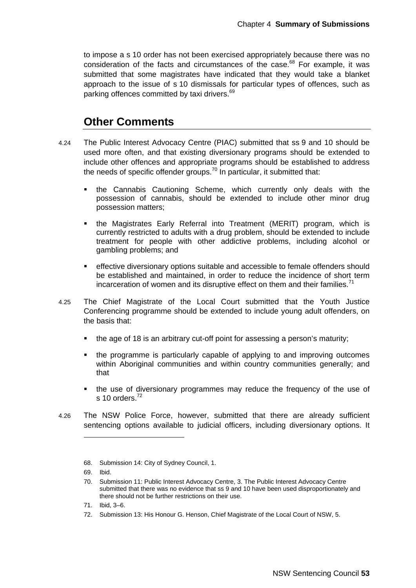to impose a s 10 order has not been exercised appropriately because there was no consideration of the facts and circumstances of the case. $68$  For example, it was submitted that some magistrates have indicated that they would take a blanket approach to the issue of s 10 dismissals for particular types of offences, such as parking offences committed by taxi drivers.<sup>69</sup>

### **Other Comments**

- 4.24 The Public Interest Advocacy Centre (PIAC) submitted that ss 9 and 10 should be used more often, and that existing diversionary programs should be extended to include other offences and appropriate programs should be established to address the needs of specific offender groups.<sup>70</sup> In particular, it submitted that:
	- the Cannabis Cautioning Scheme, which currently only deals with the possession of cannabis, should be extended to include other minor drug possession matters;
	- the Magistrates Early Referral into Treatment (MERIT) program, which is currently restricted to adults with a drug problem, should be extended to include treatment for people with other addictive problems, including alcohol or gambling problems; and
	- effective diversionary options suitable and accessible to female offenders should be established and maintained, in order to reduce the incidence of short term incarceration of women and its disruptive effect on them and their families.<sup>71</sup>
- 4.25 The Chief Magistrate of the Local Court submitted that the Youth Justice Conferencing programme should be extended to include young adult offenders, on the basis that:
	- the age of 18 is an arbitrary cut-off point for assessing a person's maturity;
	- the programme is particularly capable of applying to and improving outcomes within Aboriginal communities and within country communities generally; and that
	- the use of diversionary programmes may reduce the frequency of the use of s 10 orders $^{72}$
- 4.26 The NSW Police Force, however, submitted that there are already sufficient sentencing options available to judicial officers, including diversionary options. It

<sup>68.</sup> Submission 14: City of Sydney Council, 1.

<sup>69.</sup> Ibid.

<sup>70.</sup> Submission 11: Public Interest Advocacy Centre, 3. The Public Interest Advocacy Centre submitted that there was no evidence that ss 9 and 10 have been used disproportionately and there should not be further restrictions on their use.

<sup>71.</sup> Ibid, 3–6.

<sup>72.</sup> Submission 13: His Honour G. Henson, Chief Magistrate of the Local Court of NSW, 5.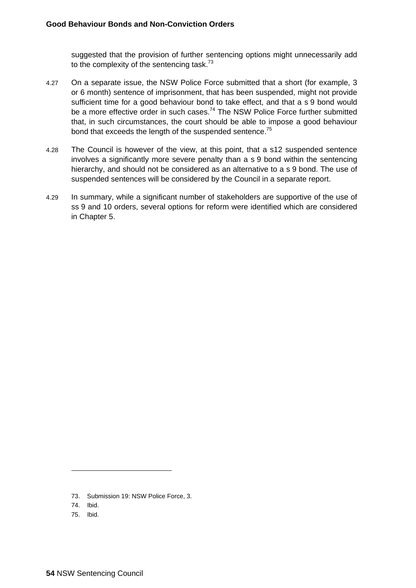suggested that the provision of further sentencing options might unnecessarily add to the complexity of the sentencing task. $73$ 

- 4.27 On a separate issue, the NSW Police Force submitted that a short (for example, 3 or 6 month) sentence of imprisonment, that has been suspended, might not provide sufficient time for a good behaviour bond to take effect, and that a s 9 bond would be a more effective order in such cases.<sup>74</sup> The NSW Police Force further submitted that, in such circumstances, the court should be able to impose a good behaviour bond that exceeds the length of the suspended sentence.<sup>75</sup>
- 4.28 The Council is however of the view, at this point, that a s12 suspended sentence involves a significantly more severe penalty than a s 9 bond within the sentencing hierarchy, and should not be considered as an alternative to a s 9 bond. The use of suspended sentences will be considered by the Council in a separate report.
- 4.29 In summary, while a significant number of stakeholders are supportive of the use of ss 9 and 10 orders, several options for reform were identified which are considered in Chapter 5.

<sup>73.</sup> Submission 19: NSW Police Force, 3.

<sup>74.</sup> Ibid.

<sup>75.</sup> Ibid.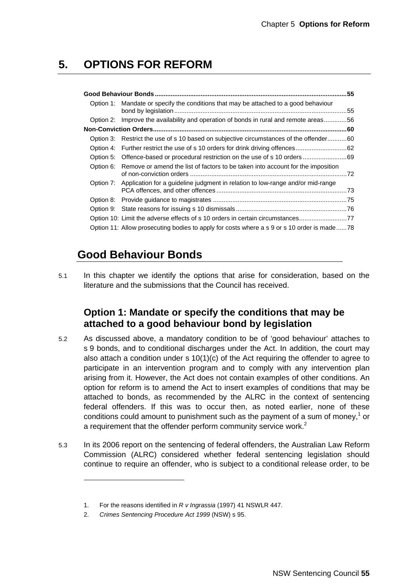## **5. OPTIONS FOR REFORM**

| Option 1: Mandate or specify the conditions that may be attached to a good behaviour       | .55 |
|--------------------------------------------------------------------------------------------|-----|
| Option 2: Improve the availability and operation of bonds in rural and remote areas56      |     |
|                                                                                            |     |
| Option 3: Restrict the use of s 10 based on subjective circumstances of the offender60     |     |
|                                                                                            |     |
| Option 5: Offence-based or procedural restriction on the use of s 10 orders                |     |
| Option 6: Remove or amend the list of factors to be taken into account for the imposition  |     |
| Option 7: Application for a quideline judgment in relation to low-range and/or mid-range   |     |
|                                                                                            |     |
|                                                                                            |     |
| Option 10: Limit the adverse effects of s 10 orders in certain circumstances               |     |
| Option 11: Allow prosecuting bodies to apply for costs where a s 9 or s 10 order is made78 |     |
|                                                                                            |     |

# **Good Behaviour Bonds**

5.1 In this chapter we identify the options that arise for consideration, based on the literature and the submissions that the Council has received.

### **Option 1: Mandate or specify the conditions that may be attached to a good behaviour bond by legislation**

- 5.2 As discussed above, a mandatory condition to be of 'good behaviour' attaches to s 9 bonds, and to conditional discharges under the Act. In addition, the court may also attach a condition under  $s 10(1)(c)$  of the Act requiring the offender to agree to participate in an intervention program and to comply with any intervention plan arising from it. However, the Act does not contain examples of other conditions. An option for reform is to amend the Act to insert examples of conditions that may be attached to bonds, as recommended by the ALRC in the context of sentencing federal offenders. If this was to occur then, as noted earlier, none of these conditions could amount to punishment such as the payment of a sum of money, $<sup>1</sup>$  or</sup> a requirement that the offender perform community service work.<sup>2</sup>
- 5.3 In its 2006 report on the sentencing of federal offenders, the Australian Law Reform Commission (ALRC) considered whether federal sentencing legislation should continue to require an offender, who is subject to a conditional release order, to be

<sup>1.</sup> For the reasons identified in *R v Ingrassia* (1997) 41 NSWLR 447.

<sup>2.</sup> *Crimes Sentencing Procedure Act 1999* (NSW) s 95.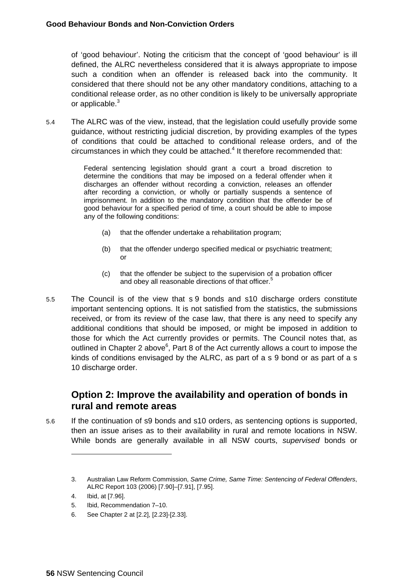of 'good behaviour'. Noting the criticism that the concept of 'good behaviour' is ill defined, the ALRC nevertheless considered that it is always appropriate to impose such a condition when an offender is released back into the community. It considered that there should not be any other mandatory conditions, attaching to a conditional release order, as no other condition is likely to be universally appropriate or applicable.<sup>3</sup>

5.4 The ALRC was of the view, instead, that the legislation could usefully provide some guidance, without restricting judicial discretion, by providing examples of the types of conditions that could be attached to conditional release orders, and of the  $circumstances$  in which they could be attached. $4$  It therefore recommended that:

> Federal sentencing legislation should grant a court a broad discretion to determine the conditions that may be imposed on a federal offender when it discharges an offender without recording a conviction, releases an offender after recording a conviction, or wholly or partially suspends a sentence of imprisonment. In addition to the mandatory condition that the offender be of good behaviour for a specified period of time, a court should be able to impose any of the following conditions:

- (a) that the offender undertake a rehabilitation program;
- (b) that the offender undergo specified medical or psychiatric treatment; or
- (c) that the offender be subject to the supervision of a probation officer and obey all reasonable directions of that officer.<sup>5</sup>
- 5.5 The Council is of the view that s 9 bonds and s10 discharge orders constitute important sentencing options. It is not satisfied from the statistics, the submissions received, or from its review of the case law, that there is any need to specify any additional conditions that should be imposed, or might be imposed in addition to those for which the Act currently provides or permits. The Council notes that, as outlined in Chapter 2 above $6$ , Part 8 of the Act currently allows a court to impose the kinds of conditions envisaged by the ALRC, as part of a s 9 bond or as part of a s 10 discharge order.

### **Option 2: Improve the availability and operation of bonds in rural and remote areas**

5.6 If the continuation of s9 bonds and s10 orders, as sentencing options is supported, then an issue arises as to their availability in rural and remote locations in NSW. While bonds are generally available in all NSW courts, *supervised* bonds or

<sup>3.</sup> Australian Law Reform Commission, *Same Crime, Same Time: Sentencing of Federal Offenders*, ALRC Report 103 (2006) [7.90]–[7.91], [7.95].

<sup>4.</sup> Ibid, at [7.96].

<sup>5.</sup> Ibid, Recommendation 7–10.

<sup>6.</sup> See Chapter 2 at [2.2], [2.23]-[2.33].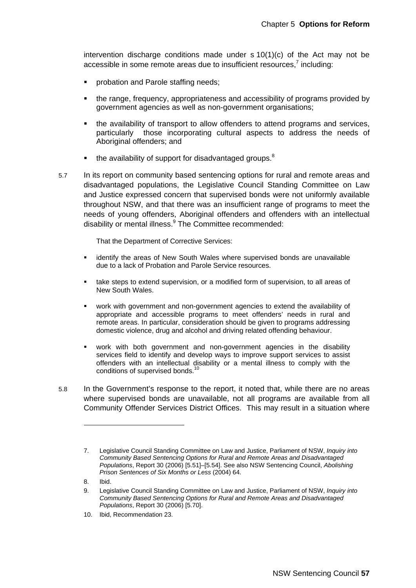intervention discharge conditions made under  $s$  10(1)(c) of the Act may not be accessible in some remote areas due to insufficient resources, $7$  including:

- probation and Parole staffing needs;
- the range, frequency, appropriateness and accessibility of programs provided by government agencies as well as non-government organisations;
- the availability of transport to allow offenders to attend programs and services, particularly those incorporating cultural aspects to address the needs of Aboriginal offenders; and
- the availability of support for disadvantaged groups.<sup>8</sup>
- 5.7 In its report on community based sentencing options for rural and remote areas and disadvantaged populations, the Legislative Council Standing Committee on Law and Justice expressed concern that supervised bonds were not uniformly available throughout NSW, and that there was an insufficient range of programs to meet the needs of young offenders, Aboriginal offenders and offenders with an intellectual disability or mental illness.<sup>9</sup> The Committee recommended:

That the Department of Corrective Services:

- identify the areas of New South Wales where supervised bonds are unavailable due to a lack of Probation and Parole Service resources.
- take steps to extend supervision, or a modified form of supervision, to all areas of New South Wales.
- work with government and non-government agencies to extend the availability of appropriate and accessible programs to meet offenders' needs in rural and remote areas. In particular, consideration should be given to programs addressing domestic violence, drug and alcohol and driving related offending behaviour.
- work with both government and non-government agencies in the disability services field to identify and develop ways to improve support services to assist offenders with an intellectual disability or a mental illness to comply with the conditions of supervised bonds.<sup>10</sup>

5.8 In the Government's response to the report, it noted that, while there are no areas where supervised bonds are unavailable, not all programs are available from all Community Offender Services District Offices. This may result in a situation where

<sup>7.</sup> Legislative Council Standing Committee on Law and Justice, Parliament of NSW, *Inquiry into Community Based Sentencing Options for Rural and Remote Areas and Disadvantaged Populations*, Report 30 (2006) [5.51]–[5.54]. See also NSW Sentencing Council, *Abolishing Prison Sentences of Six Months or Less* (2004) 64.

<sup>8.</sup> Ibid.

<sup>9.</sup> Legislative Council Standing Committee on Law and Justice, Parliament of NSW, *Inquiry into Community Based Sentencing Options for Rural and Remote Areas and Disadvantaged Populations*, Report 30 (2006) [5.70].

<sup>10.</sup> Ibid, Recommendation 23.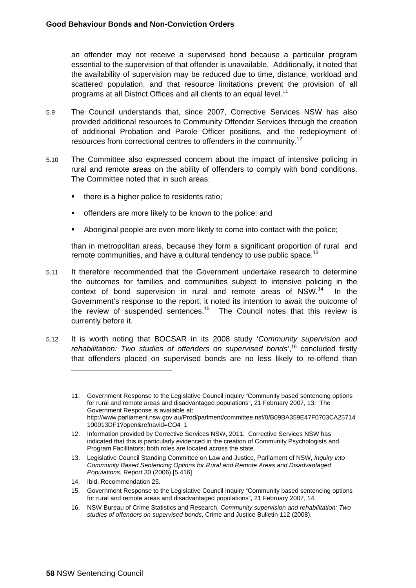an offender may not receive a supervised bond because a particular program essential to the supervision of that offender is unavailable. Additionally, it noted that the availability of supervision may be reduced due to time, distance, workload and scattered population, and that resource limitations prevent the provision of all programs at all District Offices and all clients to an equal level.<sup>11</sup>

- 5.9 The Council understands that, since 2007, Corrective Services NSW has also provided additional resources to Community Offender Services through the creation of additional Probation and Parole Officer positions, and the redeployment of resources from correctional centres to offenders in the community.12
- 5.10 The Committee also expressed concern about the impact of intensive policing in rural and remote areas on the ability of offenders to comply with bond conditions. The Committee noted that in such areas:
	- there is a higher police to residents ratio;
	- offenders are more likely to be known to the police; and
	- Aboriginal people are even more likely to come into contact with the police;

than in metropolitan areas, because they form a significant proportion of rural and remote communities, and have a cultural tendency to use public space.<sup>13</sup>

- 5.11 It therefore recommended that the Government undertake research to determine the outcomes for families and communities subject to intensive policing in the context of bond supervision in rural and remote areas of NSW.<sup>14</sup> In the Government's response to the report, it noted its intention to await the outcome of the review of suspended sentences.<sup>15</sup> The Council notes that this review is currently before it.
- 5.12 It is worth noting that BOCSAR in its 2008 study '*Community supervision and rehabilitation: Two studies of offenders on supervised bonds*',16 concluded firstly that offenders placed on supervised bonds are no less likely to re-offend than

<sup>11.</sup> Government Response to the Legislative Council Inquiry "Community based sentencing options for rural and remote areas and disadvantaged populations", 21 February 2007, 13. The Government Response is available at: http://www.parliament.nsw.gov.au/Prod/parlment/committee.nsf/0/B09BA359E47F0703CA25714 100013DF1?open&refnavid=CO4\_1

<sup>12.</sup> Information provided by Corrective Services NSW, 2011. Corrective Services NSW has indicated that this is particularly evidenced in the creation of Community Psychologists and Program Facilitators; both roles are located across the state.

<sup>13.</sup> Legislative Council Standing Committee on Law and Justice, Parliament of NSW, *Inquiry into Community Based Sentencing Options for Rural and Remote Areas and Disadvantaged Populations*, Report 30 (2006) [5.416].

<sup>14.</sup> Ibid, Recommendation 25.

<sup>15.</sup> Government Response to the Legislative Council Inquiry "Community based sentencing options for rural and remote areas and disadvantaged populations", 21 February 2007, 14.

<sup>16.</sup> NSW Bureau of Crime Statistics and Research, *Community supervision and rehabilitation: Two studies of offenders on supervised bonds*, Crime and Justice Bulletin 112 (2008).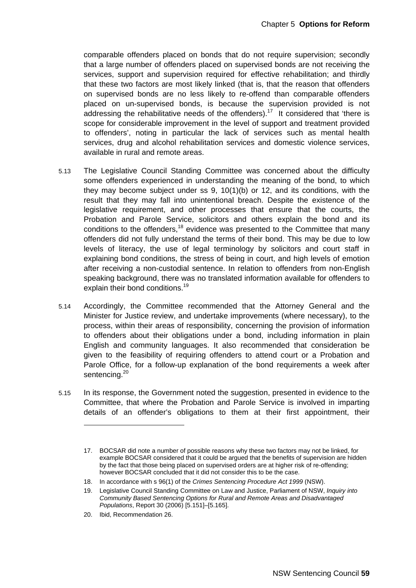comparable offenders placed on bonds that do not require supervision; secondly that a large number of offenders placed on supervised bonds are not receiving the services, support and supervision required for effective rehabilitation; and thirdly that these two factors are most likely linked (that is, that the reason that offenders on supervised bonds are no less likely to re-offend than comparable offenders placed on un-supervised bonds, is because the supervision provided is not addressing the rehabilitative needs of the offenders).<sup>17</sup> It considered that 'there is scope for considerable improvement in the level of support and treatment provided to offenders', noting in particular the lack of services such as mental health services, drug and alcohol rehabilitation services and domestic violence services, available in rural and remote areas.

- 5.13 The Legislative Council Standing Committee was concerned about the difficulty some offenders experienced in understanding the meaning of the bond, to which they may become subject under ss 9, 10(1)(b) or 12, and its conditions, with the result that they may fall into unintentional breach. Despite the existence of the legislative requirement, and other processes that ensure that the courts, the Probation and Parole Service, solicitors and others explain the bond and its conditions to the offenders, $18$  evidence was presented to the Committee that many offenders did not fully understand the terms of their bond. This may be due to low levels of literacy, the use of legal terminology by solicitors and court staff in explaining bond conditions, the stress of being in court, and high levels of emotion after receiving a non-custodial sentence. In relation to offenders from non-English speaking background, there was no translated information available for offenders to explain their bond conditions.<sup>19</sup>
- 5.14 Accordingly, the Committee recommended that the Attorney General and the Minister for Justice review, and undertake improvements (where necessary), to the process, within their areas of responsibility, concerning the provision of information to offenders about their obligations under a bond, including information in plain English and community languages. It also recommended that consideration be given to the feasibility of requiring offenders to attend court or a Probation and Parole Office, for a follow-up explanation of the bond requirements a week after sentencing.<sup>20</sup>
- 5.15 In its response, the Government noted the suggestion, presented in evidence to the Committee, that where the Probation and Parole Service is involved in imparting details of an offender's obligations to them at their first appointment, their

<sup>17.</sup> BOCSAR did note a number of possible reasons why these two factors may not be linked, for example BOCSAR considered that it could be argued that the benefits of supervision are hidden by the fact that those being placed on supervised orders are at higher risk of re-offending; however BOCSAR concluded that it did not consider this to be the case.

<sup>18.</sup> In accordance with s 96(1) of the *Crimes Sentencing Procedure Act 1999* (NSW).

<sup>19.</sup> Legislative Council Standing Committee on Law and Justice, Parliament of NSW, *Inquiry into Community Based Sentencing Options for Rural and Remote Areas and Disadvantaged Populations*, Report 30 (2006) [5.151]–[5.165].

<sup>20.</sup> Ibid, Recommendation 26.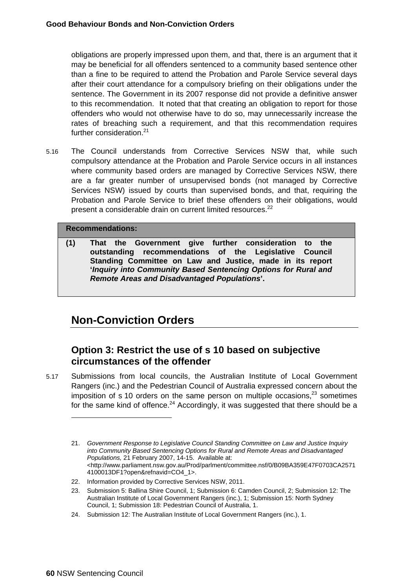obligations are properly impressed upon them, and that, there is an argument that it may be beneficial for all offenders sentenced to a community based sentence other than a fine to be required to attend the Probation and Parole Service several days after their court attendance for a compulsory briefing on their obligations under the sentence. The Government in its 2007 response did not provide a definitive answer to this recommendation. It noted that that creating an obligation to report for those offenders who would not otherwise have to do so, may unnecessarily increase the rates of breaching such a requirement, and that this recommendation requires further consideration.<sup>21</sup>

5.16 The Council understands from Corrective Services NSW that, while such compulsory attendance at the Probation and Parole Service occurs in all instances where community based orders are managed by Corrective Services NSW, there are a far greater number of unsupervised bonds (not managed by Corrective Services NSW) issued by courts than supervised bonds, and that, requiring the Probation and Parole Service to brief these offenders on their obligations, would present a considerable drain on current limited resources.<sup>22</sup>

#### **Recommendations:**

**(1) That the Government give further consideration to the outstanding recommendations of the Legislative Council Standing Committee on Law and Justice, made in its report '***Inquiry into Community Based Sentencing Options for Rural and Remote Areas and Disadvantaged Populations***'.** 

# **Non-Conviction Orders**

### **Option 3: Restrict the use of s 10 based on subjective circumstances of the offender**

5.17 Submissions from local councils, the Australian Institute of Local Government Rangers (inc.) and the Pedestrian Council of Australia expressed concern about the imposition of s 10 orders on the same person on multiple occasions, $^{23}$  sometimes for the same kind of offence. $24$  Accordingly, it was suggested that there should be a

<sup>21.</sup> *Government Response to Legislative Council Standing Committee on Law and Justice Inquiry into Community Based Sentencing Options for Rural and Remote Areas and Disadvantaged Populations,* 21 February 2007, 14-15. Available at: <http://www.parliament.nsw.gov.au/Prod/parlment/committee.nsf/0/B09BA359E47F0703CA2571 4100013DF1?open&refnavid=CO4\_1>.

<sup>22.</sup> Information provided by Corrective Services NSW, 2011.

<sup>23.</sup> Submission 5: Ballina Shire Council, 1; Submission 6: Camden Council, 2; Submission 12: The Australian Institute of Local Government Rangers (inc.), 1; Submission 15: North Sydney Council, 1; Submission 18: Pedestrian Council of Australia, 1.

<sup>24.</sup> Submission 12: The Australian Institute of Local Government Rangers (inc.), 1.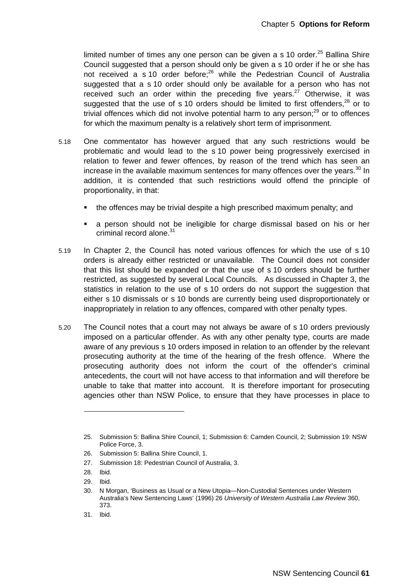limited number of times any one person can be given a s 10 order.<sup>25</sup> Ballina Shire Council suggested that a person should only be given a s 10 order if he or she has not received a s 10 order before;<sup>26</sup> while the Pedestrian Council of Australia suggested that a s 10 order should only be available for a person who has not received such an order within the preceding five years. $27$  Otherwise, it was suggested that the use of s 10 orders should be limited to first offenders, $^{28}$  or to trivial offences which did not involve potential harm to any person: $^{29}$  or to offences for which the maximum penalty is a relatively short term of imprisonment.

- 5.18 One commentator has however argued that any such restrictions would be problematic and would lead to the s 10 power being progressively exercised in relation to fewer and fewer offences, by reason of the trend which has seen an increase in the available maximum sentences for many offences over the years. $30$  In addition, it is contended that such restrictions would offend the principle of proportionality, in that:
	- the offences may be trivial despite a high prescribed maximum penalty; and
	- a person should not be ineligible for charge dismissal based on his or her criminal record alone.<sup>31</sup>
- 5.19 In Chapter 2, the Council has noted various offences for which the use of s 10 orders is already either restricted or unavailable. The Council does not consider that this list should be expanded or that the use of s 10 orders should be further restricted, as suggested by several Local Councils. As discussed in Chapter 3, the statistics in relation to the use of s 10 orders do not support the suggestion that either s 10 dismissals or s 10 bonds are currently being used disproportionately or inappropriately in relation to any offences, compared with other penalty types.
- 5.20 The Council notes that a court may not always be aware of s 10 orders previously imposed on a particular offender. As with any other penalty type, courts are made aware of any previous s 10 orders imposed in relation to an offender by the relevant prosecuting authority at the time of the hearing of the fresh offence. Where the prosecuting authority does not inform the court of the offender's criminal antecedents, the court will not have access to that information and will therefore be unable to take that matter into account. It is therefore important for prosecuting agencies other than NSW Police, to ensure that they have processes in place to

<sup>25.</sup> Submission 5: Ballina Shire Council, 1; Submission 6: Camden Council, 2; Submission 19: NSW Police Force, 3.

<sup>26.</sup> Submission 5: Ballina Shire Council, 1.

<sup>27.</sup> Submission 18: Pedestrian Council of Australia, 3.

<sup>28.</sup> Ibid.

<sup>29.</sup> Ibid.

<sup>30.</sup> N Morgan, 'Business as Usual or a New Utopia—Non-Custodial Sentences under Western Australia's New Sentencing Laws' (1996) 26 *University of Western Australia Law Review* 360, 373.

<sup>31.</sup> Ibid.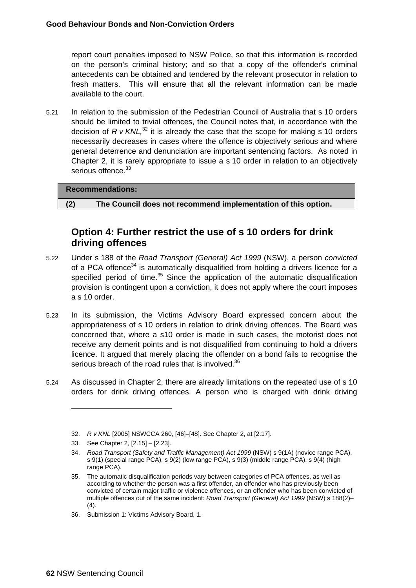report court penalties imposed to NSW Police, so that this information is recorded on the person's criminal history; and so that a copy of the offender's criminal antecedents can be obtained and tendered by the relevant prosecutor in relation to fresh matters. This will ensure that all the relevant information can be made available to the court.

5.21 In relation to the submission of the Pedestrian Council of Australia that s 10 orders should be limited to trivial offences, the Council notes that, in accordance with the decision of  $R$  v  $KNL$ ,<sup>32</sup> it is already the case that the scope for making s 10 orders necessarily decreases in cases where the offence is objectively serious and where general deterrence and denunciation are important sentencing factors. As noted in Chapter 2, it is rarely appropriate to issue a s 10 order in relation to an objectively serious offence.<sup>33</sup>

#### **Recommendations:**

**(2) The Council does not recommend implementation of this option.** 

### **Option 4: Further restrict the use of s 10 orders for drink driving offences**

- 5.22 Under s 188 of the *Road Transport (General) Act 1999* (NSW), a person *convicted*  of a PCA offence $34$  is automatically disqualified from holding a drivers licence for a specified period of time.<sup>35</sup> Since the application of the automatic disqualification provision is contingent upon a conviction, it does not apply where the court imposes a s 10 order.
- 5.23 In its submission, the Victims Advisory Board expressed concern about the appropriateness of s 10 orders in relation to drink driving offences. The Board was concerned that, where a s10 order is made in such cases, the motorist does not receive any demerit points and is not disqualified from continuing to hold a drivers licence. It argued that merely placing the offender on a bond fails to recognise the serious breach of the road rules that is involved.<sup>36</sup>
- 5.24 As discussed in Chapter 2, there are already limitations on the repeated use of s 10 orders for drink driving offences. A person who is charged with drink driving

<sup>32.</sup> *R v KNL* [2005] NSWCCA 260, [46]–[48]. See Chapter 2, at [2.17].

<sup>33.</sup> See Chapter 2, [2.15] – [2.23].

<sup>34.</sup> *Road Transport (Safety and Traffic Management) Act 1999* (NSW) s 9(1A) (novice range PCA), s 9(1) (special range PCA), s 9(2) (low range PCA), s 9(3) (middle range PCA), s 9(4) (high range PCA).

<sup>35.</sup> The automatic disqualification periods vary between categories of PCA offences, as well as according to whether the person was a first offender, an offender who has previously been convicted of certain major traffic or violence offences, or an offender who has been convicted of multiple offences out of the same incident: *Road Transport (General) Act 1999* (NSW) s 188(2)–  $(4).$ 

<sup>36.</sup> Submission 1: Victims Advisory Board, 1.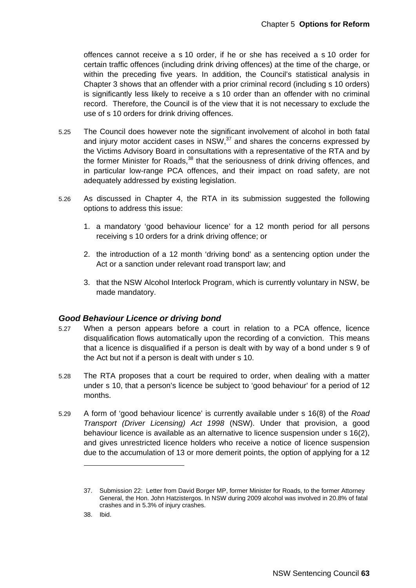offences cannot receive a s 10 order, if he or she has received a s 10 order for certain traffic offences (including drink driving offences) at the time of the charge, or within the preceding five years. In addition, the Council's statistical analysis in Chapter 3 shows that an offender with a prior criminal record (including s 10 orders) is significantly less likely to receive a s 10 order than an offender with no criminal record. Therefore, the Council is of the view that it is not necessary to exclude the use of s 10 orders for drink driving offences.

- 5.25 The Council does however note the significant involvement of alcohol in both fatal and injury motor accident cases in  $NSW<sub>37</sub>$  and shares the concerns expressed by the Victims Advisory Board in consultations with a representative of the RTA and by the former Minister for Roads,<sup>38</sup> that the seriousness of drink driving offences, and in particular low-range PCA offences, and their impact on road safety, are not adequately addressed by existing legislation.
- 5.26 As discussed in Chapter 4, the RTA in its submission suggested the following options to address this issue:
	- 1. a mandatory 'good behaviour licence' for a 12 month period for all persons receiving s 10 orders for a drink driving offence; or
	- 2. the introduction of a 12 month 'driving bond' as a sentencing option under the Act or a sanction under relevant road transport law; and
	- 3. that the NSW Alcohol Interlock Program, which is currently voluntary in NSW, be made mandatory.

#### *Good Behaviour Licence or driving bond*

- 5.27 When a person appears before a court in relation to a PCA offence, licence disqualification flows automatically upon the recording of a conviction. This means that a licence is disqualified if a person is dealt with by way of a bond under s 9 of the Act but not if a person is dealt with under s 10.
- 5.28 The RTA proposes that a court be required to order, when dealing with a matter under s 10, that a person's licence be subject to 'good behaviour' for a period of 12 months.
- 5.29 A form of 'good behaviour licence' is currently available under s 16(8) of the *Road Transport (Driver Licensing) Act 1998* (NSW). Under that provision, a good behaviour licence is available as an alternative to licence suspension under s 16(2), and gives unrestricted licence holders who receive a notice of licence suspension due to the accumulation of 13 or more demerit points, the option of applying for a 12

<sup>37.</sup> Submission 22: Letter from David Borger MP, former Minister for Roads, to the former Attorney General, the Hon. John Hatzistergos. In NSW during 2009 alcohol was involved in 20.8% of fatal crashes and in 5.3% of injury crashes.

<sup>38.</sup> Ibid.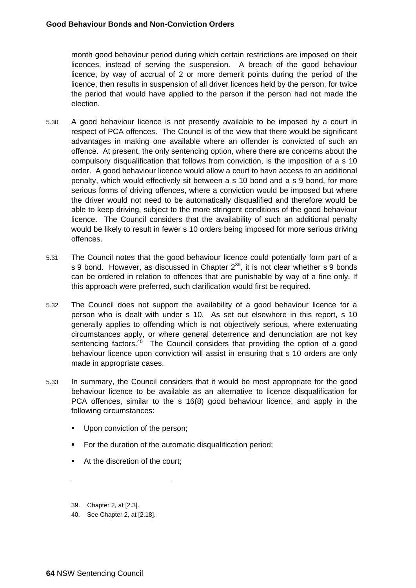month good behaviour period during which certain restrictions are imposed on their licences, instead of serving the suspension. A breach of the good behaviour licence, by way of accrual of 2 or more demerit points during the period of the licence, then results in suspension of all driver licences held by the person, for twice the period that would have applied to the person if the person had not made the election.

- 5.30 A good behaviour licence is not presently available to be imposed by a court in respect of PCA offences. The Council is of the view that there would be significant advantages in making one available where an offender is convicted of such an offence. At present, the only sentencing option, where there are concerns about the compulsory disqualification that follows from conviction, is the imposition of a s 10 order. A good behaviour licence would allow a court to have access to an additional penalty, which would effectively sit between a s 10 bond and a s 9 bond, for more serious forms of driving offences, where a conviction would be imposed but where the driver would not need to be automatically disqualified and therefore would be able to keep driving, subject to the more stringent conditions of the good behaviour licence. The Council considers that the availability of such an additional penalty would be likely to result in fewer s 10 orders being imposed for more serious driving offences.
- 5.31 The Council notes that the good behaviour licence could potentially form part of a s 9 bond. However, as discussed in Chapter 2<sup>39</sup>, it is not clear whether s 9 bonds can be ordered in relation to offences that are punishable by way of a fine only. If this approach were preferred, such clarification would first be required.
- 5.32 The Council does not support the availability of a good behaviour licence for a person who is dealt with under s 10. As set out elsewhere in this report, s 10 generally applies to offending which is not objectively serious, where extenuating circumstances apply, or where general deterrence and denunciation are not key sentencing factors.<sup>40</sup> The Council considers that providing the option of a good behaviour licence upon conviction will assist in ensuring that s 10 orders are only made in appropriate cases.
- 5.33 In summary, the Council considers that it would be most appropriate for the good behaviour licence to be available as an alternative to licence disqualification for PCA offences, similar to the s 16(8) good behaviour licence, and apply in the following circumstances:
	- Upon conviction of the person;
	- **For the duration of the automatic disqualification period;**
	- At the discretion of the court:

-

40. See Chapter 2, at [2.18].

<sup>39.</sup> Chapter 2, at [2.3].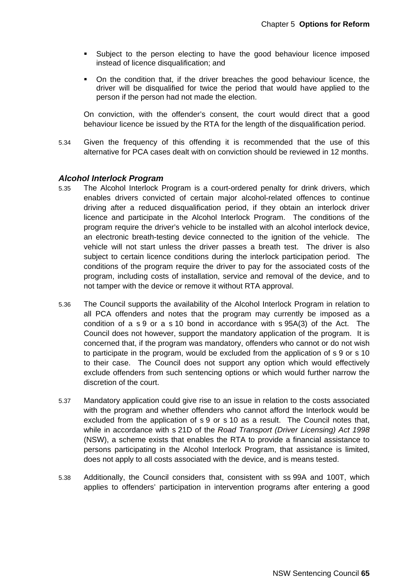- **Subject to the person electing to have the good behaviour licence imposed** instead of licence disqualification; and
- On the condition that, if the driver breaches the good behaviour licence, the driver will be disqualified for twice the period that would have applied to the person if the person had not made the election.

On conviction, with the offender's consent, the court would direct that a good behaviour licence be issued by the RTA for the length of the disqualification period.

5.34 Given the frequency of this offending it is recommended that the use of this alternative for PCA cases dealt with on conviction should be reviewed in 12 months.

#### *Alcohol Interlock Program*

- 5.35 The Alcohol Interlock Program is a court-ordered penalty for drink drivers, which enables drivers convicted of certain major alcohol-related offences to continue driving after a reduced disqualification period, if they obtain an interlock driver licence and participate in the Alcohol Interlock Program. The conditions of the program require the driver's vehicle to be installed with an alcohol interlock device, an electronic breath-testing device connected to the ignition of the vehicle. The vehicle will not start unless the driver passes a breath test. The driver is also subject to certain licence conditions during the interlock participation period. The conditions of the program require the driver to pay for the associated costs of the program, including costs of installation, service and removal of the device, and to not tamper with the device or remove it without RTA approval.
- 5.36 The Council supports the availability of the Alcohol Interlock Program in relation to all PCA offenders and notes that the program may currently be imposed as a condition of a s 9 or a s 10 bond in accordance with s 95A(3) of the Act. The Council does not however, support the mandatory application of the program. It is concerned that, if the program was mandatory, offenders who cannot or do not wish to participate in the program, would be excluded from the application of s 9 or s 10 to their case. The Council does not support any option which would effectively exclude offenders from such sentencing options or which would further narrow the discretion of the court.
- 5.37 Mandatory application could give rise to an issue in relation to the costs associated with the program and whether offenders who cannot afford the Interlock would be excluded from the application of s 9 or s 10 as a result. The Council notes that, while in accordance with s 21D of the *Road Transport (Driver Licensing) Act 1998* (NSW), a scheme exists that enables the RTA to provide a financial assistance to persons participating in the Alcohol Interlock Program, that assistance is limited, does not apply to all costs associated with the device, and is means tested.
- 5.38 Additionally, the Council considers that, consistent with ss 99A and 100T, which applies to offenders' participation in intervention programs after entering a good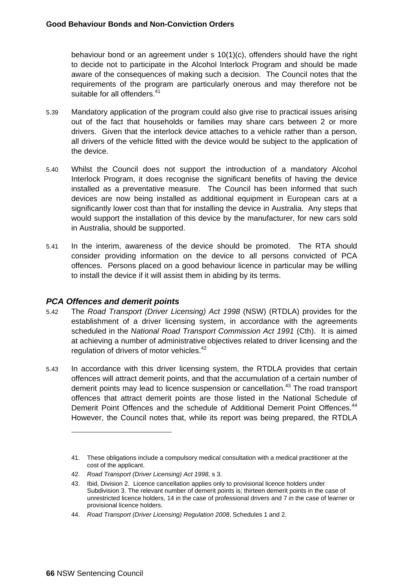behaviour bond or an agreement under s 10(1)(c), offenders should have the right to decide not to participate in the Alcohol Interlock Program and should be made aware of the consequences of making such a decision. The Council notes that the requirements of the program are particularly onerous and may therefore not be suitable for all offenders.<sup>41</sup>

- 5.39 Mandatory application of the program could also give rise to practical issues arising out of the fact that households or families may share cars between 2 or more drivers. Given that the interlock device attaches to a vehicle rather than a person, all drivers of the vehicle fitted with the device would be subject to the application of the device.
- 5.40 Whilst the Council does not support the introduction of a mandatory Alcohol Interlock Program, it does recognise the significant benefits of having the device installed as a preventative measure. The Council has been informed that such devices are now being installed as additional equipment in European cars at a significantly lower cost than that for installing the device in Australia. Any steps that would support the installation of this device by the manufacturer, for new cars sold in Australia, should be supported.
- 5.41 In the interim, awareness of the device should be promoted. The RTA should consider providing information on the device to all persons convicted of PCA offences. Persons placed on a good behaviour licence in particular may be willing to install the device if it will assist them in abiding by its terms.

#### *PCA Offences and demerit points*

- 5.42 The *Road Transport (Driver Licensing) Act 1998* (NSW) (RTDLA) provides for the establishment of a driver licensing system, in accordance with the agreements scheduled in the *National Road Transport Commission Act 1991* (Cth). It is aimed at achieving a number of administrative objectives related to driver licensing and the regulation of drivers of motor vehicles.<sup>42</sup>
- 5.43 In accordance with this driver licensing system, the RTDLA provides that certain offences will attract demerit points, and that the accumulation of a certain number of demerit points may lead to licence suspension or cancellation.<sup>43</sup> The road transport offences that attract demerit points are those listed in the National Schedule of Demerit Point Offences and the schedule of Additional Demerit Point Offences.<sup>44</sup> However, the Council notes that, while its report was being prepared, the RTDLA

<sup>41.</sup> These obligations include a compulsory medical consultation with a medical practitioner at the cost of the applicant.

<sup>42.</sup> *Road Transport (Driver Licensing) Act 1998*, s 3.

<sup>43.</sup> Ibid, Division 2. Licence cancellation applies only to provisional licence holders under Subdivision 3. The relevant number of demerit points is; thirteen demerit points in the case of unrestricted licence holders, 14 in the case of professional drivers and 7 in the case of learner or provisional licence holders.

<sup>44.</sup> *Road Transport (Driver Licensing) Regulation 2008*, Schedules 1 and 2.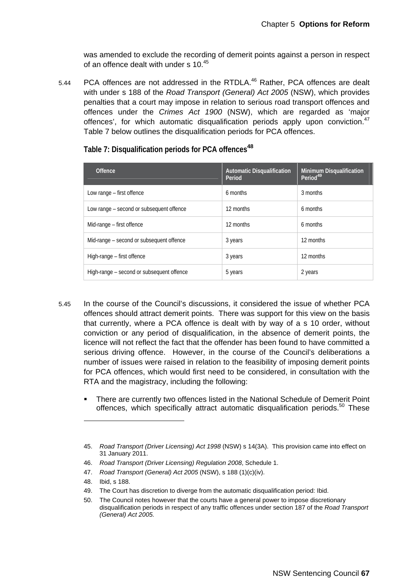was amended to exclude the recording of demerit points against a person in respect of an offence dealt with under s 10.<sup>45</sup>

5.44 PCA offences are not addressed in the RTDLA.<sup>46</sup> Rather, PCA offences are dealt with under s 188 of the *Road Transport (General) Act 2005* (NSW), which provides penalties that a court may impose in relation to serious road transport offences and offences under the *Crimes Act 1900* (NSW), which are regarded as 'major offences', for which automatic disqualification periods apply upon conviction.<sup>47</sup> Table 7 below outlines the disqualification periods for PCA offences.

| <b>Offence</b>                            | <b>Automatic Disqualification</b><br>Period | Minimum Disqualification<br>Period <sup>49</sup> |
|-------------------------------------------|---------------------------------------------|--------------------------------------------------|
| Low range – first offence                 | 6 months                                    | 3 months                                         |
| Low range – second or subsequent offence  | 12 months                                   | 6 months                                         |
| Mid-range – first offence                 | 12 months                                   | 6 months                                         |
| Mid-range – second or subsequent offence  | 3 years                                     | 12 months                                        |
| High-range - first offence                | 3 years                                     | 12 months                                        |
| High-range – second or subsequent offence | 5 years                                     | 2 years                                          |

**Table 7: Disqualification periods for PCA offences<sup>48</sup>**

- 5.45 In the course of the Council's discussions, it considered the issue of whether PCA offences should attract demerit points. There was support for this view on the basis that currently, where a PCA offence is dealt with by way of a s 10 order, without conviction or any period of disqualification, in the absence of demerit points, the licence will not reflect the fact that the offender has been found to have committed a serious driving offence. However, in the course of the Council's deliberations a number of issues were raised in relation to the feasibility of imposing demerit points for PCA offences, which would first need to be considered, in consultation with the RTA and the magistracy, including the following:
	- There are currently two offences listed in the National Schedule of Demerit Point offences, which specifically attract automatic disqualification periods.<sup>50</sup> These

 $\overline{a}$ 

<sup>45.</sup> *Road Transport (Driver Licensing) Act 1998* (NSW) s 14(3A). This provision came into effect on 31 January 2011.

<sup>46.</sup> *Road Transport (Driver Licensing) Regulation 2008*, Schedule 1.

<sup>47.</sup> *Road Transport (General) Act 2005* (NSW), s 188 (1)(c)(iv).

<sup>48.</sup> Ibid, s 188.

<sup>49.</sup> The Court has discretion to diverge from the automatic disqualification period: Ibid.

<sup>50.</sup> The Council notes however that the courts have a general power to impose discretionary disqualification periods in respect of any traffic offences under section 187 of the *Road Transport (General) Act 2005.*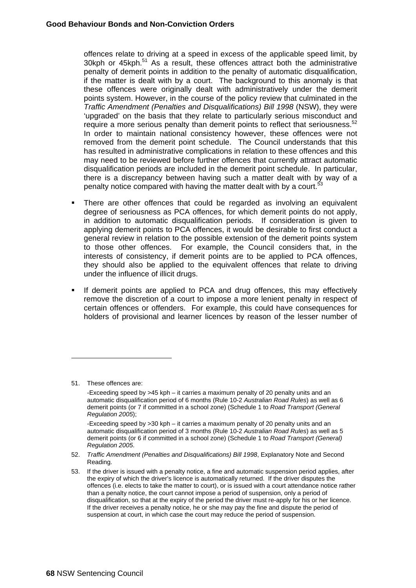offences relate to driving at a speed in excess of the applicable speed limit, by 30kph or 45kph.<sup>51</sup> As a result, these offences attract both the administrative penalty of demerit points in addition to the penalty of automatic disqualification, if the matter is dealt with by a court. The background to this anomaly is that these offences were originally dealt with administratively under the demerit points system. However, in the course of the policy review that culminated in the *Traffic Amendment (Penalties and Disqualifications) Bill 1998* (NSW), they were 'upgraded' on the basis that they relate to particularly serious misconduct and require a more serious penalty than demerit points to reflect that seriousness. $52$ In order to maintain national consistency however, these offences were not removed from the demerit point schedule. The Council understands that this has resulted in administrative complications in relation to these offences and this may need to be reviewed before further offences that currently attract automatic disqualification periods are included in the demerit point schedule. In particular, there is a discrepancy between having such a matter dealt with by way of a penalty notice compared with having the matter dealt with by a court.<sup>53</sup>

- There are other offences that could be regarded as involving an equivalent degree of seriousness as PCA offences, for which demerit points do not apply, in addition to automatic disqualification periods. If consideration is given to applying demerit points to PCA offences, it would be desirable to first conduct a general review in relation to the possible extension of the demerit points system to those other offences. For example, the Council considers that, in the interests of consistency, if demerit points are to be applied to PCA offences, they should also be applied to the equivalent offences that relate to driving under the influence of illicit drugs.
- If demerit points are applied to PCA and drug offences, this may effectively remove the discretion of a court to impose a more lenient penalty in respect of certain offences or offenders. For example, this could have consequences for holders of provisional and learner licences by reason of the lesser number of

-

<sup>51.</sup> These offences are:

 <sup>-</sup>Exceeding speed by >45 kph – it carries a maximum penalty of 20 penalty units and an automatic disqualification period of 6 months (Rule 10-2 *Australian Road Rules*) as well as 6 demerit points (or 7 if committed in a school zone) (Schedule 1 to *Road Transport (General Regulation 2005*);

 <sup>-</sup>Exceeding speed by >30 kph – it carries a maximum penalty of 20 penalty units and an automatic disqualification period of 3 months (Rule 10-2 *Australian Road Rules*) as well as 5 demerit points (or 6 if committed in a school zone) (Schedule 1 to *Road Transport (General) Regulation 2005*.

<sup>52.</sup> *Traffic Amendment (Penalties and Disqualifications) Bill 1998*, Explanatory Note and Second Reading.

<sup>53.</sup> If the driver is issued with a penalty notice, a fine and automatic suspension period applies, after the expiry of which the driver's licence is automatically returned. If the driver disputes the offences (i.e. elects to take the matter to court), or is issued with a court attendance notice rather than a penalty notice, the court cannot impose a period of suspension, only a period of disqualification, so that at the expiry of the period the driver must re-apply for his or her licence. If the driver receives a penalty notice, he or she may pay the fine and dispute the period of suspension at court, in which case the court may reduce the period of suspension.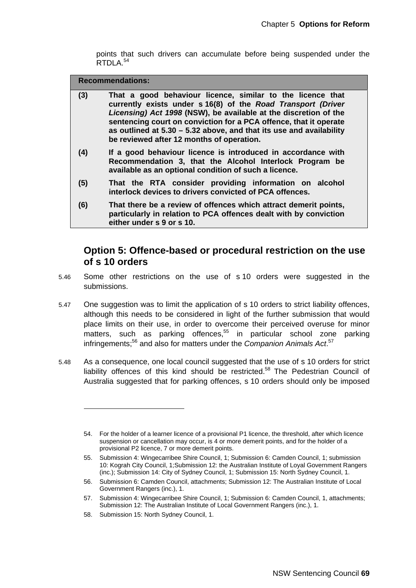points that such drivers can accumulate before being suspended under the RTDLA.<sup>54</sup>

**Recommendations:** 

| (3) | That a good behaviour licence, similar to the licence that<br>currently exists under s 16(8) of the Road Transport (Driver<br>Licensing) Act 1998 (NSW), be available at the discretion of the<br>sentencing court on conviction for a PCA offence, that it operate<br>as outlined at $5.30 - 5.32$ above, and that its use and availability<br>be reviewed after 12 months of operation. |
|-----|-------------------------------------------------------------------------------------------------------------------------------------------------------------------------------------------------------------------------------------------------------------------------------------------------------------------------------------------------------------------------------------------|
| (4) | If a good behaviour licence is introduced in accordance with<br>Recommendation 3, that the Alcohol Interlock Program be<br>available as an optional condition of such a licence.                                                                                                                                                                                                          |

- **(5) That the RTA consider providing information on alcohol interlock devices to drivers convicted of PCA offences.**
- **(6) That there be a review of offences which attract demerit points, particularly in relation to PCA offences dealt with by conviction either under s 9 or s 10.**

## **Option 5: Offence-based or procedural restriction on the use of s 10 orders**

- 5.46 Some other restrictions on the use of s 10 orders were suggested in the submissions.
- 5.47 One suggestion was to limit the application of s 10 orders to strict liability offences, although this needs to be considered in light of the further submission that would place limits on their use, in order to overcome their perceived overuse for minor matters, such as parking offences,<sup>55</sup> in particular school zone parking infringements;<sup>56</sup> and also for matters under the *Companion Animals Act.*<sup>57</sup>
- 5.48 As a consequence, one local council suggested that the use of s 10 orders for strict liability offences of this kind should be restricted.<sup>58</sup> The Pedestrian Council of Australia suggested that for parking offences, s 10 orders should only be imposed

<sup>54.</sup> For the holder of a learner licence of a provisional P1 licence, the threshold, after which licence suspension or cancellation may occur, is 4 or more demerit points, and for the holder of a provisional P2 licence, 7 or more demerit points.

<sup>55.</sup> Submission 4: Wingecarribee Shire Council, 1; Submission 6: Camden Council, 1; submission 10: Kograh City Council, 1;Submission 12: the Australian Institute of Loyal Government Rangers (inc.); Submission 14: City of Sydney Council, 1; Submission 15: North Sydney Council, 1.

<sup>56.</sup> Submission 6: Camden Council, attachments; Submission 12: The Australian Institute of Local Government Rangers (inc.), 1.

<sup>57.</sup> Submission 4: Wingecarribee Shire Council, 1; Submission 6: Camden Council, 1, attachments; Submission 12: The Australian Institute of Local Government Rangers (inc.), 1.

<sup>58.</sup> Submission 15: North Sydney Council, 1.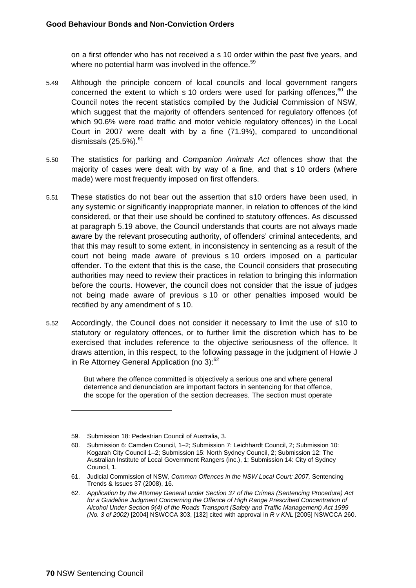on a first offender who has not received a s 10 order within the past five years, and where no potential harm was involved in the offence.<sup>59</sup>

- 5.49 Although the principle concern of local councils and local government rangers concerned the extent to which s 10 orders were used for parking offences, $60$  the Council notes the recent statistics compiled by the Judicial Commission of NSW, which suggest that the majority of offenders sentenced for regulatory offences (of which 90.6% were road traffic and motor vehicle regulatory offences) in the Local Court in 2007 were dealt with by a fine (71.9%), compared to unconditional dismissals  $(25.5\%)$ .<sup>61</sup>
- 5.50 The statistics for parking and *Companion Animals Act* offences show that the majority of cases were dealt with by way of a fine, and that s 10 orders (where made) were most frequently imposed on first offenders.
- 5.51 These statistics do not bear out the assertion that s10 orders have been used, in any systemic or significantly inappropriate manner, in relation to offences of the kind considered, or that their use should be confined to statutory offences. As discussed at paragraph 5.19 above, the Council understands that courts are not always made aware by the relevant prosecuting authority, of offenders' criminal antecedents, and that this may result to some extent, in inconsistency in sentencing as a result of the court not being made aware of previous s 10 orders imposed on a particular offender. To the extent that this is the case, the Council considers that prosecuting authorities may need to review their practices in relation to bringing this information before the courts. However, the council does not consider that the issue of judges not being made aware of previous s 10 or other penalties imposed would be rectified by any amendment of s 10.
- 5.52 Accordingly, the Council does not consider it necessary to limit the use of s10 to statutory or regulatory offences, or to further limit the discretion which has to be exercised that includes reference to the objective seriousness of the offence. It draws attention, in this respect, to the following passage in the judgment of Howie J in Re Attorney General Application (no 3):<sup>62</sup>

But where the offence committed is objectively a serious one and where general deterrence and denunciation are important factors in sentencing for that offence, the scope for the operation of the section decreases. The section must operate

 $\overline{a}$ 

<sup>59.</sup> Submission 18: Pedestrian Council of Australia, 3.

<sup>60.</sup> Submission 6: Camden Council, 1–2; Submission 7: Leichhardt Council, 2; Submission 10: Kogarah City Council 1–2; Submission 15: North Sydney Council, 2; Submission 12: The Australian Institute of Local Government Rangers (inc.), 1; Submission 14: City of Sydney Council, 1.

<sup>61.</sup> Judicial Commission of NSW, *Common Offences in the NSW Local Court: 2007,* Sentencing Trends & Issues 37 (2008), 16.

<sup>62.</sup> *Application by the Attorney General under Section 37 of the Crimes (Sentencing Procedure) Act*  for a Guideline Judgment Concerning the Offence of High Range Prescribed Concentration of *Alcohol Under Section 9(4) of the Roads Transport (Safety and Traffic Management) Act 1999 (No. 3 of 2002)* [2004] NSWCCA 303, [132] cited with approval in *R v KNL* [2005] NSWCCA 260.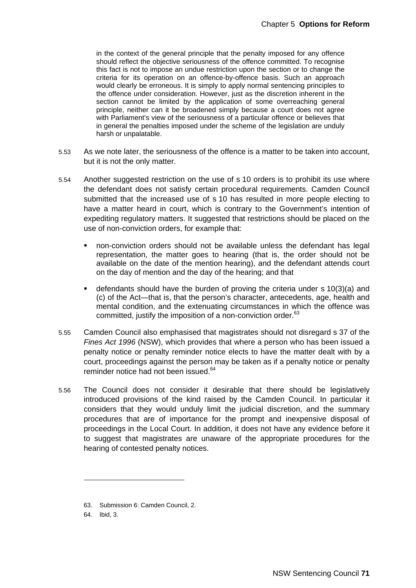in the context of the general principle that the penalty imposed for any offence should reflect the objective seriousness of the offence committed. To recognise this fact is not to impose an undue restriction upon the section or to change the criteria for its operation on an offence-by-offence basis. Such an approach would clearly be erroneous. It is simply to apply normal sentencing principles to the offence under consideration. However, just as the discretion inherent in the section cannot be limited by the application of some overreaching general principle, neither can it be broadened simply because a court does not agree with Parliament's view of the seriousness of a particular offence or believes that in general the penalties imposed under the scheme of the legislation are unduly harsh or unpalatable.

- 5.53 As we note later, the seriousness of the offence is a matter to be taken into account, but it is not the only matter.
- 5.54 Another suggested restriction on the use of s 10 orders is to prohibit its use where the defendant does not satisfy certain procedural requirements. Camden Council submitted that the increased use of s 10 has resulted in more people electing to have a matter heard in court, which is contrary to the Government's intention of expediting regulatory matters. It suggested that restrictions should be placed on the use of non-conviction orders, for example that:
	- non-conviction orders should not be available unless the defendant has legal representation, the matter goes to hearing (that is, the order should not be available on the date of the mention hearing), and the defendant attends court on the day of mention and the day of the hearing; and that
	- defendants should have the burden of proving the criteria under s 10(3)(a) and (c) of the Act—that is, that the person's character, antecedents, age, health and mental condition, and the extenuating circumstances in which the offence was committed, justify the imposition of a non-conviction order.<sup>63</sup>
- 5.55 Camden Council also emphasised that magistrates should not disregard s 37 of the *Fines Act 1996* (NSW), which provides that where a person who has been issued a penalty notice or penalty reminder notice elects to have the matter dealt with by a court, proceedings against the person may be taken as if a penalty notice or penalty reminder notice had not been issued.<sup>64</sup>
- 5.56 The Council does not consider it desirable that there should be legislatively introduced provisions of the kind raised by the Camden Council. In particular it considers that they would unduly limit the judicial discretion, and the summary procedures that are of importance for the prompt and inexpensive disposal of proceedings in the Local Court. In addition, it does not have any evidence before it to suggest that magistrates are unaware of the appropriate procedures for the hearing of contested penalty notices.

 $\overline{a}$ 

<sup>63.</sup> Submission 6: Camden Council, 2.

<sup>64.</sup> Ibid, 3.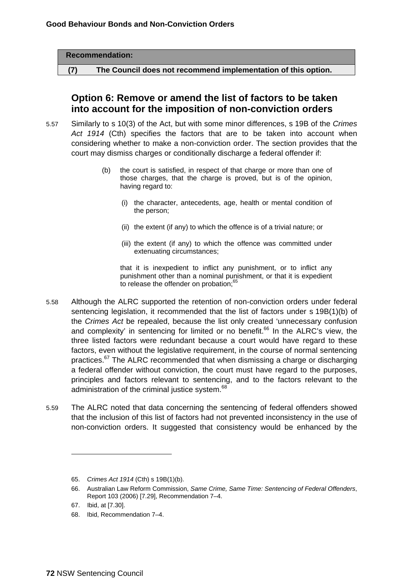|     | <b>Recommendation:</b>                                        |  |
|-----|---------------------------------------------------------------|--|
| (7) | The Council does not recommend implementation of this option. |  |

## **Option 6: Remove or amend the list of factors to be taken into account for the imposition of non-conviction orders**

- 5.57 Similarly to s 10(3) of the Act, but with some minor differences, s 19B of the *Crimes Act 1914* (Cth) specifies the factors that are to be taken into account when considering whether to make a non-conviction order. The section provides that the court may dismiss charges or conditionally discharge a federal offender if:
	- (b) the court is satisfied, in respect of that charge or more than one of those charges, that the charge is proved, but is of the opinion, having regard to:
		- (i) the character, antecedents, age, health or mental condition of the person;
		- (ii) the extent (if any) to which the offence is of a trivial nature; or
		- (iii) the extent (if any) to which the offence was committed under extenuating circumstances;

that it is inexpedient to inflict any punishment, or to inflict any punishment other than a nominal punishment, or that it is expedient to release the offender on probation; $<sup>6</sup>$ </sup>

- 5.58 Although the ALRC supported the retention of non-conviction orders under federal sentencing legislation, it recommended that the list of factors under s 19B(1)(b) of the *Crimes Act* be repealed, because the list only created 'unnecessary confusion and complexity' in sentencing for limited or no benefit.<sup>66</sup> In the ALRC's view, the three listed factors were redundant because a court would have regard to these factors, even without the legislative requirement, in the course of normal sentencing practices.67 The ALRC recommended that when dismissing a charge or discharging a federal offender without conviction, the court must have regard to the purposes, principles and factors relevant to sentencing, and to the factors relevant to the administration of the criminal justice system.<sup>68</sup>
- 5.59 The ALRC noted that data concerning the sentencing of federal offenders showed that the inclusion of this list of factors had not prevented inconsistency in the use of non-conviction orders. It suggested that consistency would be enhanced by the

-

<sup>65.</sup> *Crimes Act 1914* (Cth) s 19B(1)(b).

<sup>66.</sup> Australian Law Reform Commission, *Same Crime, Same Time: Sentencing of Federal Offenders*, Report 103 (2006) [7.29], Recommendation 7–4.

<sup>67.</sup> Ibid, at [7.30].

<sup>68.</sup> Ibid, Recommendation 7–4.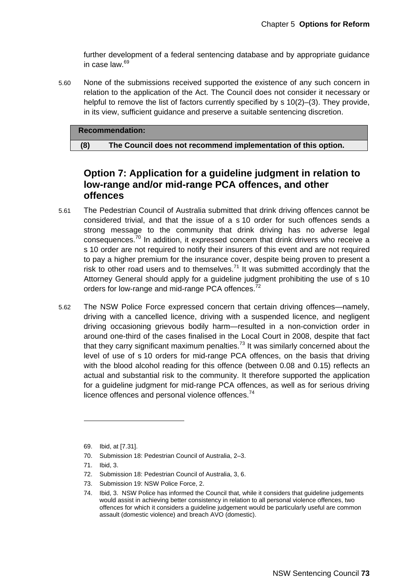further development of a federal sentencing database and by appropriate guidance in case law.<sup>69</sup>

5.60 None of the submissions received supported the existence of any such concern in relation to the application of the Act. The Council does not consider it necessary or helpful to remove the list of factors currently specified by s 10(2)–(3). They provide, in its view, sufficient guidance and preserve a suitable sentencing discretion.

#### **Recommendation:**

 **(8) The Council does not recommend implementation of this option.** 

## **Option 7: Application for a guideline judgment in relation to low-range and/or mid-range PCA offences, and other offences**

- 5.61 The Pedestrian Council of Australia submitted that drink driving offences cannot be considered trivial, and that the issue of a s 10 order for such offences sends a strong message to the community that drink driving has no adverse legal consequences. $70$  In addition, it expressed concern that drink drivers who receive a s 10 order are not required to notify their insurers of this event and are not required to pay a higher premium for the insurance cover, despite being proven to present a risk to other road users and to themselves.<sup>71</sup> It was submitted accordingly that the Attorney General should apply for a guideline judgment prohibiting the use of s 10 orders for low-range and mid-range PCA offences.<sup>72</sup>
- 5.62 The NSW Police Force expressed concern that certain driving offences—namely, driving with a cancelled licence, driving with a suspended licence, and negligent driving occasioning grievous bodily harm—resulted in a non-conviction order in around one-third of the cases finalised in the Local Court in 2008, despite that fact that they carry significant maximum penalties.<sup>73</sup> It was similarly concerned about the level of use of s 10 orders for mid-range PCA offences, on the basis that driving with the blood alcohol reading for this offence (between 0.08 and 0.15) reflects an actual and substantial risk to the community. It therefore supported the application for a guideline judgment for mid-range PCA offences, as well as for serious driving licence offences and personal violence offences.<sup>74</sup>

 $\overline{a}$ 

73. Submission 19: NSW Police Force, 2.

<sup>69.</sup> Ibid, at [7.31].

<sup>70.</sup> Submission 18: Pedestrian Council of Australia, 2–3.

<sup>71.</sup> Ibid, 3.

<sup>72.</sup> Submission 18: Pedestrian Council of Australia, 3, 6.

<sup>74.</sup> Ibid, 3. NSW Police has informed the Council that, while it considers that guideline judgements would assist in achieving better consistency in relation to all personal violence offences, two offences for which it considers a guideline judgement would be particularly useful are common assault (domestic violence) and breach AVO (domestic).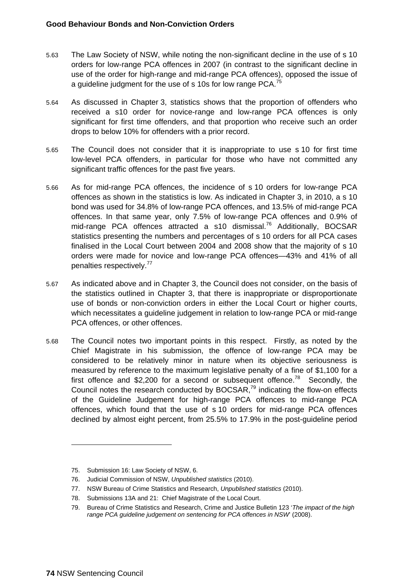- 5.63 The Law Society of NSW, while noting the non-significant decline in the use of s 10 orders for low-range PCA offences in 2007 (in contrast to the significant decline in use of the order for high-range and mid-range PCA offences), opposed the issue of a guideline judgment for the use of s 10s for low range PCA.<sup>75</sup>
- 5.64 As discussed in Chapter 3, statistics shows that the proportion of offenders who received a s10 order for novice-range and low-range PCA offences is only significant for first time offenders, and that proportion who receive such an order drops to below 10% for offenders with a prior record.
- 5.65 The Council does not consider that it is inappropriate to use s 10 for first time low-level PCA offenders, in particular for those who have not committed any significant traffic offences for the past five years.
- 5.66 As for mid-range PCA offences, the incidence of s 10 orders for low-range PCA offences as shown in the statistics is low. As indicated in Chapter 3, in 2010, a s 10 bond was used for 34.8% of low-range PCA offences, and 13.5% of mid-range PCA offences. In that same year, only 7.5% of low-range PCA offences and 0.9% of mid-range PCA offences attracted a s10 dismissal.<sup>76</sup> Additionally, BOCSAR statistics presenting the numbers and percentages of s 10 orders for all PCA cases finalised in the Local Court between 2004 and 2008 show that the majority of s 10 orders were made for novice and low-range PCA offences—43% and 41% of all penalties respectively.77
- 5.67 As indicated above and in Chapter 3, the Council does not consider, on the basis of the statistics outlined in Chapter 3, that there is inappropriate or disproportionate use of bonds or non-conviction orders in either the Local Court or higher courts, which necessitates a guideline judgement in relation to low-range PCA or mid-range PCA offences, or other offences.
- 5.68 The Council notes two important points in this respect. Firstly, as noted by the Chief Magistrate in his submission, the offence of low-range PCA may be considered to be relatively minor in nature when its objective seriousness is measured by reference to the maximum legislative penalty of a fine of \$1,100 for a first offence and \$2,200 for a second or subsequent offence.<sup>78</sup> Secondly, the Council notes the research conducted by BOCSAR, $^{79}$  indicating the flow-on effects of the Guideline Judgement for high-range PCA offences to mid-range PCA offences, which found that the use of s 10 orders for mid-range PCA offences declined by almost eight percent, from 25.5% to 17.9% in the post-guideline period

 $\overline{a}$ 

<sup>75.</sup> Submission 16: Law Society of NSW, 6.

<sup>76.</sup> Judicial Commission of NSW, *Unpublished statistics* (2010).

<sup>77.</sup> NSW Bureau of Crime Statistics and Research, *Unpublished statistics* (2010).

<sup>78.</sup> Submissions 13A and 21: Chief Magistrate of the Local Court.

<sup>79.</sup> Bureau of Crime Statistics and Research, Crime and Justice Bulletin 123 '*The impact of the high range PCA guideline judgement on sentencing for PCA offences in NSW*' (2008).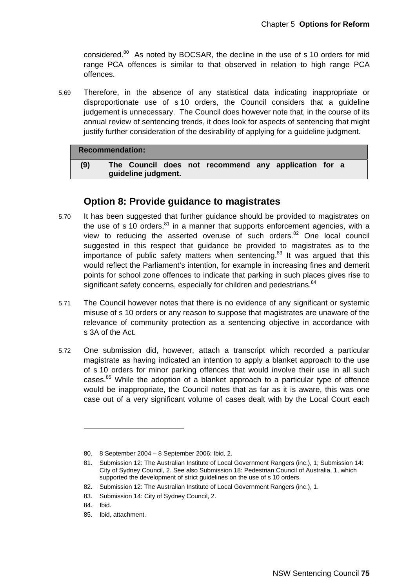considered.<sup>80</sup> As noted by BOCSAR, the decline in the use of s 10 orders for mid range PCA offences is similar to that observed in relation to high range PCA offences.

5.69 Therefore, in the absence of any statistical data indicating inappropriate or disproportionate use of s 10 orders, the Council considers that a guideline judgement is unnecessary. The Council does however note that, in the course of its annual review of sentencing trends, it does look for aspects of sentencing that might justify further consideration of the desirability of applying for a guideline judgment.

#### **Recommendation:**

| (9) |                     |  | The Council does not recommend any application for a |  |  |
|-----|---------------------|--|------------------------------------------------------|--|--|
|     | guideline judgment. |  |                                                      |  |  |

### **Option 8: Provide guidance to magistrates**

- 5.70 It has been suggested that further guidance should be provided to magistrates on the use of s 10 orders, $81$  in a manner that supports enforcement agencies, with a view to reducing the asserted overuse of such orders.<sup>82</sup> One local council suggested in this respect that guidance be provided to magistrates as to the importance of public safety matters when sentencing. $83$  It was argued that this would reflect the Parliament's intention, for example in increasing fines and demerit points for school zone offences to indicate that parking in such places gives rise to significant safety concerns, especially for children and pedestrians.<sup>84</sup>
- 5.71 The Council however notes that there is no evidence of any significant or systemic misuse of s 10 orders or any reason to suppose that magistrates are unaware of the relevance of community protection as a sentencing objective in accordance with s 3A of the Act.
- 5.72 One submission did, however, attach a transcript which recorded a particular magistrate as having indicated an intention to apply a blanket approach to the use of s 10 orders for minor parking offences that would involve their use in all such cases. $85$  While the adoption of a blanket approach to a particular type of offence would be inappropriate, the Council notes that as far as it is aware, this was one case out of a very significant volume of cases dealt with by the Local Court each

<sup>80. 8</sup> September 2004 – 8 September 2006; Ibid, 2.

<sup>81.</sup> Submission 12: The Australian Institute of Local Government Rangers (inc.), 1; Submission 14: City of Sydney Council, 2. See also Submission 18: Pedestrian Council of Australia, 1, which supported the development of strict guidelines on the use of s 10 orders.

<sup>82.</sup> Submission 12: The Australian Institute of Local Government Rangers (inc.), 1.

<sup>83.</sup> Submission 14: City of Sydney Council, 2.

<sup>84.</sup> Ibid.

<sup>85.</sup> Ibid, attachment.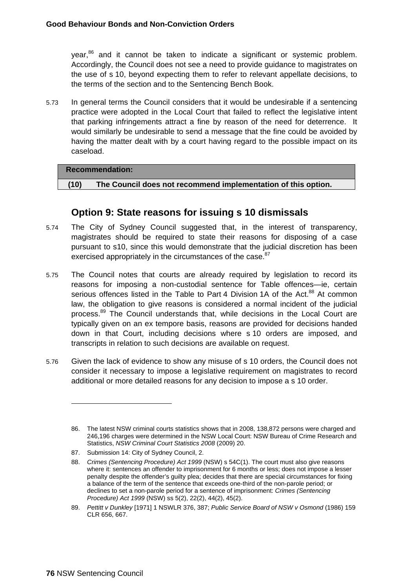$year<sub>6</sub><sup>86</sup>$  and it cannot be taken to indicate a significant or systemic problem. Accordingly, the Council does not see a need to provide guidance to magistrates on the use of s 10, beyond expecting them to refer to relevant appellate decisions, to the terms of the section and to the Sentencing Bench Book.

5.73 In general terms the Council considers that it would be undesirable if a sentencing practice were adopted in the Local Court that failed to reflect the legislative intent that parking infringements attract a fine by reason of the need for deterrence. It would similarly be undesirable to send a message that the fine could be avoided by having the matter dealt with by a court having regard to the possible impact on its caseload.

#### **Recommendation:**

 **(10) The Council does not recommend implementation of this option.** 

## **Option 9: State reasons for issuing s 10 dismissals**

- 5.74 The City of Sydney Council suggested that, in the interest of transparency, magistrates should be required to state their reasons for disposing of a case pursuant to s10, since this would demonstrate that the judicial discretion has been exercised appropriately in the circumstances of the case.<sup>87</sup>
- 5.75 The Council notes that courts are already required by legislation to record its reasons for imposing a non-custodial sentence for Table offences—ie, certain serious offences listed in the Table to Part 4 Division 1A of the Act.<sup>88</sup> At common law, the obligation to give reasons is considered a normal incident of the judicial process.<sup>89</sup> The Council understands that, while decisions in the Local Court are typically given on an ex tempore basis, reasons are provided for decisions handed down in that Court, including decisions where s 10 orders are imposed, and transcripts in relation to such decisions are available on request.
- 5.76 Given the lack of evidence to show any misuse of s 10 orders, the Council does not consider it necessary to impose a legislative requirement on magistrates to record additional or more detailed reasons for any decision to impose a s 10 order.

-

<sup>86.</sup> The latest NSW criminal courts statistics shows that in 2008, 138,872 persons were charged and 246,196 charges were determined in the NSW Local Court: NSW Bureau of Crime Research and Statistics, *NSW Criminal Court Statistics 2008* (2009) 20.

<sup>87.</sup> Submission 14: City of Sydney Council, 2.

<sup>88.</sup> *Crimes (Sentencing Procedure) Act 1999* (NSW) s 54C(1). The court must also give reasons where it: sentences an offender to imprisonment for 6 months or less; does not impose a lesser penalty despite the offender's guilty plea; decides that there are special circumstances for fixing a balance of the term of the sentence that exceeds one-third of the non-parole period; or declines to set a non-parole period for a sentence of imprisonment: *Crimes (Sentencing Procedure) Act 1999* (NSW) ss 5(2), 22(2), 44(2), 45(2).

<sup>89.</sup> *Pettitt v Dunkley* [1971] 1 NSWLR 376, 387; *Public Service Board of NSW v Osmond* (1986) 159 CLR 656, 667.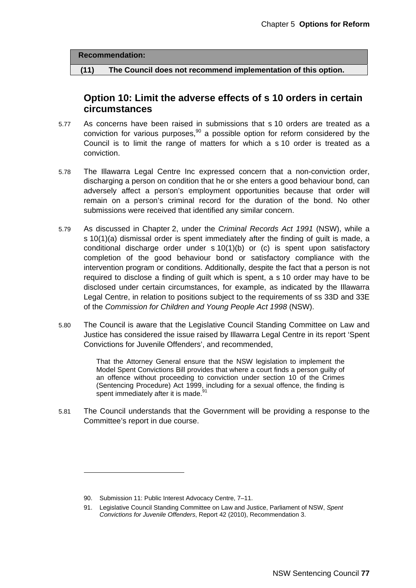**Recommendation:** 

 **(11) The Council does not recommend implementation of this option.** 

## **Option 10: Limit the adverse effects of s 10 orders in certain circumstances**

- 5.77 As concerns have been raised in submissions that s 10 orders are treated as a conviction for various purposes,  $90$  a possible option for reform considered by the Council is to limit the range of matters for which a s 10 order is treated as a conviction.
- 5.78 The Illawarra Legal Centre Inc expressed concern that a non-conviction order, discharging a person on condition that he or she enters a good behaviour bond, can adversely affect a person's employment opportunities because that order will remain on a person's criminal record for the duration of the bond. No other submissions were received that identified any similar concern.
- 5.79 As discussed in Chapter 2, under the *Criminal Records Act 1991* (NSW), while a s 10(1)(a) dismissal order is spent immediately after the finding of guilt is made, a conditional discharge order under s 10(1)(b) or (c) is spent upon satisfactory completion of the good behaviour bond or satisfactory compliance with the intervention program or conditions. Additionally, despite the fact that a person is not required to disclose a finding of guilt which is spent, a s 10 order may have to be disclosed under certain circumstances, for example, as indicated by the Illawarra Legal Centre, in relation to positions subject to the requirements of ss 33D and 33E of the *Commission for Children and Young People Act 1998* (NSW).
- 5.80 The Council is aware that the Legislative Council Standing Committee on Law and Justice has considered the issue raised by Illawarra Legal Centre in its report 'Spent Convictions for Juvenile Offenders', and recommended,

That the Attorney General ensure that the NSW legislation to implement the Model Spent Convictions Bill provides that where a court finds a person guilty of an offence without proceeding to conviction under section 10 of the Crimes (Sentencing Procedure) Act 1999, including for a sexual offence, the finding is spent immediately after it is made.<sup>91</sup>

5.81 The Council understands that the Government will be providing a response to the Committee's report in due course.

<sup>90.</sup> Submission 11: Public Interest Advocacy Centre, 7–11.

<sup>91.</sup> Legislative Council Standing Committee on Law and Justice, Parliament of NSW, *Spent Convictions for Juvenile Offenders*, Report 42 (2010), Recommendation 3.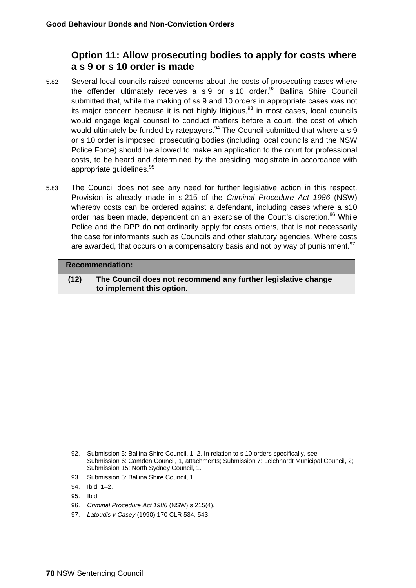## **Option 11: Allow prosecuting bodies to apply for costs where a s 9 or s 10 order is made**

- 5.82 Several local councils raised concerns about the costs of prosecuting cases where the offender ultimately receives a s 9 or s 10 order.<sup>92</sup> Ballina Shire Council submitted that, while the making of ss 9 and 10 orders in appropriate cases was not its major concern because it is not highly litigious, $93$  in most cases, local councils would engage legal counsel to conduct matters before a court, the cost of which would ultimately be funded by ratepayers.<sup>94</sup> The Council submitted that where a s 9 or s 10 order is imposed, prosecuting bodies (including local councils and the NSW Police Force) should be allowed to make an application to the court for professional costs, to be heard and determined by the presiding magistrate in accordance with appropriate guidelines.<sup>95</sup>
- 5.83 The Council does not see any need for further legislative action in this respect. Provision is already made in s 215 of the *Criminal Procedure Act 1986* (NSW) whereby costs can be ordered against a defendant, including cases where a s10 order has been made, dependent on an exercise of the Court's discretion.<sup>96</sup> While Police and the DPP do not ordinarily apply for costs orders, that is not necessarily the case for informants such as Councils and other statutory agencies. Where costs are awarded, that occurs on a compensatory basis and not by way of punishment.<sup>97</sup>

#### **Recommendation:**

 **(12) The Council does not recommend any further legislative change to implement this option.** 

- 93. Submission 5: Ballina Shire Council, 1.
- 94. Ibid, 1–2.
- 95. Ibid.

-

- 96. *Criminal Procedure Act 1986* (NSW) s 215(4).
- 97. *Latoudis v Casey* (1990) 170 CLR 534, 543.

<sup>92.</sup> Submission 5: Ballina Shire Council, 1–2. In relation to s 10 orders specifically, see Submission 6: Camden Council, 1, attachments; Submission 7: Leichhardt Municipal Council, 2; Submission 15: North Sydney Council, 1.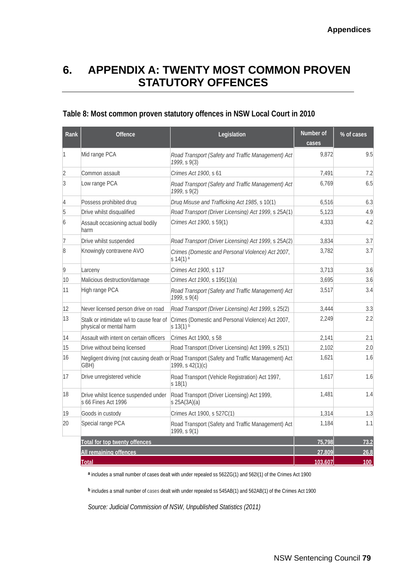# **6. APPENDIX A: TWENTY MOST COMMON PROVEN STATUTORY OFFENCES**

### **Table 8: Most common proven statutory offences in NSW Local Court in 2010**

| Rank           | <b>Offence</b>                                                      | Legislation                                                                                                      | Number of<br>cases | % of cases |
|----------------|---------------------------------------------------------------------|------------------------------------------------------------------------------------------------------------------|--------------------|------------|
| 11             | Mid range PCA                                                       | Road Transport (Safety and Traffic Management) Act<br>1999, s 9(3)                                               | 9.872              | 9.5        |
| $\overline{2}$ | Common assault                                                      | Crimes Act 1900, s 61                                                                                            | 7,491              | 7.2        |
| 3              | Low range PCA                                                       | Road Transport (Safety and Traffic Management) Act<br>1999, S9(2)                                                | 6,769              | 6.5        |
| 4              | Possess prohibited drug                                             | Drug Misuse and Trafficking Act 1985, s 10(1)                                                                    | 6,516              | 6.3        |
| 5              | Drive whilst disqualified                                           | Road Transport (Driver Licensing) Act 1999, s 25A(1)                                                             | 5.123              | 4.9        |
| 6              | Assault occasioning actual bodily<br>harm                           | Crimes Act 1900, s 59(1)                                                                                         | 4,333              | 4.2        |
| 17             | Drive whilst suspended                                              | Road Transport (Driver Licensing) Act 1999, s 25A(2)                                                             | 3,834              | 3.7        |
| 8              | Knowingly contravene AVO                                            | Crimes (Domestic and Personal Violence) Act 2007,<br>s $14(1)$ <sup>a</sup>                                      | 3,782              | 3.7        |
| 9              | Larcenv                                                             | Crimes Act 1900, s 117                                                                                           | 3.713              | 3.6        |
| 10             | Malicious destruction/damage                                        | Crimes Act 1900, s 195(1)(a)                                                                                     | 3.695              | 3.6        |
| 11             | High range PCA                                                      | Road Transport (Safety and Traffic Management) Act<br>1999, S9(4)                                                | 3,517              | 3.4        |
| 12             | Never licensed person drive on road                                 | Road Transport (Driver Licensing) Act 1999, s 25(2)                                                              | 3,444              | 3.3        |
| 13             | Stalk or intimidate w/i to cause fear of<br>physical or mental harm | Crimes (Domestic and Personal Violence) Act 2007,<br>$s$ 13(1) $b$                                               | 2,249              | 2.2        |
| 14             | Assault with intent on certain officers                             | Crimes Act 1900, s 58                                                                                            | 2,141              | 2.1        |
| 15             | Drive without being licensed                                        | Road Transport (Driver Licensing) Act 1999, s 25(1)                                                              | 2,102              | 2.0        |
| 16             | GBH)                                                                | Negligent driving (not causing death or Road Transport (Safety and Traffic Management) Act<br>1999, s $42(1)(c)$ | 1,621              | 1.6        |
| 17             | Drive unregistered vehicle                                          | Road Transport (Vehicle Registration) Act 1997,<br>s 18(1)                                                       | 1.617              | 1.6        |
| 18             | Drive whilst licence suspended under<br>s 66 Fines Act 1996         | Road Transport (Driver Licensing) Act 1999,<br>$s$ 25A(3A)(a)                                                    | 1.481              | 1.4        |
| 19             | Goods in custody                                                    | Crimes Act 1900, s 527C(1)                                                                                       | 1,314              | 1.3        |
| 20             | Special range PCA                                                   | Road Transport (Safety and Traffic Management) Act<br>(1999, s 9(1))                                             | 1,184              | 1.1        |
|                | Total for top twenty offences                                       |                                                                                                                  | 75.798             | 73.2       |
|                | All remaining offences                                              |                                                                                                                  | 27,809             | 26.8       |
|                | <b>Total</b>                                                        |                                                                                                                  | 103,607            | 100        |

**<sup>a</sup>** includes a small number of cases dealt with under repealed ss 562ZG(1) and 562I(1) of the Crimes Act 1900

**<sup>b</sup>** includes a small number of cases dealt with under repealed ss 545AB(1) and 562AB(1) of the Crimes Act 1900

*Source: Judicial Commission of NSW, Unpublished Statistics (2011)*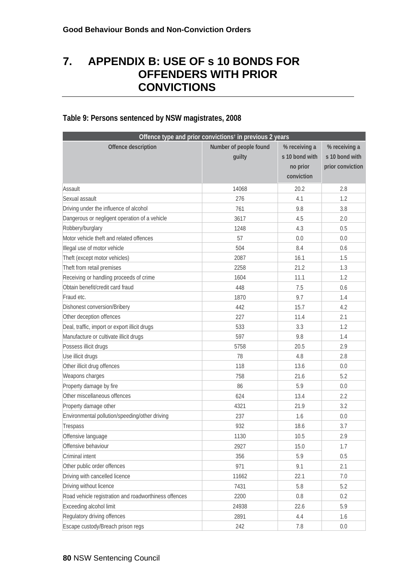# **7. APPENDIX B: USE OF s 10 BONDS FOR OFFENDERS WITH PRIOR CONVICTIONS**

#### **Offence type and prior convictions† in previous 2 years Offence description** Number of people found **guilty % receiving a s 10 bond with no prior conviction % receiving a s 10 bond with prior conviction** Assault 14068 20.2 2.8 Sexual assault 276 4.1 1.2 Driving under the influence of alcohol 761 9.8 3.8 Dangerous or negligent operation of a vehicle 3617 3617 4.5 2.0 Robbery/burglary 1248 4.3 0.5 Motor vehicle theft and related offences and the state of the state of the state of the state of the state of the state of the state of the state of the state of the state of the state of the state of the state of the stat Illegal use of motor vehicle 60.6 (a)  $\frac{504}{2}$  504 8.4 0.6 Theft (except motor vehicles) 2087 16.1 16.1 1.5 Theft from retail premises 2258 2258 21.2 1.3 Receiving or handling proceeds of crime 1604 1604 11.1 1.1 1.2 Obtain benefit/credit card fraud 448 7.5 0.6 Fraud etc. **1870** 9.7 **1.4** Dishonest conversion/Bribery 15.7 and 15.7 and 15.7 and 15.7 and 15.7 and 15.7 and 15.7 and 1.2 Other deception offences 227 11.4 2.1 Deal, traffic, import or export illicit drugs and server that the server of the server of the server of the server of the server of the server of the server of the server of the server of the server of the server of the se Manufacture or cultivate illicit drugs and the state of the state of the state of the state of the state of the state of the state of the state of the state of the state of the state of the state of the state of the state Possess illicit drugs and the contract of the contract of the set of the set of the set of the set of the set of the set of the set of the set of the set of the set of the set of the set of the set of the set of the set of Use illicit drugs and the control of the control of the control of the control of the control of the control of the control of the control of the control of the control of the control of the control of the control of the c Other illicit drug offences and the control of the control of the control of the control of the control of the control of the control of the control of the control of the control of the control of the control of the contro Weapons charges 6.2 21.6 1.1 2.2 2.1.6 2.2 2.1.6 2.2 2.1.6 2.2 2.1.6 2.2 2.1.6 2.2 2.1.6 2.2 2.1.6 2.2 2.1.6 2.2 2.1.6 2.2 2.1.6 2.2 2.1.6 2.2 2.1.6 2.2 2.1.6 2.2 2.1.6 2.2 2.1.6 2.2 2.1.6 2.2 2.1.6 2.2 2.1.6 2.2 2.1.6 2.2 Property damage by fire 86 5.9 0.0 Other miscellaneous offences and the control of the control of the control of the control of the control of the control of the control of the control of the control of the control of the control of the control of the contr Property damage other the contract of the contract of the 4321 21.9 3.2 Environmental pollution/speeding/other driving and the control of the 237 1.6 1.6 0.0  $T$ respass  $\begin{array}{ccc} 3.7 & 932 & 18.6 & 3.7 \end{array}$ Offensive language 2.9 Offensive behaviour and the contract of the contract of the contract of the contract of the contract of the contract of the contract of the contract of the contract of the contract of the contract of the contract of the co  $Criminal$  intent  $356$   $5.9$   $0.5$ Other public order offences and the set of the set of the set of the set of the set of the set of the set of the set of the set of the set of the set of the set of the set of the set of the set of the set of the set of the Driving with cancelled licence 11662 22.1 7.0 Driving without licence **7431** 5.8 5.2 Road vehicle registration and roadworthiness offences  $\sim$  2200 0.8 0.8 0.2 Exceeding alcohol limit 6.9 and 2.4938 22.6 5.9 Regulatory driving offences and the control of the control of the control of the control of the control of the control of the control of the control of the control of the control of the control of the control of the contro Escape custody/Breach prison regs 242 7.8 0.0

### **Table 9: Persons sentenced by NSW magistrates, 2008**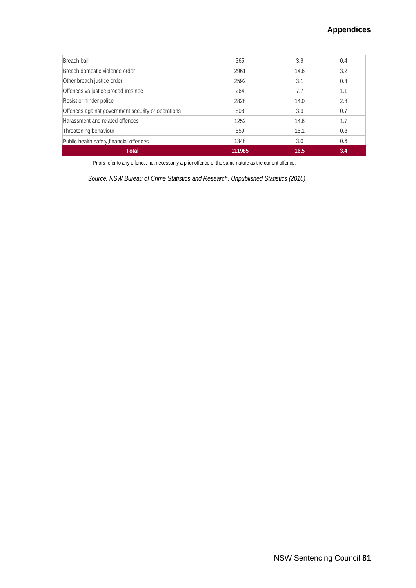| Breach bail                                        | 365    | 3.9  | 0.4 |
|----------------------------------------------------|--------|------|-----|
| Breach domestic violence order                     | 2961   | 14.6 | 3.2 |
| Other breach justice order                         | 2592   | 3.1  | 0.4 |
| Offences vs justice procedures nec                 | 264    | 7.7  | 1.1 |
| Resist or hinder police                            | 2828   | 14.0 | 2.8 |
| Offences against government security or operations | 808    | 3.9  | 0.7 |
| Harassment and related offences                    | 1252   | 14.6 | 1.7 |
| Threatening behaviour                              | 559    | 15.1 | 0.8 |
| Public health, safety, financial offences          | 1348   | 3.0  | 0.6 |
| Total                                              | 111985 | 16.5 | 3.4 |

† Priors refer to any offence, not necessarily a prior offence of the same nature as the current offence.

*Source: NSW Bureau of Crime Statistics and Research, Unpublished Statistics (2010)*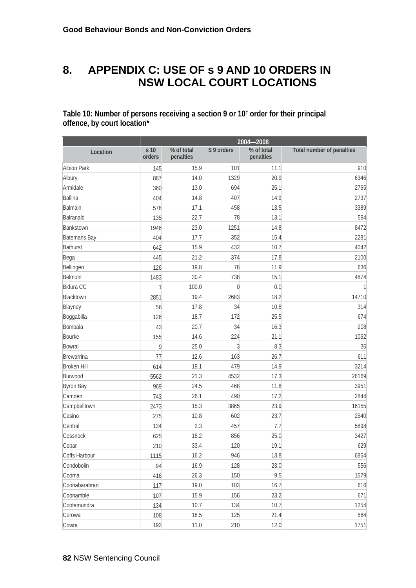# **8. APPENDIX C: USE OF s 9 AND 10 ORDERS IN NSW LOCAL COURT LOCATIONS**

### **Table 10: Number of persons receiving a section 9 or 10**† **order for their principal offence, by court location\***

|                    | 2004-2008      |                         |                |                         |                                  |  |
|--------------------|----------------|-------------------------|----------------|-------------------------|----------------------------------|--|
| Location           | s 10<br>orders | % of total<br>penalties | S 9 orders     | % of total<br>penalties | <b>Total number of penalties</b> |  |
| <b>Albion Park</b> | 145            | 15.9                    | 101            | 11.1                    | 910                              |  |
| Albury             | 887            | 14.0                    | 1329           | 20.9                    | 6346                             |  |
| Armidale           | 360            | 13.0                    | 694            | 25.1                    | 2765                             |  |
| Ballina            | 404            | 14.8                    | 407            | 14.9                    | 2737                             |  |
| Balmain            | 578            | 17.1                    | 458            | 13.5                    | 3389                             |  |
| Balranald          | 135            | 22.7                    | 78             | 13.1                    | 594                              |  |
| Bankstown          | 1946           | 23.0                    | 1251           | 14.8                    | 8472                             |  |
| Batemans Bay       | 404            | 17.7                    | 352            | 15.4                    | 2281                             |  |
| Bathurst           | 642            | 15.9                    | 432            | 10.7                    | 4042                             |  |
| Bega               | 445            | 21.2                    | 374            | 17.8                    | 2100                             |  |
| Bellingen          | 126            | 19.8                    | 76             | 11.9                    | 636                              |  |
| Belmont            | 1483           | 30.4                    | 738            | 15.1                    | 4874                             |  |
| Bidura CC          | 1              | 100.0                   | $\mathbf 0$    | 0.0                     | 1                                |  |
| Blacktown          | 2851           | 19.4                    | 2683           | 18.2                    | 14710                            |  |
| Blayney            | 56             | 17.8                    | 34             | 10.8                    | 314                              |  |
| Boggabilla         | 126            | 18.7                    | 172            | 25.5                    | 674                              |  |
| Bombala            | 43             | 20.7                    | 34             | 16.3                    | 208                              |  |
| Bourke             | 155            | 14.6                    | 224            | 21.1                    | 1062                             |  |
| Bowral             | 9              | 25.0                    | $\mathfrak{Z}$ | 8.3                     | 36                               |  |
| Brewarrina         | 77             | 12.6                    | 163            | 26.7                    | 611                              |  |
| <b>Broken Hill</b> | 614            | 19.1                    | 479            | 14.9                    | 3214                             |  |
| Burwood            | 5562           | 21.3                    | 4532           | 17.3                    | 26169                            |  |
| <b>Byron Bay</b>   | 969            | 24.5                    | 468            | 11.8                    | 3951                             |  |
| Camden             | 743            | 26.1                    | 490            | 17.2                    | 2844                             |  |
| Campbelltown       | 2473           | 15.3                    | 3865           | 23.9                    | 16155                            |  |
| Casino             | 275            | 10.8                    | 602            | 23.7                    | 2540                             |  |
| Central            | 134            | 2.3                     | 457            | 7.7                     | 5898                             |  |
| Cessnock           | 625            | 18.2                    | 856            | 25.0                    | 3427                             |  |
| Cobar              | 210            | 33.4                    | 120            | 19.1                    | 629                              |  |
| Coffs Harbour      | 1115           | 16.2                    | 946            | 13.8                    | 6864                             |  |
| Condobolin         | 94             | 16.9                    | 128            | 23.0                    | 556                              |  |
| Cooma              | 416            | 26.3                    | 150            | 9.5                     | 1579                             |  |
| Coonabarabran      | 117            | 19.0                    | 103            | 16.7                    | 616                              |  |
| Coonamble          | 107            | 15.9                    | 156            | 23.2                    | 671                              |  |
| Cootamundra        | 134            | 10.7                    | 134            | 10.7                    | 1254                             |  |
| Corowa             | 108            | 18.5                    | 125            | 21.4                    | 584                              |  |
| Cowra              | 192            | 11.0                    | 210            | 12.0                    | 1751                             |  |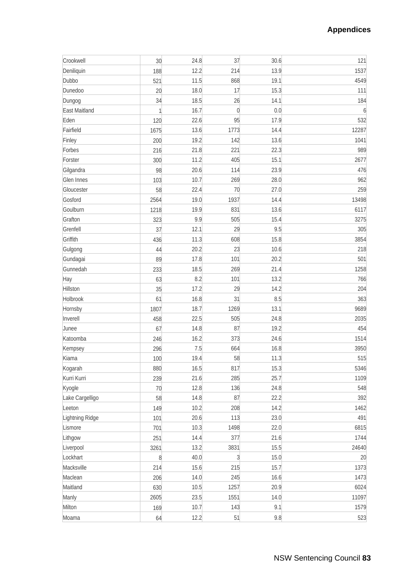| Crookwell       | 30 <sup>°</sup> | 24.8 | 37             | 30.6 | 121   |
|-----------------|-----------------|------|----------------|------|-------|
| Deniliquin      | 188             | 12.2 | 214            | 13.9 | 1537  |
| Dubbo           | 521             | 11.5 | 868            | 19.1 | 4549  |
| Dunedoo         | 20              | 18.0 | 17             | 15.3 | 111   |
| Dungog          | 34              | 18.5 | 26             | 14.1 | 184   |
| East Maitland   | 1               | 16.7 | $\overline{0}$ | 0.0  | 6     |
| Eden            | 120             | 22.6 | 95             | 17.9 | 532   |
| Fairfield       | 1675            | 13.6 | 1773           | 14.4 | 12287 |
| Finley          | 200             | 19.2 | 142            | 13.6 | 1041  |
| Forbes          | 216             | 21.8 | 221            | 22.3 | 989   |
| Forster         | 300             | 11.2 | 405            | 15.1 | 2677  |
| Gilgandra       | 98              | 20.6 | 114            | 23.9 | 476   |
| Glen Innes      | 103             | 10.7 | 269            | 28.0 | 962   |
| Gloucester      | 58              | 22.4 | 70             | 27.0 | 259   |
| Gosford         | 2564            | 19.0 | 1937           | 14.4 | 13498 |
| Goulburn        | 1218            | 19.9 | 831            | 13.6 | 6117  |
| Grafton         | 323             | 9.9  | 505            | 15.4 | 3275  |
| Grenfell        | 37              | 12.1 | 29             | 9.5  | 305   |
| Griffith        | 436             | 11.3 | 608            | 15.8 | 3854  |
| Gulgong         | 44              | 20.2 | 23             | 10.6 | 218   |
| Gundagai        | 89              | 17.8 | 101            | 20.2 | 501   |
| Gunnedah        | 233             | 18.5 | 269            | 21.4 | 1258  |
| Hay             | 63              | 8.2  | 101            | 13.2 | 766   |
| Hillston        | 35              | 17.2 | 29             | 14.2 | 204   |
| Holbrook        | 61              | 16.8 | 31             | 8.5  | 363   |
| Hornsby         | 1807            | 18.7 | 1269           | 13.1 | 9689  |
| Inverell        | 458             | 22.5 | 505            | 24.8 | 2035  |
| Junee           | 67              | 14.8 | 87             | 19.2 | 454   |
| Katoomba        | 246             | 16.2 | 373            | 24.6 | 1514  |
| Kempsey         | 296             | 7.5  | 664            | 16.8 | 3950  |
| Kiama           | 100             | 19.4 | 58             | 11.3 | 515   |
| Kogarah         | 880             | 16.5 | 817            | 15.3 | 5346  |
| Kurri Kurri     | 239             | 21.6 | 285            | 25.7 | 1109  |
| Kyogle          | 70              | 12.8 | 136            | 24.8 | 548   |
| Lake Cargelligo | 58              | 14.8 | 87             | 22.2 | 392   |
| Leeton          | 149             | 10.2 | 208            | 14.2 | 1462  |
| Lightning Ridge | 101             | 20.6 | 113            | 23.0 | 491   |
| Lismore         | 701             | 10.3 | 1498           | 22.0 | 6815  |
| Lithgow         | 251             | 14.4 | 377            | 21.6 | 1744  |
| Liverpool       | 3261            | 13.2 | 3831           | 15.5 | 24640 |
| Lockhart        | 8               | 40.0 | $\overline{3}$ | 15.0 | 20    |
| Macksville      | 214             | 15.6 | 215            | 15.7 | 1373  |
| Maclean         | 206             | 14.0 | 245            | 16.6 | 1473  |
| Maitland        | 630             | 10.5 | 1257           | 20.9 | 6024  |
| Manly           | 2605            | 23.5 | 1551           | 14.0 | 11097 |
| Milton          | 169             | 10.7 | 143            | 9.1  | 1579  |
| Moama           | 64              | 12.2 | 51             | 9.8  | 523   |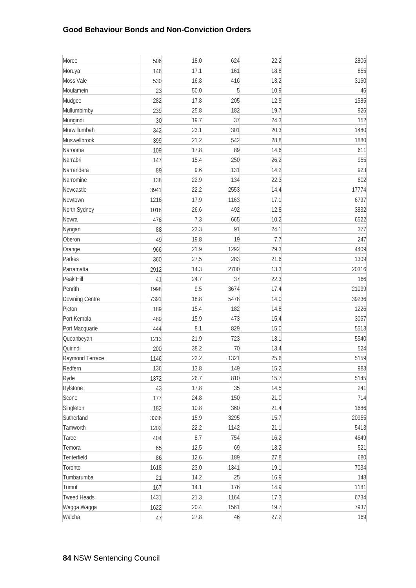### **Good Behaviour Bonds and Non-Conviction Orders**

| Moree              | 506  | 18.0 | 624            | 22.2 | 2806  |
|--------------------|------|------|----------------|------|-------|
| Moruya             | 146  | 17.1 | 161            | 18.8 | 855   |
| Moss Vale          | 530  | 16.8 | 416            | 13.2 | 3160  |
| Moulamein          | 23   | 50.0 | $\overline{5}$ | 10.9 | 46    |
| Mudgee             | 282  | 17.8 | 205            | 12.9 | 1585  |
| Mullumbimby        | 239  | 25.8 | 182            | 19.7 | 926   |
| Mungindi           | 30   | 19.7 | 37             | 24.3 | 152   |
| Murwillumbah       | 342  | 23.1 | 301            | 20.3 | 1480  |
| Muswellbrook       | 399  | 21.2 | 542            | 28.8 | 1880  |
| Narooma            | 109  | 17.8 | 89             | 14.6 | 611   |
| Narrabri           | 147  | 15.4 | 250            | 26.2 | 955   |
| Narrandera         | 89   | 9.6  | 131            | 14.2 | 923   |
| Narromine          | 138  | 22.9 | 134            | 22.3 | 602   |
| Newcastle          | 3941 | 22.2 | 2553           | 14.4 | 17774 |
| Newtown            | 1216 | 17.9 | 1163           | 17.1 | 6797  |
| North Sydney       | 1018 | 26.6 | 492            | 12.8 | 3832  |
| Nowra              | 476  | 7.3  | 665            | 10.2 | 6522  |
| Nyngan             | 88   | 23.3 | 91             | 24.1 | 377   |
| Oberon             | 49   | 19.8 | 19             | 7.7  | 247   |
| Orange             | 966  | 21.9 | 1292           | 29.3 | 4409  |
| Parkes             | 360  | 27.5 | 283            | 21.6 | 1309  |
| Parramatta         | 2912 | 14.3 | 2700           | 13.3 | 20316 |
| Peak Hill          | 41   | 24.7 | 37             | 22.3 | 166   |
| Penrith            | 1998 | 9.5  | 3674           | 17.4 | 21099 |
| Downing Centre     | 7391 | 18.8 | 5478           | 14.0 | 39236 |
| Picton             | 189  | 15.4 | 182            | 14.8 | 1226  |
| Port Kembla        | 489  | 15.9 | 473            | 15.4 | 3067  |
| Port Macquarie     | 444  | 8.1  | 829            | 15.0 | 5513  |
| Queanbeyan         | 1213 | 21.9 | 723            | 13.1 | 5540  |
| Quirindi           | 200  | 38.2 | 70             | 13.4 | 524   |
| Raymond Terrace    | 1146 | 22.2 | 1321           | 25.6 | 5159  |
| Redfern            | 136  | 13.8 | 149            | 15.2 | 983   |
| Ryde               | 1372 | 26.7 | 810            | 15.7 | 5145  |
| Rylstone           | 43   | 17.8 | 35             | 14.5 | 241   |
| Scone              | 177  | 24.8 | 150            | 21.0 | 714   |
| Singleton          | 182  | 10.8 | 360            | 21.4 | 1686  |
| Sutherland         | 3336 | 15.9 | 3295           | 15.7 | 20955 |
| Tamworth           | 1202 | 22.2 | 1142           | 21.1 | 5413  |
| Taree              | 404  | 8.7  | 754            | 16.2 | 4649  |
| Temora             | 65   | 12.5 | 69             | 13.2 | 521   |
| Tenterfield        | 86   | 12.6 | 189            | 27.8 | 680   |
| Toronto            | 1618 | 23.0 | 1341           | 19.1 | 7034  |
| Tumbarumba         | 21   | 14.2 | 25             | 16.9 | 148   |
| Tumut              | 167  | 14.1 | 176            | 14.9 | 1181  |
| <b>Tweed Heads</b> | 1431 | 21.3 | 1164           | 17.3 | 6734  |
| Wagga Wagga        | 1622 | 20.4 | 1561           | 19.7 | 7937  |
| Walcha             | 47   | 27.8 | 46             | 27.2 | 169   |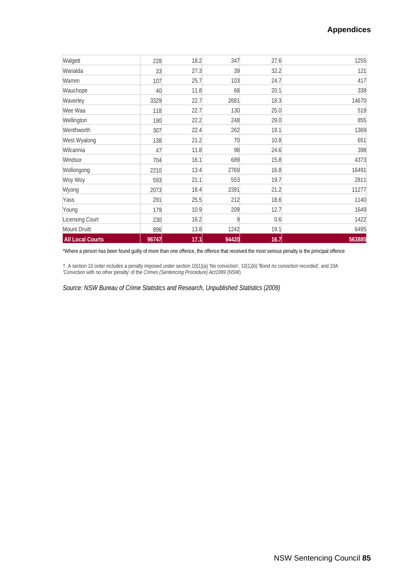### **Appendices**

| Walgett                 | 228   | 18.2 | 347   | 27.6 | 1255   |
|-------------------------|-------|------|-------|------|--------|
| Warialda                | 33    | 27.3 | 39    | 32.2 | 121    |
| Warren                  | 107   | 25.7 | 103   | 24.7 | 417    |
| Wauchope                | 40    | 11.8 | 68    | 20.1 | 339    |
| Waverley                | 3329  | 22.7 | 2681  | 18.3 | 14670  |
| Wee Waa                 | 118   | 22.7 | 130   | 25.0 | 519    |
| Wellington              | 190   | 22.2 | 248   | 29.0 | 855    |
| Wenthworth              | 307   | 22.4 | 262   | 19.1 | 1369   |
| West Wyalong            | 138   | 21.2 | 70    | 10.8 | 651    |
| Wilcannia               | 47    | 11.8 | 98    | 24.6 | 398    |
| Windsor                 | 704   | 16.1 | 689   | 15.8 | 4373   |
| Wollongong              | 2210  | 13.4 | 2769  | 16.8 | 16491  |
| Woy Woy                 | 593   | 21.1 | 553   | 19.7 | 2811   |
| Wyong                   | 2073  | 18.4 | 2391  | 21.2 | 11277  |
| Yass                    | 291   | 25.5 | 212   | 18.6 | 1140   |
| Young                   | 179   | 10.9 | 209   | 12.7 | 1649   |
| Licensing Court         | 230   | 16.2 | 9     | 0.6  | 1422   |
| Mount Druitt            | 896   | 13.8 | 1242  | 19.1 | 6495   |
| <b>All Local Courts</b> | 96747 | 17.1 | 94420 | 16.7 | 563885 |

\*Where a person has been found guilty of more than one offence, the offence that received the most serious penalty is the principal offence

† A section 10 order includes a penalty imposed under section 10(1)(a) 'No conviction', 10(1)(b) 'Bond no conviction recorded', and 10A 'Conviction with no other penalty' of the *Crimes (Sentencing Procedure) Act1999* (NSW)

*Source: NSW Bureau of Crime Statistics and Research, Unpublished Statistics (2009)*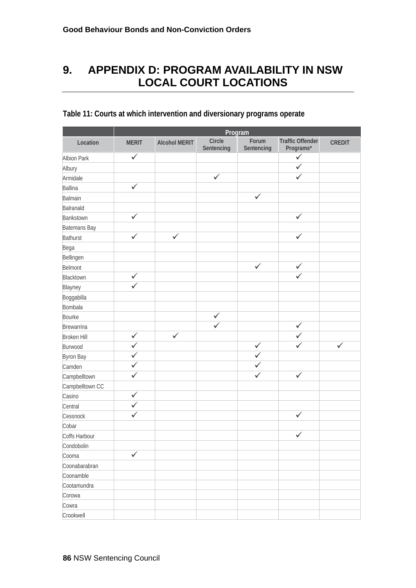# **9. APPENDIX D: PROGRAM AVAILABILITY IN NSW LOCAL COURT LOCATIONS**

|                    | Program      |                      |                      |                     |                                      |               |
|--------------------|--------------|----------------------|----------------------|---------------------|--------------------------------------|---------------|
| Location           | <b>MERIT</b> | <b>Alcohol MERIT</b> | Circle<br>Sentencing | Forum<br>Sentencing | <b>Traffic Offender</b><br>Programs* | <b>CREDIT</b> |
| <b>Albion Park</b> | $\checkmark$ |                      |                      |                     | $\checkmark$                         |               |
| Albury             |              |                      |                      |                     | $\checkmark$                         |               |
| Armidale           |              |                      | $\checkmark$         |                     | ✓                                    |               |
| Ballina            | $\checkmark$ |                      |                      |                     |                                      |               |
| Balmain            |              |                      |                      | $\checkmark$        |                                      |               |
| Balranald          |              |                      |                      |                     |                                      |               |
| Bankstown          | $\checkmark$ |                      |                      |                     | $\checkmark$                         |               |
| Batemans Bay       |              |                      |                      |                     |                                      |               |
| Bathurst           | $\checkmark$ | $\checkmark$         |                      |                     | $\checkmark$                         |               |
| Bega               |              |                      |                      |                     |                                      |               |
| Bellingen          |              |                      |                      |                     |                                      |               |
| Belmont            |              |                      |                      | $\checkmark$        | $\checkmark$                         |               |
| Blacktown          | $\checkmark$ |                      |                      |                     | $\overline{\checkmark}$              |               |
| Blayney            | $\checkmark$ |                      |                      |                     |                                      |               |
| Boggabilla         |              |                      |                      |                     |                                      |               |
| Bombala            |              |                      |                      |                     |                                      |               |
| Bourke             |              |                      | ✓                    |                     |                                      |               |
| Brewarrina         |              |                      | $\checkmark$         |                     | $\checkmark$                         |               |
| <b>Broken Hill</b> | $\checkmark$ | $\checkmark$         |                      |                     | $\checkmark$                         |               |
| Burwood            | $\checkmark$ |                      |                      | $\checkmark$        | ✓                                    | $\checkmark$  |
| <b>Byron Bay</b>   | ✓            |                      |                      | $\checkmark$        |                                      |               |
| Camden             | ✓            |                      |                      | $\checkmark$        |                                      |               |
| Campbelltown       | ✓            |                      |                      | $\checkmark$        | $\checkmark$                         |               |
| Campbelltown CC    |              |                      |                      |                     |                                      |               |
| Casino             | ✓            |                      |                      |                     |                                      |               |
| Central            | $\checkmark$ |                      |                      |                     |                                      |               |
| Cessnock           | $\checkmark$ |                      |                      |                     | ✓                                    |               |
| Cobar              |              |                      |                      |                     |                                      |               |
| Coffs Harbour      |              |                      |                      |                     | $\checkmark$                         |               |
| Condobolin         |              |                      |                      |                     |                                      |               |
| Cooma              | $\checkmark$ |                      |                      |                     |                                      |               |
| Coonabarabran      |              |                      |                      |                     |                                      |               |
| Coonamble          |              |                      |                      |                     |                                      |               |
| Cootamundra        |              |                      |                      |                     |                                      |               |
| Corowa             |              |                      |                      |                     |                                      |               |
| Cowra              |              |                      |                      |                     |                                      |               |
| Crookwell          |              |                      |                      |                     |                                      |               |

## **Table 11: Courts at which intervention and diversionary programs operate**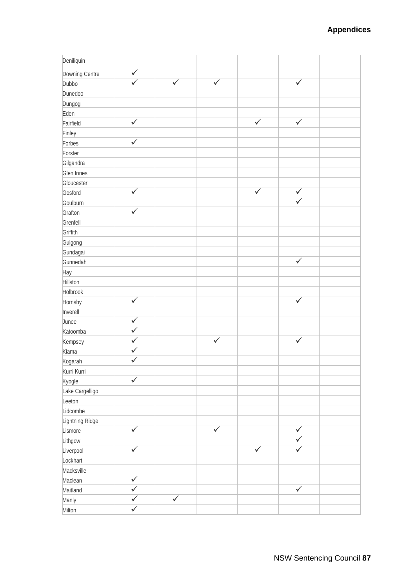| Deniliquin      |                         |              |              |              |                         |  |
|-----------------|-------------------------|--------------|--------------|--------------|-------------------------|--|
| Downing Centre  | $\checkmark$            |              |              |              |                         |  |
| Dubbo           | $\checkmark$            | $\checkmark$ | $\sqrt{ }$   |              | $\checkmark$            |  |
| Dunedoo         |                         |              |              |              |                         |  |
| Dungog          |                         |              |              |              |                         |  |
| Eden            |                         |              |              |              |                         |  |
| Fairfield       | $\checkmark$            |              |              | $\checkmark$ | $\bar{\sqrt{}}$         |  |
| Finley          |                         |              |              |              |                         |  |
| Forbes          | $\checkmark$            |              |              |              |                         |  |
| Forster         |                         |              |              |              |                         |  |
| Gilgandra       |                         |              |              |              |                         |  |
| Glen Innes      |                         |              |              |              |                         |  |
| Gloucester      |                         |              |              |              |                         |  |
| Gosford         | $\sqrt{ }$              |              |              | $\checkmark$ | $\checkmark$            |  |
| Goulburn        |                         |              |              |              | $\overline{\checkmark}$ |  |
| Grafton         | $\checkmark$            |              |              |              |                         |  |
| Grenfell        |                         |              |              |              |                         |  |
| Griffith        |                         |              |              |              |                         |  |
| Gulgong         |                         |              |              |              |                         |  |
| Gundagai        |                         |              |              |              |                         |  |
| Gunnedah        |                         |              |              |              | $\checkmark$            |  |
| Hay             |                         |              |              |              |                         |  |
| Hillston        |                         |              |              |              |                         |  |
| Holbrook        |                         |              |              |              |                         |  |
| Hornsby         | $\checkmark$            |              |              |              | $\checkmark$            |  |
| Inverell        |                         |              |              |              |                         |  |
| Junee           | $\checkmark$            |              |              |              |                         |  |
| Katoomba        | $\checkmark$            |              |              |              |                         |  |
| Kempsey         | $\checkmark$            |              | $\checkmark$ |              | $\overline{\checkmark}$ |  |
| Kiama           | $\checkmark$            |              |              |              |                         |  |
| Kogarah         | $\checkmark$            |              |              |              |                         |  |
| Kurri Kurri     |                         |              |              |              |                         |  |
| Kyogle          | $\checkmark$            |              |              |              |                         |  |
| Lake Cargelligo |                         |              |              |              |                         |  |
| Leeton          |                         |              |              |              |                         |  |
| Lidcombe        |                         |              |              |              |                         |  |
| Lightning Ridge |                         |              |              |              |                         |  |
| Lismore         | $\checkmark$            |              | $\checkmark$ |              | $\checkmark$            |  |
| Lithgow         |                         |              |              |              | $\checkmark$            |  |
| Liverpool       | $\overline{\checkmark}$ |              |              | $\checkmark$ | $\checkmark$            |  |
| Lockhart        |                         |              |              |              |                         |  |
| Macksville      |                         |              |              |              |                         |  |
| Maclean         | $\checkmark$            |              |              |              |                         |  |
| Maitland        | $\checkmark$            |              |              |              | $\checkmark$            |  |
| Manly           | ✓                       | $\checkmark$ |              |              |                         |  |
| Milton          | $\checkmark$            |              |              |              |                         |  |
|                 |                         |              |              |              |                         |  |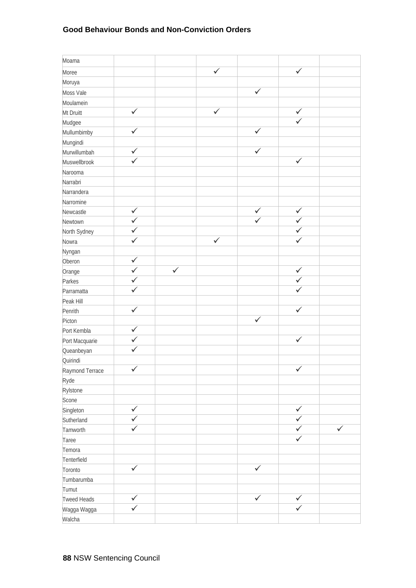### **Good Behaviour Bonds and Non-Conviction Orders**

| Moama           |                  |              |              |              |                  |              |
|-----------------|------------------|--------------|--------------|--------------|------------------|--------------|
| Moree           |                  |              | $\checkmark$ |              | $\checkmark$     |              |
| Moruya          |                  |              |              |              |                  |              |
| Moss Vale       |                  |              |              | $\checkmark$ |                  |              |
| Moulamein       |                  |              |              |              |                  |              |
| Mt Druitt       | $\checkmark$     |              | $\checkmark$ |              | $\checkmark$     |              |
| Mudgee          |                  |              |              |              | $\checkmark$     |              |
| Mullumbimby     | ✓                |              |              | ✓            |                  |              |
| Mungindi        |                  |              |              |              |                  |              |
| Murwillumbah    | $\checkmark$     |              |              | $\checkmark$ |                  |              |
| Muswellbrook    | ✓                |              |              |              | $\checkmark$     |              |
| Narooma         |                  |              |              |              |                  |              |
| Narrabri        |                  |              |              |              |                  |              |
| Narrandera      |                  |              |              |              |                  |              |
| Narromine       |                  |              |              |              |                  |              |
| Newcastle       | $\checkmark$     |              |              | $\checkmark$ | $\checkmark$     |              |
| Newtown         | ✓                |              |              | $\checkmark$ | $\checkmark$     |              |
| North Sydney    | $\checkmark$     |              |              |              | $\checkmark$     |              |
| Nowra           | ✓                |              | $\checkmark$ |              | $\checkmark$     |              |
| Nyngan          |                  |              |              |              |                  |              |
| Oberon          | $\checkmark$     |              |              |              |                  |              |
| Orange          | $\checkmark$     | $\checkmark$ |              |              | $\checkmark$     |              |
| Parkes          | $\checkmark$     |              |              |              | $\checkmark$     |              |
| Parramatta      | ✓                |              |              |              | $\checkmark$     |              |
| Peak Hill       |                  |              |              |              |                  |              |
| Penrith         | $\checkmark$     |              |              |              | $\checkmark$     |              |
| Picton          |                  |              |              | $\checkmark$ |                  |              |
| Port Kembla     | ✓                |              |              |              |                  |              |
| Port Macquarie  | $\checkmark$     |              |              |              | $\checkmark$     |              |
| Queanbeyan      |                  |              |              |              |                  |              |
| Quirindi        |                  |              |              |              |                  |              |
| Raymond Terrace | $\bar{\sqrt{2}}$ |              |              |              | $\bar{\sqrt{ }}$ |              |
| Ryde            |                  |              |              |              |                  |              |
| Rylstone        |                  |              |              |              |                  |              |
| Scone           |                  |              |              |              |                  |              |
| Singleton       | $\checkmark$     |              |              |              | $\checkmark$     |              |
| Sutherland      | $\checkmark$     |              |              |              | $\checkmark$     |              |
| Tamworth        | $\checkmark$     |              |              |              | $\checkmark$     | $\checkmark$ |
| Taree           |                  |              |              |              | $\checkmark$     |              |
| Temora          |                  |              |              |              |                  |              |
| Tenterfield     |                  |              |              |              |                  |              |
| Toronto         | $\checkmark$     |              |              | $\checkmark$ |                  |              |
| Tumbarumba      |                  |              |              |              |                  |              |
| Tumut           |                  |              |              |              |                  |              |
| Tweed Heads     | $\checkmark$     |              |              | $\sqrt{ }$   | $\checkmark$     |              |
| Wagga Wagga     | $\checkmark$     |              |              |              | $\checkmark$     |              |
| Walcha          |                  |              |              |              |                  |              |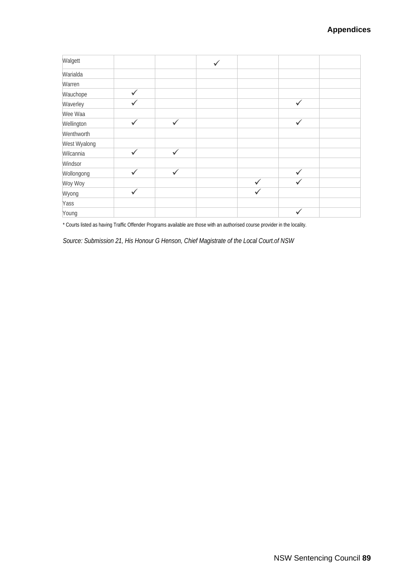| Walgett      |              |              | $\checkmark$ |              |              |  |
|--------------|--------------|--------------|--------------|--------------|--------------|--|
| Warialda     |              |              |              |              |              |  |
| Warren       |              |              |              |              |              |  |
| Wauchope     | ✓            |              |              |              |              |  |
| Waverley     | $\checkmark$ |              |              |              | $\checkmark$ |  |
| Wee Waa      |              |              |              |              |              |  |
| Wellington   | $\checkmark$ | $\checkmark$ |              |              | $\checkmark$ |  |
| Wenthworth   |              |              |              |              |              |  |
| West Wyalong |              |              |              |              |              |  |
| Wilcannia    | $\checkmark$ | $\checkmark$ |              |              |              |  |
| Windsor      |              |              |              |              |              |  |
| Wollongong   | $\checkmark$ | $\checkmark$ |              |              | $\checkmark$ |  |
| Woy Woy      |              |              |              | $\checkmark$ | $\checkmark$ |  |
| Wyong        | $\checkmark$ |              |              | $\checkmark$ |              |  |
| Yass         |              |              |              |              |              |  |
| Young        |              |              |              |              | $\checkmark$ |  |

\* Courts listed as having Traffic Offender Programs available are those with an authorised course provider in the locality.

*Source: Submission 21, His Honour G Henson, Chief Magistrate of the Local Court.of NSW*